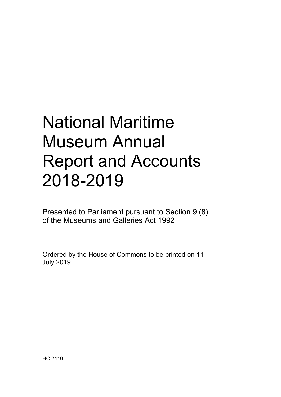# National Maritime Museum Annual Report and Accounts 2018-2019

Presented to Parliament pursuant to Section 9 (8) of the Museums and Galleries Act 1992

Ordered by the House of Commons to be printed on 11 July 2019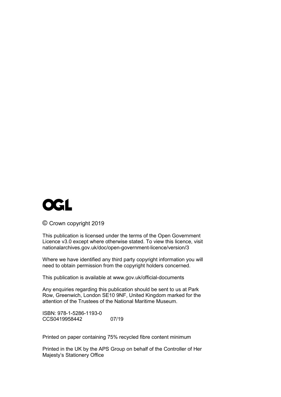

© Crown copyright 2019

This publication is licensed under the terms of the Open Government Licence v3.0 except where otherwise stated. To view this licence, visit nationalarchives.gov.uk/doc/open-government-licence/version/3

Where we have identified any third party copyright information you will need to obtain permission from the copyright holders concerned.

This publication is available at www.gov.uk/official-documents

Any enquiries regarding this publication should be sent to us at Park Row, Greenwich, London SE10 9NF, United Kingdom marked for the attention of the Trustees of the National Maritime Museum.

ISBN: 978-1-5286-1193-0 CCS0419958442 07/19

Printed on paper containing 75% recycled fibre content minimum

Printed in the UK by the APS Group on behalf of the Controller of Her Majesty's Stationery Office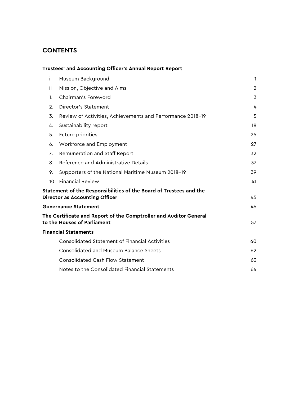## **CONTENTS**

|             | <b>Trustees' and Accounting Officer's Annual Report Report</b>                                              |              |
|-------------|-------------------------------------------------------------------------------------------------------------|--------------|
| i.          | Museum Background                                                                                           | $\mathbf{1}$ |
| ΪĹ.         | Mission, Objective and Aims                                                                                 | $\mathbf{2}$ |
| $1_{\cdot}$ | Chairman's Foreword                                                                                         | 3            |
| 2.          | <b>Director's Statement</b>                                                                                 | 4            |
| 3.          | Review of Activities, Achievements and Performance 2018-19                                                  | 5            |
| 4.          | Sustainability report                                                                                       | 18           |
| 5.          | Future priorities                                                                                           | 25           |
| 6.          | Workforce and Employment                                                                                    | 27           |
| 7.          | Remuneration and Staff Report                                                                               | 32           |
| 8.          | Reference and Administrative Details                                                                        | 37           |
| 9.          | Supporters of the National Maritime Museum 2018-19                                                          | 39           |
|             | 10. Financial Review                                                                                        | 41           |
|             | Statement of the Responsibilities of the Board of Trustees and the<br><b>Director as Accounting Officer</b> | 45           |
|             | <b>Governance Statement</b>                                                                                 | 46           |
|             | The Certificate and Report of the Comptroller and Auditor General<br>to the Houses of Parliament            | 57           |
|             | <b>Financial Statements</b>                                                                                 |              |
|             | <b>Consolidated Statement of Financial Activities</b>                                                       | 60           |
|             | Consolidated and Museum Balance Sheets                                                                      | 62           |
|             | <b>Consolidated Cash Flow Statement</b>                                                                     | 63           |
|             | Notes to the Consolidated Financial Statements                                                              | 64           |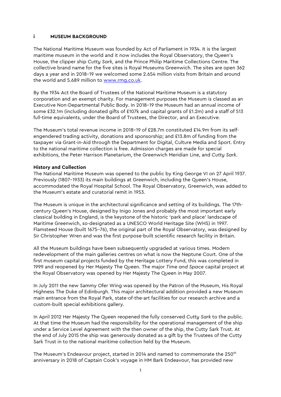#### **i MUSEUM BACKGROUND**

The National Maritime Museum was founded by Act of Parliament in 1934. It is the largest maritime museum in the world and it now includes the Royal Observatory, the Queen's House, the clipper ship *Cutty Sark,* and the Prince Philip Maritime Collections Centre. The collective brand name for the five sites is Royal Museums Greenwich. The sites are open 362 days a year and in 2018–19 we welcomed some 2.654 million visits from Britain and around the world and 5.689 million to [www.rmg.co.uk.](http://www.rmg.co.uk/)

By the 1934 Act the Board of Trustees of the National Maritime Museum is a statutory corporation and an exempt charity. For management purposes the Museum is classed as an Executive Non-Departmental Public Body. In 2018–19 the Museum had an annual income of some £32.1m (including donated gifts of £107k and capital grants of £1.2m) and a staff of 513 full-time equivalents, under the Board of Trustees, the Director, and an Executive.

The Museum's total revenue income in 2018–19 of £28.7m constituted £14.9m from its selfengendered trading activity, donations and sponsorship; and £13.8m of funding from the taxpayer via Grant-in-Aid through the Department for Digital, Culture Media and Sport. Entry to the national maritime collection is free. Admission charges are made for special exhibitions, the Peter Harrison Planetarium, the Greenwich Meridian Line, and *Cutty Sark*.

#### **History and Collection**

The National Maritime Museum was opened to the public by King George VI on 27 April 1937. Previously (1807–1933) its main buildings at Greenwich, including the Queen's House, accommodated the Royal Hospital School. The Royal Observatory, Greenwich, was added to the Museum's estate and curatorial remit in 1953.

The Museum is unique in the architectural significance and setting of its buildings. The 17thcentury Queen's House, designed by Inigo Jones and probably the most important early classical building in England, is the keystone of the historic 'park and place' landscape of Maritime Greenwich, so-designated as a UNESCO World Heritage Site (WHS) in 1997. Flamsteed House (built 1675–76), the original part of the Royal Observatory, was designed by Sir Christopher Wren and was the first purpose-built scientific research facility in Britain.

All the Museum buildings have been subsequently upgraded at various times. Modern redevelopment of the main galleries centres on what is now the Neptune Court. One of the first museum capital projects funded by the Heritage Lottery Fund, this was completed in 1999 and reopened by Her Majesty The Queen. The major *Time and Space* capital project at the Royal Observatory was opened by Her Majesty The Queen in May 2007.

In July 2011 the new Sammy Ofer Wing was opened by the Patron of the Museum, His Royal Highness The Duke of Edinburgh. This major architectural addition provided a new Museum main entrance from the Royal Park, state-of-the-art facilities for our research archive and a custom-built special exhibitions gallery.

In April 2012 Her Majesty The Queen reopened the fully conserved *Cutty Sark* to the public. At that time the Museum had the responsibility for the operational management of the ship under a Service Level Agreement with the then owner of the ship, the Cutty Sark Trust. At the end of July 2015 the ship was generously donated as a gift by the Trustees of the Cutty Sark Trust in to the national maritime collection held by the Museum.

The Museum's Endeavour project, started in 2014 and named to commemorate the 250<sup>th</sup> anniversary in 2018 of Captain Cook's voyage in HM Bark Endeavour, has provided new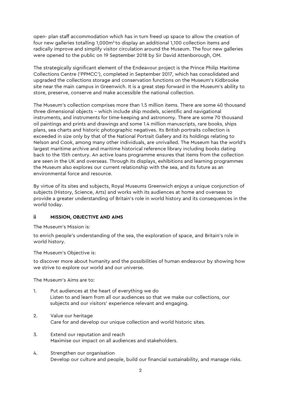open- plan staff accommodation which has in turn freed up space to allow the creation of four new galleries totalling 1,000m<sup>2</sup> to display an additional 1,100 collection items and radically improve and simplify visitor circulation around the Museum. The four new galleries were opened to the public on 19 September 2018 by Sir David Attenborough, OM.

The strategically significant element of the Endeavour project is the Prince Philip Maritime Collections Centre ('PPMCC'), completed in September 2017, which has consolidated and upgraded the collections storage and conservation functions on the Museum's Kidbrooke site near the main campus in Greenwich. It is a great step forward in the Museum's ability to store, preserve, conserve and make accessible the national collection.

The Museum's collection comprises more than 1.5 million items. There are some 40 thousand three dimensional objects – which include ship models, scientific and navigational instruments, and instruments for time-keeping and astronomy. There are some 70 thousand oil paintings and prints and drawings and some 1.4 million manuscripts, rare books, ships plans, sea charts and historic photographic negatives. Its British portraits collection is exceeded in size only by that of the National Portrait Gallery and its holdings relating to Nelson and Cook, among many other individuals, are unrivalled. The Museum has the world's largest maritime archive and maritime historical reference library including books dating back to the 15th century. An active loans programme ensures that items from the collection are seen in the UK and overseas. Through its displays, exhibitions and learning programmes the Museum also explores our current relationship with the sea, and its future as an environmental force and resource.

By virtue of its sites and subjects, Royal Museums Greenwich enjoys a unique conjunction of subjects (History, Science, Arts) and works with its audiences at home and overseas to provide a greater understanding of Britain's role in world history and its consequences in the world today.

#### **ii MISSION, OBJECTIVE AND AIMS**

The Museum's Mission is:

to enrich people's understanding of the sea, the exploration of space, and Britain's role in world history.

The Museum's Objective is:

to discover more about humanity and the possibilities of human endeavour by showing how we strive to explore our world and our universe.

The Museum's Aims are to:

- 1. Put audiences at the heart of everything we do Listen to and learn from all our audiences so that we make our collections, our subjects and our visitors' experience relevant and engaging.
- 2. Value our heritage Care for and develop our unique collection and world historic sites.
- 3. Extend our reputation and reach Maximise our impact on all audiences and stakeholders.
- 4. Strengthen our organisation Develop our culture and people, build our financial sustainability, and manage risks.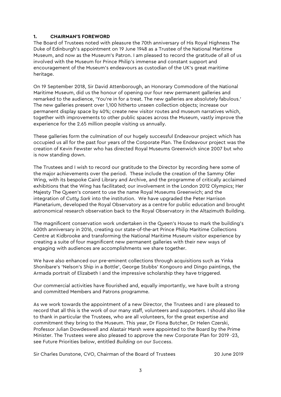## **1. CHAIRMAN'S FOREWORD**

The Board of Trustees noted with pleasure the 70th anniversary of His Royal Highness The Duke of Edinburgh's appointment on 19 June 1948 as a Trustee of the National Maritime Museum, and now as the Museum's Patron. I am pleased to record the gratitude of all of us involved with the Museum for Prince Philip's immense and constant support and encouragement of the Museum's endeavours as custodian of the UK's great maritime heritage.

On 19 September 2018, Sir David Attenborough, an Honorary Commodore of the National Maritime Museum, did us the honour of opening our four new permanent galleries and remarked to the audience, 'You're in for a treat. The new galleries are absolutely fabulous.' The new galleries present over 1,100 hitherto unseen collection objects; increase our permanent display space by 40%; create new visitor routes and museum narratives which, together with improvements to other public spaces across the Museum, vastly improve the experience for the 2.65 million people visiting us annually.

These galleries form the culmination of our hugely successful Endeavour project which has occupied us all for the past four years of the Corporate Plan. The Endeavour project was the creation of Kevin Fewster who has directed Royal Museums Greenwich since 2007 but who is now standing down.

The Trustees and I wish to record our gratitude to the Director by recording here some of the major achievements over the period. These include the creation of the Sammy Ofer Wing, with its bespoke Caird Library and Archive, and the programme of critically acclaimed exhibitions that the Wing has facilitated; our involvement in the London 2012 Olympics; Her Majesty The Queen's consent to use the name Royal Museums Greenwich; and the integration of *Cutty Sark* into the institution. We have upgraded the Peter Harrison Planetarium, developed the Royal Observatory as a centre for public education and brought astronomical research observation back to the Royal Observatory in the Altazimuth Building.

The magnificent conservation work undertaken in the Queen's House to mark the building's 400th anniversary in 2016, creating our state-of-the-art Prince Philip Maritime Collections Centre at Kidbrooke and transforming the National Maritime Museum visitor experience by creating a suite of four magnificent new permanent galleries with their new ways of engaging with audiences are accomplishments we share together.

We have also enhanced our pre-eminent collections through acquisitions such as Yinka Shonibare's 'Nelson's Ship in a Bottle', George Stubbs' Kongouro and Dingo paintings, the Armada portrait of Elizabeth I and the impressive scholarship they have triggered.

Our commercial activities have flourished and, equally importantly, we have built a strong and committed Members and Patrons programme.

As we work towards the appointment of a new Director, the Trustees and I are pleased to record that all this is the work of our many staff, volunteers and supporters. I should also like to thank in particular the Trustees, who are all volunteers, for the great expertise and commitment they bring to the Museum. This year, Dr Fiona Butcher, Dr Helen Czerski, Professor Julian Dowdeswell and Alastair Marsh were appointed to the Board by the Prime Minister. The Trustees were also pleased to approve the new Corporate Plan for 2019 -23, see Future Priorities below, entitled *Building on our Success*.

Sir Charles Dunstone, CVO, Chairman of the Board of Trustees 2019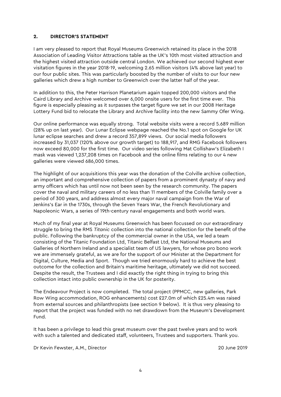#### **2. DIRECTOR'S STATEMENT**

I am very pleased to report that Royal Museums Greenwich retained its place in the 2018 Association of Leading Visitor Attractions table as the UK's 10th most visited attraction and the highest visited attraction outside central London. We achieved our second highest ever visitation figures in the year 2018-19, welcoming 2.65 million visitors (4% above last year) to our four public sites. This was particularly boosted by the number of visits to our four new galleries which drew a high number to Greenwich over the latter half of the year.

In addition to this, the Peter Harrison Planetarium again topped 200,000 visitors and the Caird Library and Archive welcomed over 6,000 onsite users for the first time ever. This figure is especially pleasing as it surpasses the target figure we set in our 2008 Heritage Lottery Fund bid to relocate the Library and Archive facility into the new Sammy Ofer Wing.

Our online performance was equally strong. Total website visits were a record 5.689 million (28% up on last year). Our Lunar Eclipse webpage reached the No.1 spot on Google for UK lunar eclipse searches and drew a record 357,899 views. Our social media followers increased by 31,037 (120% above our growth target) to 188,917, and RMG Facebook followers now exceed 80,000 for the first time. Our video series following Mat Collishaw's Elizabeth I mask was viewed 1,237,208 times on Facebook and the online films relating to our 4 new galleries were viewed 686,000 times.

The highlight of our acquisitions this year was the donation of the Colville archive collection, an important and comprehensive collection of papers from a prominent dynasty of navy and army officers which has until now not been seen by the research community. The papers cover the naval and military careers of no less than 11 members of the Colville family over a period of 300 years, and address almost every major naval campaign from the War of Jenkins's Ear in the 1730s, through the Seven Years War, the French Revolutionary and Napoleonic Wars, a series of 19th-century naval engagements and both world wars.

Much of my final year at Royal Museums Greenwich has been focussed on our extraordinary struggle to bring the RMS *Titanic* collection into the national collection for the benefit of the public. Following the bankruptcy of the commercial owner in the USA, we led a team consisting of the Titanic Foundation Ltd, Titanic Belfast Ltd, the National Museums and Galleries of Northern Ireland and a specialist team of US lawyers, for whose pro bono work we are immensely grateful, as we are for the support of our Minister at the Department for Digital, Culture, Media and Sport. Though we tried enormously hard to achieve the best outcome for the collection and Britain's maritime heritage, ultimately we did not succeed. Despite the result, the Trustees and I did exactly the right thing in trying to bring this collection intact into public ownership in the UK for posterity.

The Endeavour Project is now completed. The total project (PPMCC, new galleries, Park Row Wing accommodation, ROG enhancements) cost £27.0m of which £25.4m was raised from external sources and philanthropists (see section 9 below). It is thus very pleasing to report that the project was funded with no net drawdown from the Museum's Development Fund.

It has been a privilege to lead this great museum over the past twelve years and to work with such a talented and dedicated staff, volunteers, Trustees and supporters. Thank you.

Dr Kevin Fewster, A.M., Director 20 June 2019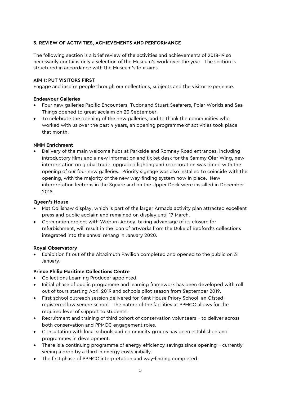## **3. REVIEW OF ACTIVITIES, ACHIEVEMENTS AND PERFORMANCE**

The following section is a brief review of the activities and achievements of 2018-19 so necessarily contains only a selection of the Museum's work over the year. The section is structured in accordance with the Museum's four aims.

#### **AIM 1: PUT VISITORS FIRST**

Engage and inspire people through our collections, subjects and the visitor experience.

#### **Endeavour Galleries**

- Four new galleries Pacific Encounters, Tudor and Stuart Seafarers, Polar Worlds and Sea Things opened to great acclaim on 20 September.
- To celebrate the opening of the new galleries, and to thank the communities who worked with us over the past 4 years, an opening programme of activities took place that month.

## **NMM Enrichment**

• Delivery of the main welcome hubs at Parkside and Romney Road entrances, including introductory films and a new information and ticket desk for the Sammy Ofer Wing, new interpretation on global trade, upgraded lighting and redecoration was timed with the opening of our four new galleries. Priority signage was also installed to coincide with the opening, with the majority of the new way-finding system now in place. New interpretation lecterns in the Square and on the Upper Deck were installed in December 2018.

## **Queen's House**

- Mat Collishaw display, which is part of the larger Armada activity plan attracted excellent press and public acclaim and remained on display until 17 March.
- Co-curation project with Woburn Abbey, taking advantage of its closure for refurbishment, will result in the loan of artworks from the Duke of Bedford's collections integrated into the annual rehang in January 2020.

#### **Royal Observatory**

• Exhibition fit out of the Altazimuth Pavilion completed and opened to the public on 31 January.

## **Prince Philip Maritime Collections Centre**

- Collections Learning Producer appointed.
- Initial phase of public programme and learning framework has been developed with roll out of tours starting April 2019 and schools pilot season from September 2019.
- First school outreach session delivered for Kent House Priory School, an Ofstedregistered low secure school. The nature of the facilities at PPMCC allows for the required level of support to students.
- Recruitment and training of third cohort of conservation volunteers to deliver across both conservation and PPMCC engagement roles.
- Consultation with local schools and community groups has been established and programmes in development.
- There is a continuing programme of energy efficiency savings since opening currently seeing a drop by a third in energy costs initially.
- The first phase of PPMCC interpretation and way-finding completed.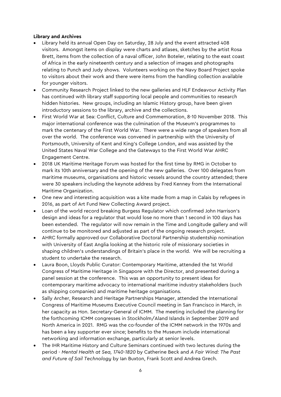## **Library and Archives**

- Library held its annual Open Day on Saturday, 28 July and the event attracted 408 visitors. Amongst items on display were charts and atlases, sketches by the artist Rosa Brett, items from the collection of a naval officer, John Boteler, relating to the east coast of Africa in the early nineteenth century and a selection of images and photographs relating to Punch and Judy shows. Volunteers working on the Navy Board Project spoke to visitors about their work and there were items from the handling collection available for younger visitors.
- Community Research Project linked to the new galleries and HLF Endeavour Activity Plan has continued with library staff supporting local people and communities to research hidden histories. New groups, including an Islamic History group, have been given introductory sessions to the library, archive and the collections.
- First World War at Sea: Conflict, Culture and Commemoration, 8-10 November 2018. This major international conference was the culmination of the Museum's programmes to mark the centenary of the First World War. There were a wide range of speakers from all over the world. The conference was convened in partnership with the University of Portsmouth, University of Kent and King's College London, and was assisted by the United States Naval War College and the Gateways to the First World War AHRC Engagement Centre.
- 2018 UK Maritime Heritage Forum was hosted for the first time by RMG in October to mark its 10th anniversary and the opening of the new galleries. Over 100 delegates from maritime museums, organisations and historic vessels around the country attended; there were 30 speakers including the keynote address by Fred Kenney from the International Maritime Organization.
- One new and interesting acquisition was a kite made from a map in Calais by refugees in 2016, as part of Art Fund New Collecting Award project.
- Loan of the world record breaking Burgess Regulator which confirmed John Harrison's design and ideas for a regulator that would lose no more than 1 second in 100 days has been extended. The regulator will now remain in the Time and Longitude gallery and will continue to be monitored and adjusted as part of the ongoing research project.
- AHRC formally approved our Collaborative Doctoral Partnership studentship nomination with University of East Anglia looking at the historic role of missionary societies in shaping children's understandings of Britain's place in the world. We will be recruiting a student to undertake the research.
- Laura Boon, Lloyds Public Curator: Contemporary Maritime, attended the 1st World Congress of Maritime Heritage in Singapore with the Director, and presented during a panel session at the conference. This was an opportunity to present ideas for contemporary maritime advocacy to international maritime industry stakeholders (such as shipping companies) and maritime heritage organisations.
- Sally Archer, Research and Heritage Partnerships Manager, attended the International Congress of Maritime Museums Executive Council meeting in San Francisco in March, in her capacity as Hon. Secretary-General of ICMM. The meeting included the planning for the forthcoming ICMM congresses in Stockholm/Aland Islands in September 2019 and North America in 2021. RMG was the co-founder of the ICMM network in the 1970s and has been a key supporter ever since; benefits to the Museum include international networking and information exchange, particularly at senior levels.
- The IHR Maritime History and Culture Seminars continued with two lectures during the period - *Mental Health at Sea, 1740-1820* by Catherine Beck and *A Fair Wind: The Past and Future of Sail Technology* by Ian Buxton, Frank Scott and Andrea Grech.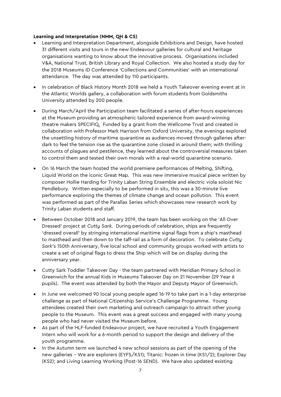#### **Learning and Interpretation (NMM, QH & CS)**

- Learning and Interpretation Department, alongside Exhibitions and Design, have hosted 31 different visits and tours in the new Endeavour galleries for cultural and heritage organisations wanting to know about the innovative process. Organisations included V&A, National Trust, British Library and Royal Collection. We also hosted a study day for the 2018 Museums ID Conference 'Collections and Communities' with an international attendance. The day was attended by 110 participants.
- In celebration of Black History Month 2018 we held a Youth Takeover evening event at in the Atlantic Worlds gallery, a collaboration with forum students from Goldsmiths University attended by 200 people.
- During March/April the Participation team facilitated a series of after-hours experiences at the Museum providing an atmospheric tailored experience from award-winning theatre makers SPECIFIQ. Funded by a grant from the Wellcome Trust and created in collaboration with Professor Mark Harrison from Oxford University, the evenings explored the unsettling history of maritime quarantine as audiences moved through galleries afterdark to feel the tension rise as the quarantine zone closed in around them; with thrilling accounts of plagues and pestilence, they learned about the controversial measures taken to control them and tested their own morals with a real-world quarantine scenario.
- On 16 March the team hosted the world premiere performances of Melting, Shifting, Liquid World on the iconic Great Map. This was new immersive musical piece written by composer Hollie Harding for Trinity Laban String Ensemble and electric viola soloist Nic Pendlebury. Written especially to be performed in situ, this was a 30-minute live performance exploring the themes of climate change and ocean pollution. This event was performed as part of the Parallax Series which showcases new research work by Trinity Laban students and staff.
- Between October 2018 and January 2019, the team has been working on the 'All Over Dressed' project at *Cutty Sark.* During periods of celebration, ships are frequently 'dressed overall' by stringing international maritime signal flags from a ship's masthead to masthead and then down to the taff-rail as a form of decoration. To celebrate *Cutty Sark's* 150th Anniversary, five local school and community groups worked with artists to create a set of original flags to dress the Ship which will be on display during the anniversary year.
- Cutty Sark Toddler Takeover Day the team partnered with Meridian Primary School in Greenwich for the annual Kids in Museums Takeover Day on 21 November (29 Year 6 pupils). The event was attended by both the Mayor and Deputy Mayor of Greenwich.
- In June we welcomed 90 local young people aged 16-19 to take part in a 1-day enterprise challenge as part of National Citizenship Service's Challenge Programme. Young attendees created their own marketing and outreach campaign to attract other young people to the Museum. This event was a great success and engaged with many young people who had never visited the Museum before.
- As part of the HLF-funded Endeavour project, we have recruited a Youth Engagement Intern who will work for a 6-month period to support the design and delivery of the youth programme.
- In the Autumn term we launched 4 new school sessions as part of the opening of the new galleries – We are explorers (EYFS/KS1); Titanic: frozen in time (KS1/2); Explorer Day (KS2); and Living Learning Working (Post-16 SEND). We have also updated existing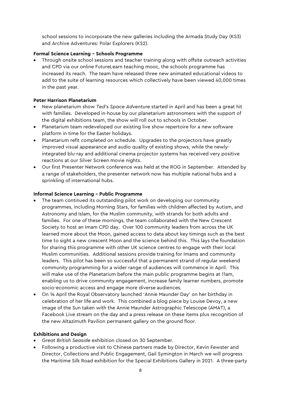school sessions to incorporate the new galleries including the Armada Study Day (KS3) and Archive Adventures: Polar Explorers (KS2).

## **Formal Science Learning – Schools Programme**

• Through onsite school sessions and teacher training along with offsite outreach activities and CPD via our online FutureLearn teaching mooc, the schools programme has increased its reach. The team have released three new animated educational videos to add to the suite of learning resources which collectively have been viewed 40,000 times in the past year.

## **Peter Harrison Planetarium**

- New planetarium show *Ted's Space Adventure* started in April and has been a great hit with families. Developed in-house by our planetarium astronomers with the support of the digital exhibitions team, the show will roll out to schools in October.
- Planetarium team redeveloped our existing live show repertoire for a new software platform in time for the Easter holidays.
- Planetarium refit completed on schedule. Upgrades to the projectors have greatly improved visual appearance and audio quality of existing shows, while the newlyintegrated blu-ray and additional cinema projector systems has received very positive reactions at our Silver Screen movie nights.
- Our first Presenter Network conference was held at the ROG in September. Attended by a range of stakeholders, the presenter network now has multiple national hubs and a sprinkling of international hubs.

#### **Informal Science Learning – Public Programme**

- The team continued its outstanding pilot work on developing our community programmes, including Morning Stars, for families with children affected by Autism, and Astronomy and Islam, for the Muslim community, with strands for both adults and families. For one of these mornings, the team collaborated with the New Crescent Society to host an Imam CPD day. Over 100 community leaders from across the UK learned more about the Moon, gained access to data about key timings such as the best time to sight a new crescent Moon and the science behind this. This lays the foundation for sharing this programme with other UK science centres to engage with their local Muslim communities. Additional sessions provide training for Imams and community leaders. This pilot has been so successful that a permanent strand of regular weekend community programming for a wider range of audiences will commence in April. This will make use of the Planetarium before the main public programme begins at 11am, enabling us to drive community engagement, increase family learner numbers, promote socio-economic access and engage more diverse audiences.
- On 14 April the Royal Observatory launched 'Annie Maunder Day' on her birthday in celebration of her life and work. This combined a blog piece by Louise Devoy, a new image of the Sun taken with the Annie Maunder Astrographic Telescope (AMAT), a Facebook Live stream on the day and a press release on these items plus recognition of the new Altazimuth Pavilion permanent gallery on the ground floor.

#### **Exhibitions and Design**

- *Great British Seaside* exhibition closed on 30 September.
- Following a productive visit to Chinese partners made by Director, Kevin Fewster and Director, Collections and Public Engagement, Gail Symington in March we will progress the Maritime Silk Road exhibition for the Special Exhibitions Gallery in 2021. A three-party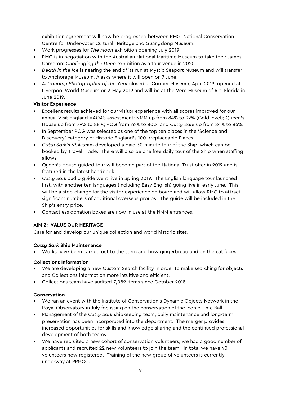exhibition agreement will now be progressed between RMG, National Conservation Centre for Underwater Cultural Heritage and Guangdong Museum.

- Work progresses for *The Moon* exhibition opening July 2019
- RMG is in negotiation with the Australian National Maritime Museum to take their James Cameron: *Challenging the Deep* exhibition as a tour venue in 2020.
- *Death in the Ice* is nearing the end of its run at Mystic Seaport Museum and will transfer to Anchorage Museum, Alaska where it will open on 7 June.
- *Astronomy Photographer of the Year* closed at Cooper Museum, April 2019, opened at Liverpool World Museum on 3 May 2019 and will be at the Vero Museum of Art, Florida in June 2019.

## **Visitor Experience**

- Excellent results achieved for our visitor experience with all scores improved for our annual Visit England VAQAS assessment: NMM up from 84% to 92% (Gold level); Queen's House up from 79% to 88%; ROG from 76% to 80%; and *Cutty Sark* up from 84% to 86%.
- In September ROG was selected as one of the top ten places in the 'Science and Discovery' category of Historic England's 100 Irreplaceable Places.
- *Cutty Sark*'s VSA team developed a paid 30-minute tour of the Ship, which can be booked by Travel Trade. There will also be one free daily tour of the Ship when staffing allows.
- Queen's House guided tour will become part of the National Trust offer in 2019 and is featured in the latest handbook.
- *Cutty Sark* audio guide went live in Spring 2019. The English language tour launched first, with another ten languages (including Easy English) going live in early June. This will be a step-change for the visitor experience on board and will allow RMG to attract significant numbers of additional overseas groups. The guide will be included in the Ship's entry price.
- Contactless donation boxes are now in use at the NMM entrances.

## **AIM 2: VALUE OUR HERITAGE**

Care for and develop our unique collection and world historic sites.

## *Cutty Sark* **Ship Maintenance**

• Works have been carried out to the stern and bow gingerbread and on the cat faces.

## **Collections Information**

- We are developing a new Custom Search facility in order to make searching for objects and Collections information more intuitive and efficient.
- Collections team have audited 7,089 items since October 2018

## **Conservation**

- We ran an event with the Institute of Conservation's Dynamic Objects Network in the Royal Observatory in July focussing on the conservation of the iconic Time Ball.
- Management of the *Cutty Sark* shipkeeping team, daily maintenance and long-term preservation has been incorporated into the department. The merger provides increased opportunities for skills and knowledge sharing and the continued professional development of both teams.
- We have recruited a new cohort of conservation volunteers; we had a good number of applicants and recruited 22 new volunteers to join the team. In total we have 40 volunteers now registered. Training of the new group of volunteers is currently underway at PPMCC.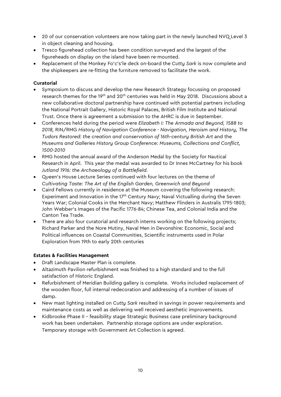- 20 of our conservation volunteers are now taking part in the newly launched NVQ Level 3 in object cleaning and housing.
- Tresco figurehead collection has been condition surveyed and the largest of the figureheads on display on the island have been re-mounted.
- Replacement of the Monkey Fo'c's'le deck on-board the *Cutty Sark* is now complete and the shipkeepers are re-fitting the furniture removed to facilitate the work.

## **Curatorial**

- Symposium to discuss and develop the new Research Strategy focussing on proposed research themes for the 19th and 20th centuries was held in May 2018. Discussions about a new collaborative doctoral partnership have continued with potential partners including the National Portrait Gallery, Historic Royal Palaces, British Film Institute and National Trust. Once there is agreement a submission to the AHRC is due in September.
- Conferences held during the period were *Elizabeth I: The Armada and Beyond, 1588 to 2018,* RIN/RMG *History of Navigation Conference - Navigation, Heroism and History, The Tudors Restored: the creation and conservation of 16th-century British Art* and the *Museums and Galleries History Group Conference: Museums, Collections and Conflict, 1500-2010*
- RMG hosted the annual award of the Anderson Medal by the Society for Nautical Research in April. This year the medal was awarded to Dr Innes McCartney for his book *Jutland 1916: the Archaeology of a Battlefield.*
- Queen's House Lecture Series continued with four lectures on the theme of *Cultivating Taste: The Art of the English Garden, Greenwich and Beyond*
- Caird Fellows currently in residence at the Museum covering the following research: Experiment and Innovation in the 17<sup>th</sup> Century Navy; Naval Victualling during the Seven Years War; Colonial Cooks in the Merchant Navy; Matthew Flinders in Australis 1795-1803; John Webber's Images of the Pacific 1776-84; Chinese Tea, and Colonial India and the Canton Tea Trade.
- There are also four curatorial and research interns working on the following projects; Richard Parker and the Nore Mutiny, Naval Men in Devonshire: Economic, Social and Political influences on Coastal Communities, Scientific instruments used in Polar Exploration from 19th to early 20th centuries

## **Estates & Facilities Management**

- Draft Landscape Master Plan is complete.
- Altazimuth Pavilion refurbishment was finished to a high standard and to the full satisfaction of Historic England.
- Refurbishment of Meridian Building gallery is complete. Works included replacement of the wooden floor, full internal redecoration and addressing of a number of issues of damp.
- New mast lighting installed on *Cutty Sark* resulted in savings in power requirements and maintenance costs as well as delivering well received aesthetic improvements.
- Kidbrooke Phase II feasibility stage Strategic Business case preliminary background work has been undertaken. Partnership storage options are under exploration. Temporary storage with Government Art Collection is agreed.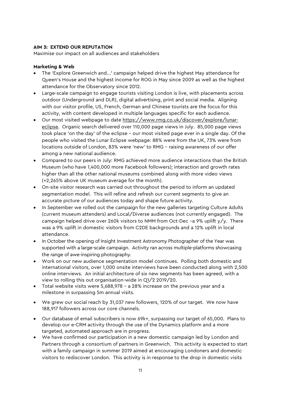## **AIM 3: EXTEND OUR REPUTATION**

Maximise our impact on all audiences and stakeholders

#### **Marketing & Web**

- The 'Explore Greenwich and...' campaign helped drive the highest May attendance for Queen's House and the highest income for ROG in May since 2009 as well as the highest attendance for the Observatory since 2012.
- Large-scale campaign to engage tourists visiting London is live, with placements across outdoor (Underground and DLR), digital advertising, print and social media. Aligning with our visitor profile, US, French, German and Chinese tourists are the focus for this activity, with content developed in multiple languages specific for each audience.
- Our most visited webpage to date [https://www.rmg.co.uk/discover/explore/lunar](https://www.rmg.co.uk/discover/explore/lunar-eclipse)[eclipse.](https://www.rmg.co.uk/discover/explore/lunar-eclipse) Organic search delivered over 110,000 page views in July. 85,000 page views took place 'on the day' of the eclipse – our most visited page ever in a single day. Of the people who visited the Lunar Eclipse webpage: 88% were from the UK, 73% were from locations outside of London, 83% were 'new' to RMG – raising awareness of our offer among a new national audience.
- Compared to our peers in July: RMG achieved more audience interactions than the British Museum (who have 1,400,000 more Facebook followers); interaction and growth rates higher than all the other national museums combined along with more video views (+2,265% above UK museum average for the month).
- On-site visitor research was carried out throughout the period to inform an updated segmentation model. This will refine and refresh our current segments to give an accurate picture of our audiences today and shape future activity.
- In September we rolled out the campaign for the new galleries targeting Culture Adults (current museum attenders) and Local/Diverse audiences (not currently engaged). The campaign helped drive over 260k visitors to NMM from Oct-Dec –a 9% uplift y/y. There was a 9% uplift in domestic visitors from C2DE backgrounds and a 12% uplift in local attendance.
- In October the opening of Insight Investment Astronomy Photographer of the Year was supported with a large-scale campaign. Activity ran across multiple-platforms showcasing the range of awe-inspiring photography.
- Work on our new audience segmentation model continues. Polling both domestic and international visitors, over 1,000 onsite interviews have been conducted along with 2,500 online interviews. An initial architecture of six new segments has been agreed, with a view to rolling this out organisation-wide in Q1/2 2019/20.
- Total website visits were 5,688,978 a 28% increase on the previous year and a milestone in surpassing 5m annual visits.
- We grew our social reach by 31,037 new followers, 120% of our target. We now have 188,917 followers across our core channels.
- Our database of email subscribers is now 69k+, surpassing our target of 65,000. Plans to develop our e-CRM activity through the use of the Dynamics platform and a more targeted, automated approach are in progress.
- We have confirmed our participation in a new domestic campaign led by London and Partners through a consortium of partners in Greenwich. This activity is expected to start with a family campaign in summer 2019 aimed at encouraging Londoners and domestic visitors to rediscover London. This activity is in response to the drop in domestic visits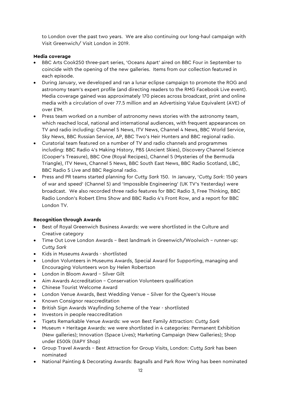to London over the past two years. We are also continuing our long-haul campaign with Visit Greenwich/ Visit London in 2019.

## **Media coverage**

- BBC Arts Cook250 three-part series, 'Oceans Apart' aired on BBC Four in September to coincide with the opening of the new galleries. Items from our collection featured in each episode.
- During January, we developed and ran a lunar eclipse campaign to promote the ROG and astronomy team's expert profile (and directing readers to the RMG Facebook Live event). Media coverage gained was approximately 170 pieces across broadcast, print and online media with a circulation of over 77.5 million and an Advertising Value Equivalent (AVE) of over £1M.
- Press team worked on a number of astronomy news stories with the astronomy team, which reached local, national and international audiences, with frequent appearances on TV and radio including: Channel 5 News, ITV News, Channel 4 News, BBC World Service, Sky News, BBC Russian Service, AP, BBC Two's Heir Hunters and BBC regional radio.
- Curatorial team featured on a number of TV and radio channels and programmes including: BBC Radio 4's Making History, PBS (Ancient Skies), Discovery Channel Science (Cooper's Treasure), BBC One (Royal Recipes), Channel 5 (Mysteries of the Bermuda Triangle), ITV News, Channel 5 News, BBC South East News, BBC Radio Scotland, LBC, BBC Radio 5 Live and BBC Regional radio.
- Press and PR teams started planning for *Cutty Sark* 150. In January, '*Cutty Sark*: 150 years of war and speed' (Channel 5) and 'Impossible Engineering' (UK TV's Yesterday) were broadcast. We also recorded three radio features for BBC Radio 3, Free Thinking, BBC Radio London's Robert Elms Show and BBC Radio 4's Front Row, and a report for BBC London TV.

## **Recognition through Awards**

- Best of Royal Greenwich Business Awards: we were shortlisted in the Culture and Creative category
- Time Out Love London Awards Best landmark in Greenwich/Woolwich runner-up: *Cutty Sark*
- Kids in Museums Awards shortlisted
- London Volunteers in Museums Awards, Special Award for Supporting, managing and Encouraging Volunteers won by Helen Robertson
- London in Bloom Award Silver Gilt
- Aim Awards Accreditation Conservation Volunteers qualification
- Chinese Tourist Welcome Award
- London Venue Awards, Best Wedding Venue Silver for the Queen's House
- Known Consignor reaccreditation
- British Sign Awards Wayfinding Scheme of the Year shortlisted
- Investors in people reaccreditation
- Tiqets Remarkable Venue Awards: we won Best Family Attraction: *Cutty Sark*
- Museum + Heritage Awards: we were shortlisted in 4 categories: Permanent Exhibition (New galleries); Innovation (Space Lives); Marketing Campaign (New Galleries); Shop under £500k (IIAPY Shop)
- Group Travel Awards Best Attraction for Group Visits, London: *Cutty Sark* has been nominated
- National Painting & Decorating Awards: Bagnalls and Park Row Wing has been nominated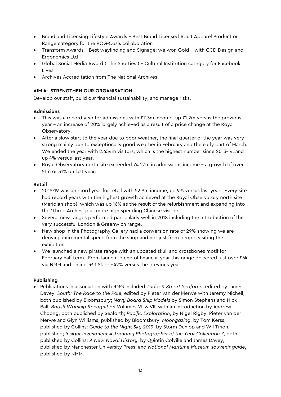- Brand and Licensing Lifestyle Awards Best Brand Licensed Adult Apparel Product or Range category for the ROG-Oasis collaboration
- Transform Awards Best wayfinding and Signage: we won Gold with CCD Design and Ergonomics Ltd
- Global Social Media Award ('The Shorties') Cultural Institution category for Facebook Lives
- Archives Accreditation from The National Archives

## **AIM 4: STRENGTHEN OUR ORGANISATION**

Develop our staff, build our financial sustainability, and manage risks.

## **Admissions**

- This was a record year for admissions with £7.3m income, up £1.2m versus the previous year – an increase of 20% largely achieved as a result of a price change at the Royal Observatory.
- After a slow start to the year due to poor weather, the final quarter of the year was very strong mainly due to exceptionally good weather in February and the early part of March. We ended the year with 2.654m visitors, which is the highest number since 2013-14, and up 4% versus last year.
- Royal Observatory north site exceeded  $£4.27m$  in admissions income a growth of over £1m or 31% on last year.

## **Retail**

- 2018-19 was a record year for retail with £2.9m income, up 9% versus last year. Every site had record years with the highest growth achieved at the Royal Observatory north site (Meridian shop), which was up 16% as the result of the refurbishment and expanding into the 'Three Arches' plus more high spending Chinese visitors.
- Several new ranges performed particularly well in 2018 including the introduction of the very successful London & Greenwich range.
- New shop in the Photography Gallery had a conversion rate of 29% showing we are deriving incremental spend from the shop and not just from people visiting the exhibition.
- We launched a new pirate range with an updated skull and crossbones motif for February half term. From launch to end of financial year this range delivered just over £6k via NMM and online, +£1.8k or +42% versus the previous year.

## **Publishing**

• Publications in association with RMG included *Tudor & Stuart Seafarers* edited by James Davey; *South: The Race to the Pole*, edited by Pieter van der Merwe with Jeremy Michell, both published by Bloomsbury; *Navy Board Ship Models* by Simon Stephens and Nick Ball; *British Warship Recognition* Volumes VII & VIII with an introduction by Andrew Choong, both published by Seaforth; *Pacific Exploration*, by Nigel Rigby, Pieter van der Merwe and Glyn Williams, published by Bloomsbury; *Moongazing*, by Tom Kerss, published by Collins; *Guide to the Night Sky 2019*, by Storm Dunlop and Wil Tirion, published; *Insight Investment Astronomy Photographer of the Year Collection 7*, both published by Collins; *A New Naval History*, by Quintin Colville and James Davey, published by Manchester University Press; and *National Maritime Museum souvenir guide*, published by NMM.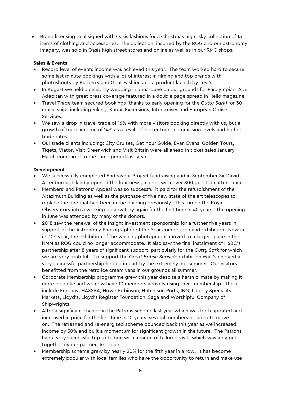• Brand licensing deal signed with Oasis fashions for a Christmas night sky collection of 15 items of clothing and accessories. The collection, inspired by the ROG and our astronomy imagery, was sold in Oasis high street stores and online as well as in our RMG shops.

## **Sales & Events**

- Record level of events income was achieved this year. The team worked hard to secure some last minute bookings with a lot of interest in filming and top brands with photoshoots by Burberry and Goat Fashion and a product launch by Levi's.
- In August we held a celebrity wedding in a marquee on our grounds for Paralympian, Ade Adepitan with great press coverage featured in a double page spread in Hello magazine.
- Travel Trade team secured bookings (thanks to early opening for the *Cutty Sark)* for 30 cruise ships including Viking, Kuoni, Excursions, Intercruises and European Cruise Services.
- We saw a drop in travel trade of 16% with more visitors booking directly with us, but a growth of trade income of 14% as a result of better trade commission levels and higher trade rates.
- Our trade clients including: City Cruises, Get Your Guide, Evan Evans, Golden Tours, Tiqets, Viator, Visit Greenwich and Visit Britain were all ahead in ticket sales January – March compared to the same period last year.

## **Development**

- We successfully completed Endeavour Project fundraising and in September Sir David Attenborough kindly opened the four new galleries with over 800 guests in attendance.
- Members' and Patrons' Appeal was so successful it paid for the refurbishment of the Altazimuth Building as well as the purchase of five new state of the art telescopes to replace the one that had been in the building previously. This turned the Royal Observatory into a working observatory again for the first time in 40 years. The opening in June was attended by many of the donors.
- 2018 saw the renewal of the Insight Investment sponsorship for a further five years in support of the Astronomy Photographer of the Year competition and exhibition. Now in its  $10<sup>th</sup>$  year, the exhibition of the winning photographs moved to a larger space in the NMM as ROG could no longer accommodate. It also saw the final instalment of HSBC's partnership after 8 years of significant support, particularly for the *Cutty Sark* for which we are very grateful. To support the *Great British Seaside* exhibition Wall's enjoyed a very successful partnership helped in part by the extremely hot summer. Our visitors benefitted from the retro ice cream vans in our grounds all summer.
- Corporate Membership programme grew this year despite a harsh climate by making it more bespoke and we now have 10 members actively using their membership. These include Euronav, HASSRA, Howe Robinson, Hutchison Ports, ING, Liberty Speciality Markets, Lloyd's, Lloyd's Register Foundation, Saga and Worshipful Company of Shipwrights.
- After a significant change in the Patrons scheme last year which was both updated and increased in price for the first time in 10 years, several members decided to move on. The refreshed and re-energised scheme bounced back this year as we increased income by 30% and built a momentum for significant growth in the future. The Patrons had a very successful trip to Lisbon with a range of tailored visits which was ably put together by our partner, Art Tours.
- Membership scheme grew by nearly 20% for the fifth year in a row. It has become extremely popular with local families who have the opportunity to return and make use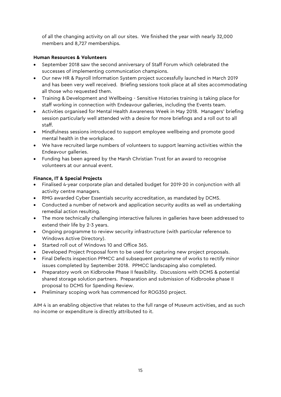of all the changing activity on all our sites. We finished the year with nearly 32,000 members and 8,727 memberships.

## **Human Resources & Volunteers**

- September 2018 saw the second anniversary of Staff Forum which celebrated the successes of implementing communication champions.
- Our new HR & Payroll Information System project successfully launched in March 2019 and has been very well received. Briefing sessions took place at all sites accommodating all those who requested them.
- Training & Development and Wellbeing Sensitive Histories training is taking place for staff working in connection with Endeavour galleries, including the Events team.
- Activities organised for Mental Health Awareness Week in May 2018. Managers' briefing session particularly well attended with a desire for more briefings and a roll out to all staff.
- Mindfulness sessions introduced to support employee wellbeing and promote good mental health in the workplace.
- We have recruited large numbers of volunteers to support learning activities within the Endeavour galleries.
- Funding has been agreed by the Marsh Christian Trust for an award to recognise volunteers at our annual event.

## **Finance, IT & Special Projects**

- Finalised 4-year corporate plan and detailed budget for 2019-20 in conjunction with all activity centre managers.
- RMG awarded Cyber Essentials security accreditation, as mandated by DCMS.
- Conducted a number of network and application security audits as well as undertaking remedial action resulting.
- The more technically challenging interactive failures in galleries have been addressed to extend their life by 2-3 years.
- Ongoing programme to review security infrastructure (with particular reference to Windows Active Directory).
- Started roll out of Windows 10 and Office 365.
- Developed Project Proposal form to be used for capturing new project proposals.
- Final Defects inspection PPMCC and subsequent programme of works to rectify minor issues completed by September 2018. PPMCC landscaping also completed.
- Preparatory work on Kidbrooke Phase II feasibility. Discussions with DCMS & potential shared storage solution partners. Preparation and submission of Kidbrooke phase II proposal to DCMS for Spending Review.
- Preliminary scoping work has commenced for ROG350 project.

AIM 4 is an enabling objective that relates to the full range of Museum activities, and as such no income or expenditure is directly attributed to it.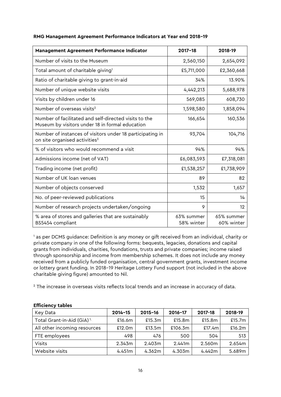| Management Agreement Performance Indicator                                                               | $2017 - 18$              | 2018-19                  |
|----------------------------------------------------------------------------------------------------------|--------------------------|--------------------------|
| Number of visits to the Museum                                                                           | 2,560,150                | 2,654,092                |
| Total amount of charitable giving <sup>1</sup>                                                           | £5,711,000               | £2,360,668               |
| Ratio of charitable giving to grant-in-aid                                                               | 34%                      | 13.90%                   |
| Number of unique website visits                                                                          | 4,442,213                | 5,688,978                |
| Visits by children under 16                                                                              | 569,085                  | 608,730                  |
| Number of overseas visits <sup>2</sup>                                                                   | 1,598,580                | 1,858,094                |
| Number of facilitated and self-directed visits to the<br>Museum by visitors under 18 in formal education | 166,654                  | 160,536                  |
| Number of instances of visitors under 18 participating in<br>on site organised activities <sup>3</sup>   | 93,704                   | 104,716                  |
| % of visitors who would recommend a visit                                                                | 94%                      | 94%                      |
| Admissions income (net of VAT)                                                                           | £6,083,593               | £7,318,081               |
| Trading income (net profit)                                                                              | £1,538,257               | £1,738,909               |
| Number of UK loan venues                                                                                 | 89                       | 82                       |
| Number of objects conserved                                                                              | 1,532                    | 1,657                    |
| No. of peer-reviewed publications                                                                        | 15                       | 14                       |
| Number of research projects undertaken/ongoing                                                           | 9                        | 12                       |
| % area of stores and galleries that are sustainably<br>BS5454 compliant                                  | 63% summer<br>58% winter | 65% summer<br>60% winter |

#### **RMG Management Agreement Performance Indicators at Year end 2018–19**

<sup>1</sup> as per DCMS guidance: Definition is any money or gift received from an individual, charity or private company in one of the following forms: bequests, legacies, donations and capital grants from individuals, charities, foundations, trusts and private companies; income raised through sponsorship and income from membership schemes. It does not include any money received from a publicly funded organisation, central government grants, investment income or lottery grant funding. In 2018–19 Heritage Lottery Fund support (not included in the above charitable giving figure) amounted to Nil.

<sup>2</sup> The increase in overseas visits reflects local trends and an increase in accuracy of data.

| Key Data                               | $2014 - 15$ | $2015 - 16$ | 2016-17 | 2017-18 | 2018-19   |
|----------------------------------------|-------------|-------------|---------|---------|-----------|
| Total Grant-in-Aid (GiA) <sup>1.</sup> | £16.6m      | £15.3m      | £15.8m  | £15.8m  | £15.7 $m$ |
| All other incoming resources           | £12.0m      | £13.5m      | £106.3m | £17.4m  | £16.2m    |
| FTE employees                          | 498         | 476         | 500     | 504     | 513       |
| Visits                                 | 2.343m      | 2.403m      | 2.441m  | 2.560m  | 2.654m    |
| Website visits                         | 4.451m      | 4.362m      | 4.303m  | 4.442m  | 5.689m    |

#### **Efficiency tables**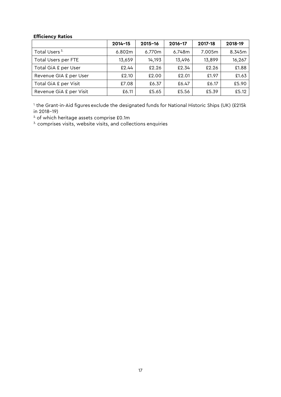## **Efficiency Ratios**

|                           | $2014 - 15$ | $2015 - 16$ | $2016 - 17$ | 2017-18 | 2018-19 |
|---------------------------|-------------|-------------|-------------|---------|---------|
| Total Users <sup>3.</sup> | 6.802m      | 6.770m      | 6.748m      | 7.005m  | 8.345m  |
| Total Users per FTE       | 13,659      | 14,193      | 13,496      | 13,899  | 16,267  |
| Total GiA £ per User      | £2.44       | £2.26       | £2.34       | £2.26   | £1.88   |
| Revenue GIA £ per User    | £2.10       | £2.00       | £2.01       | £1.97   | £1.63   |
| Total GiA £ per Visit     | £7.08       | £6.37       | £6.47       | £6.17   | £5.90   |
| Revenue GiA £ per Visit   | £6.11       | £5.65       | £5.56       | £5.39   | £5.12   |

<sup>1.</sup> the Grant-in-Aid figures exclude the designated funds for National Historic Ships (UK) (£215k in 2018–19)

2. of which heritage assets comprise £0.1m

 $3.$  comprises visits, website visits, and collections enquiries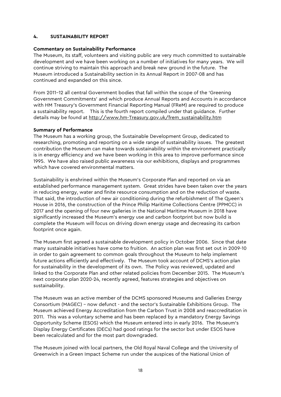#### **4. SUSTAINABILITY REPORT**

#### **Commentary on Sustainability Performance**

The Museum, its staff, volunteers and visiting public are very much committed to sustainable development and we have been working on a number of initiatives for many years. We will continue striving to maintain this approach and break new ground in the future. The Museum introduced a Sustainability section in its Annual Report in 2007-08 and has continued and expanded on this since.

From 2011–12 all central Government bodies that fall within the scope of the 'Greening Government Commitments' and which produce Annual Reports and Accounts in accordance with HM Treasury's Government Financial Reporting Manual (FReM) are required to produce a sustainability report. This is the fourth report compiled under that guidance. Further details may be found at [http://www.hm-Treasury.gov.uk/frem\\_sustainability.htm](http://www.hm-treasury.gov.uk/frem_sustainability.htm)

#### **Summary of Performance**

The Museum has a working group, the Sustainable Development Group, dedicated to researching, promoting and reporting on a wide range of sustainability issues. The greatest contribution the Museum can make towards sustainability within the environment practically is in energy efficiency and we have been working in this area to improve performance since 1995. We have also raised public awareness via our exhibitions, displays and programmes which have covered environmental matters.

Sustainability is enshrined within the Museum's Corporate Plan and reported on via an established performance management system. Great strides have been taken over the years in reducing energy, water and finite resource consumption and on the reduction of waste. That said, the introduction of new air conditioning during the refurbishment of The Queen's House in 2016, the construction of the Prince Philip Maritime Collections Centre (PPMCC) in 2017 and the opening of four new galleries in the National Maritime Museum in 2018 have significantly increased the Museum's energy use and carbon footprint but now build is complete the Museum will focus on driving down energy usage and decreasing its carbon footprint once again.

The Museum first agreed a sustainable development policy in October 2006. Since that date many sustainable initiatives have come to fruition. An action plan was first set out in 2009-10 in order to gain agreement to common goals throughout the Museum to help implement future actions efficiently and effectively. The Museum took account of DCMS's action plan for sustainability in the development of its own. The Policy was reviewed, updated and linked to the Corporate Plan and other related policies from December 2015. The Museum's next corporate plan 2020-24, recently agreed, features strategies and objectives on sustainability.

The Museum was an active member of the DCMS sponsored Museums and Galleries Energy Consortium (MAGEC) – now defunct - and the sector's Sustainable Exhibitions Group. The Museum achieved Energy Accreditation from the Carbon Trust in 2008 and reaccreditation in 2011. This was a voluntary scheme and has been replaced by a mandatory Energy Savings Opportunity Scheme (ESOS) which the Museum entered into in early 2016. The Museum's Display Energy Certificates (DECs) had good ratings for the sector but under ESOS have been recalculated and for the most part downgraded.

The Museum joined with local partners, the Old Royal Naval College and the University of Greenwich in a Green Impact Scheme run under the auspices of the National Union of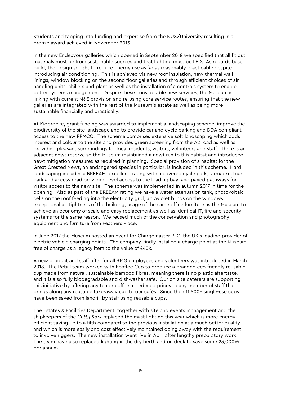Students and tapping into funding and expertise from the NUS/University resulting in a bronze award achieved in November 2015.

In the new Endeavour galleries which opened in September 2018 we specified that all fit out materials must be from sustainable sources and that lighting must be LED. As regards base build, the design sought to reduce energy use as far as reasonably practicable despite introducing air conditioning. This is achieved via new roof insulation, new thermal wall linings, window blocking on the second floor galleries and through efficient choices of air handling units, chillers and plant as well as the installation of a controls system to enable better systems management. Despite these considerable new services, the Museum is linking with current M&E provision and re-using core service routes, ensuring that the new galleries are integrated with the rest of the Museum's estate as well as being more sustainable financially and practically.

At Kidbrooke, grant funding was awarded to implement a landscaping scheme, improve the biodiversity of the site landscape and to provide car and cycle parking and DDA compliant access to the new PPMCC. The scheme comprises extensive soft landscaping which adds interest and colour to the site and provides green screening from the A2 road as well as providing pleasant surroundings for local residents, visitors, volunteers and staff. There is an adjacent newt reserve so the Museum maintained a newt run to this habitat and introduced newt mitigation measures as required in planning. Special provision of a habitat for the Great Crested Newt, an endangered species in particular, is included in this scheme. Hard landscaping includes a BREEAM 'excellent' rating with a covered cycle park, tarmacked car park and access road providing level access to the loading bay, and paved pathways for visitor access to the new site. The scheme was implemented in autumn 2017 in time for the opening. Also as part of the BREEAM rating we have a water attenuation tank, photovoltaic cells on the roof feeding into the electricity grid, ultraviolet blinds on the windows, exceptional air tightness of the building, usage of the same office furniture as the Museum to achieve an economy of scale and easy replacement as well as identical IT, fire and security systems for the same reason. We reused much of the conservation and photography equipment and furniture from Feathers Place.

In June 2017 the Museum hosted an event for Chargemaster PLC, the UK's leading provider of electric vehicle charging points. The company kindly installed a charge point at the Museum free of charge as a legacy item to the value of £40k.

A new product and staff offer for all RMG employees and volunteers was introduced in March 2018. The Retail team worked with Ecoffee Cup to produce a branded eco-friendly reusable cup made from natural, sustainable bamboo fibres, meaning there is no plastic aftertaste, and it is also fully biodegradable and dishwasher safe. Our on-site caterers are supporting this initiative by offering any tea or coffee at reduced prices to any member of staff that brings along any reusable take-away cup to our cafés. Since then 11,500+ single-use cups have been saved from landfill by staff using reusable cups.

The Estates & Facilities Department, together with site and events management and the shipkeepers of the *Cutty Sark* replaced the mast lighting this year which is more energy efficient saving up to a fifth compared to the previous installation at a much better quality and which is more easily and cost effectively maintained doing away with the requirement to involve riggers. The new installation went live in April after lengthy preparatory work. The team have also replaced lighting in the dry berth and on deck to save some 23,000W per annum.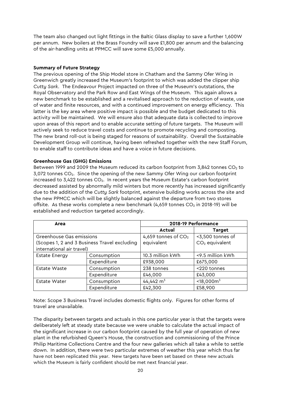The team also changed out light fittings in the Baltic Glass display to save a further 1,600W per annum. New boilers at the Brass Foundry will save £1,800 per annum and the balancing of the air-handling units at PPMCC will save some £5,000 annually.

#### **Summary of Future Strategy**

The previous opening of the Ship Model store in Chatham and the Sammy Ofer Wing in Greenwich greatly increased the Museum's footprint to which was added the clipper ship *Cutty Sark*. The Endeavour Project impacted on three of the Museum's outstations, the Royal Observatory and the Park Row and East Wings of the Museum. This again allows a new benchmark to be established and a revitalised approach to the reduction of waste, use of water and finite resources, and with a continued improvement on energy efficiency. This latter is the key area where positive impact is possible and the budget dedicated to this activity will be maintained. We will ensure also that adequate data is collected to improve upon areas of this report and to enable accurate setting of future targets. The Museum will actively seek to reduce travel costs and continue to promote recycling and composting. The new brand roll-out is being staged for reasons of sustainability. Overall the Sustainable Development Group will continue, having been refreshed together with the new Staff Forum, to enable staff to contribute ideas and have a voice in future decisions.

#### **Greenhouse Gas (GHG) Emissions**

Between 1999 and 2009 the Museum reduced its carbon footprint from 3,842 tonnes  $CO<sub>2</sub>$  to 3,072 tonnes CO2. Since the opening of the new Sammy Ofer Wing our carbon footprint increased to 3,422 tonnes CO<sub>2</sub>. In recent years the Museum Estate's carbon footprint decreased assisted by abnormally mild winters but more recently has increased significantly due to the addition of the *Cutty Sark* footprint, extensive building works across the site and the new PPMCC which will be slightly balanced against the departure from two stores offsite. As these works complete a new benchmark  $(4,659$  tonnes CO<sub>2</sub> in 2018-19) will be established and reduction targeted accordingly.

| Area                                |                                              | 2018-19 Performance   |                  |  |  |
|-------------------------------------|----------------------------------------------|-----------------------|------------------|--|--|
|                                     |                                              | Actual                | <b>Target</b>    |  |  |
| Greenhouse Gas emissions            |                                              | 4,659 tonnes of $CO2$ | <3,500 tonnes of |  |  |
|                                     | (Scopes 1, 2 and 3 Business Travel excluding | equivalent            | $CO2$ equivalent |  |  |
| international air travel)           |                                              |                       |                  |  |  |
| Consumption<br><b>Estate Energy</b> |                                              | 10.3 million kWh      | <9.5 million kWh |  |  |
|                                     | Expenditure                                  | £938,000              | £675,000         |  |  |
| Consumption<br><b>Estate Waste</b>  |                                              | 238 tonnes            | <220 tonnes      |  |  |
| Expenditure                         |                                              | £46,000               | £43,000          |  |  |
| Consumption<br><b>Estate Water</b>  |                                              | $44,442 \text{ m}^3$  | $<$ 18,000 $m3$  |  |  |
|                                     | Expenditure                                  | £42,300               | £58,900          |  |  |

Note: Scope 3 Business Travel includes domestic flights only. Figures for other forms of travel are unavailable.

The disparity between targets and actuals in this one particular year is that the targets were deliberately left at steady state because we were unable to calculate the actual impact of the significant increase in our carbon footprint caused by the full year of operation of new plant in the refurbished Queen's House, the construction and commissioning of the Prince Philip Maritime Collections Centre and the four new galleries which all take a while to settle down. In addition, there were two particular extremes of weather this year which thus far have not been replicated this year. New targets have been set based on these new actuals which the Museum is fairly confident should be met next financial year.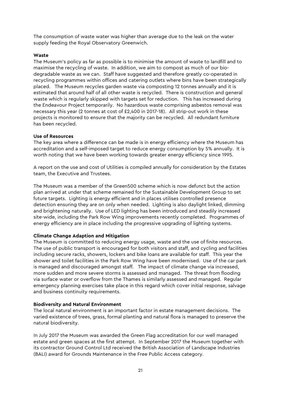The consumption of waste water was higher than average due to the leak on the water supply feeding the Royal Observatory Greenwich.

#### **Waste**

The Museum's policy as far as possible is to minimise the amount of waste to landfill and to maximise the recycling of waste. In addition, we aim to compost as much of our biodegradable waste as we can. Staff have suggested and therefore greatly co-operated in recycling programmes within offices and catering outlets where bins have been strategically placed. The Museum recycles garden waste via composting 12 tonnes annually and it is estimated that around half of all other waste is recycled. There is construction and general waste which is regularly skipped with targets set for reduction. This has increased during the Endeavour Project temporarily. No hazardous waste comprising asbestos removal was necessary this year (2 tonnes at cost of £2,400 in 2017-18). All strip-out work in these projects is monitored to ensure that the majority can be recycled. All redundant furniture has been recycled.

#### **Use of Resources**

The key area where a difference can be made is in energy efficiency where the Museum has accreditation and a self-imposed target to reduce energy consumption by 5% annually. It is worth noting that we have been working towards greater energy efficiency since 1995.

A report on the use and cost of Utilities is compiled annually for consideration by the Estates team, the Executive and Trustees.

The Museum was a member of the Green500 scheme which is now defunct but the action plan arrived at under that scheme remained for the Sustainable Development Group to set future targets. Lighting is energy efficient and in places utilises controlled presence detection ensuring they are on only when needed. Lighting is also daylight linked, dimming and brightening naturally. Use of LED lighting has been introduced and steadily increased site-wide, including the Park Row Wing improvements recently completed. Programmes of energy efficiency are in place including the progressive upgrading of lighting systems.

## **Climate Change Adaption and Mitigation**

The Museum is committed to reducing energy usage, waste and the use of finite resources. The use of public transport is encouraged for both visitors and staff, and cycling and facilities including secure racks, showers, lockers and bike loans are available for staff. This year the shower and toilet facilities in the Park Row Wing have been modernised. Use of the car park is managed and discouraged amongst staff. The impact of climate change via increased, more sudden and more severe storms is assessed and managed. The threat from flooding via surface water or overflow from the Thames is similarly assessed and managed. Regular emergency planning exercises take place in this regard which cover initial response, salvage and business continuity requirements.

## **Biodiversity and Natural Environment**

The local natural environment is an important factor in estate management decisions. The varied existence of trees, grass, formal planting and natural flora is managed to preserve the natural biodiversity.

In July 2017 the Museum was awarded the Green Flag accreditation for our well managed estate and green spaces at the first attempt. In September 2017 the Museum together with its contractor Ground Control Ltd received the British Association of Landscape Industries (BALI) award for Grounds Maintenance in the Free Public Access category.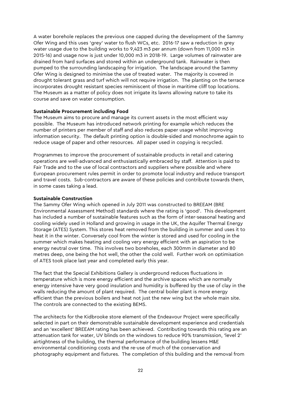A water borehole replaces the previous one capped during the development of the Sammy Ofer Wing and this uses 'grey' water to flush WCs, etc. 2016-17 saw a reduction in grey water usage due to the building works to 9,423 m3 per annum (down from 11,000 m3 in 2015-16) and usage now is just under 10,000 m3 in 2018-19. Large volumes of rainwater are drained from hard surfaces and stored within an underground tank. Rainwater is then pumped to the surrounding landscaping for irrigation. The landscape around the Sammy Ofer Wing is designed to minimise the use of treated water. The majority is covered in drought tolerant grass and turf which will not require irrigation. The planting on the terrace incorporates drought resistant species reminiscent of those in maritime cliff top locations. The Museum as a matter of policy does not irrigate its lawns allowing nature to take its course and save on water consumption.

#### **Sustainable Procurement including Food**

The Museum aims to procure and manage its current assets in the most efficient way possible. The Museum has introduced network printing for example which reduces the number of printers per member of staff and also reduces paper usage whilst improving information security. The default printing option is double-sided and monochrome again to reduce usage of paper and other resources. All paper used in copying is recycled.

Programmes to improve the procurement of sustainable products in retail and catering operations are well-advanced and enthusiastically embraced by staff. Attention is paid to Fair Trade and to the use of local contractors and suppliers where possible and where European procurement rules permit in order to promote local industry and reduce transport and travel costs. Sub-contractors are aware of these policies and contribute towards them, in some cases taking a lead.

#### **Sustainable Construction**

The Sammy Ofer Wing which opened in July 2011 was constructed to BREEAM (BRE Environmental Assessment Method) standards where the rating is 'good'. This development has included a number of sustainable features such as the form of inter-seasonal heating and cooling widely used in Holland and growing in usage in the UK, the Aquifer Thermal Energy Storage (ATES) System. This stores heat removed from the building in summer and uses it to heat it in the winter. Conversely cool from the winter is stored and used for cooling in the summer which makes heating and cooling very energy efficient with an aspiration to be energy neutral over time. This involves two boreholes, each 300mm in diameter and 80 metres deep, one being the hot well, the other the cold well. Further work on optimisation of ATES took place last year and completed early this year.

The fact that the Special Exhibitions Gallery is underground reduces fluctuations in temperature which is more energy efficient and the archive spaces which are normally energy intensive have very good insulation and humidity is buffered by the use of clay in the walls reducing the amount of plant required. The central boiler plant is more energy efficient than the previous boilers and heat not just the new wing but the whole main site. The controls are connected to the existing BEMS.

The architects for the Kidbrooke store element of the Endeavour Project were specifically selected in part on their demonstrable sustainable development experience and credentials and an 'excellent' BREEAM rating has been achieved. Contributing towards this rating are an attenuation tank for water, UV blinds on the windows to reduce 90% transmission, 'level 2' airtightness of the building, the thermal performance of the building lessens M&E environmental conditioning costs and the re-use of much of the conservation and photography equipment and fixtures. The completion of this building and the removal from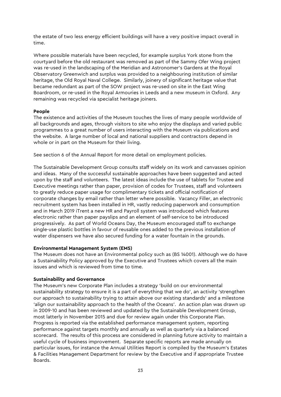the estate of two less energy efficient buildings will have a very positive impact overall in time.

Where possible materials have been recycled, for example surplus York stone from the courtyard before the old restaurant was removed as part of the Sammy Ofer Wing project was re-used in the landscaping of the Meridian and Astronomer's Gardens at the Royal Observatory Greenwich and surplus was provided to a neighbouring institution of similar heritage, the Old Royal Naval College. Similarly, joinery of significant heritage value that became redundant as part of the SOW project was re-used on site in the East Wing Boardroom, or re-used in the Royal Armouries in Leeds and a new museum in Oxford. Any remaining was recycled via specialist heritage joiners.

#### **People**

The existence and activities of the Museum touches the lives of many people worldwide of all backgrounds and ages, through visitors to site who enjoy the displays and varied public programmes to a great number of users interacting with the Museum via publications and the website. A large number of local and national suppliers and contractors depend in whole or in part on the Museum for their living.

See section 6 of the Annual Report for more detail on employment policies.

The Sustainable Development Group consults staff widely on its work and canvasses opinion and ideas. Many of the successful sustainable approaches have been suggested and acted upon by the staff and volunteers. The latest ideas include the use of tablets for Trustee and Executive meetings rather than paper, provision of codes for Trustees, staff and volunteers to greatly reduce paper usage for complimentary tickets and official notification of corporate changes by email rather than letter where possible. Vacancy Filler, an electronic recruitment system has been installed in HR, vastly reducing paperwork and consumption and in March 2019 iTrent a new HR and Payroll system was introduced which features electronic rather than paper payslips and an element of self-service to be introduced progressively. As part of World Oceans Day, the Museum encouraged staff to exchange single-use plastic bottles in favour of reusable ones added to the previous installation of water dispensers we have also secured funding for a water fountain in the grounds.

## **Environmental Management System (EMS)**

The Museum does not have an Environmental policy such as (BS 14001). Although we do have a Sustainability Policy approved by the Executive and Trustees which covers all the main issues and which is reviewed from time to time.

## **Sustainability and Governance**

The Museum's new Corporate Plan includes a strategy 'build on our environmental sustainability strategy to ensure it is a part of everything that we do', an activity 'strengthen our approach to sustainability trying to attain above our existing standards' and a milestone 'align our sustainability approach to the health of the Oceans'. An action plan was drawn up in 2009-10 and has been reviewed and updated by the Sustainable Development Group, most latterly in November 2015 and due for review again under this Corporate Plan. Progress is reported via the established performance management system, reporting performance against targets monthly and annually as well as quarterly via a balanced scorecard. The results of this process are considered in planning future activity to maintain a useful cycle of business improvement. Separate specific reports are made annually on particular issues, for instance the Annual Utilities Report is compiled by the Museum's Estates & Facilities Management Department for review by the Executive and if appropriate Trustee Boards.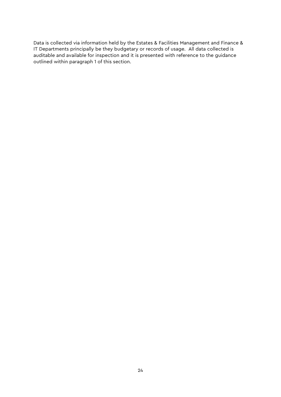Data is collected via information held by the Estates & Facilities Management and Finance & IT Departments principally be they budgetary or records of usage. All data collected is auditable and available for inspection and it is presented with reference to the guidance outlined within paragraph 1 of this section.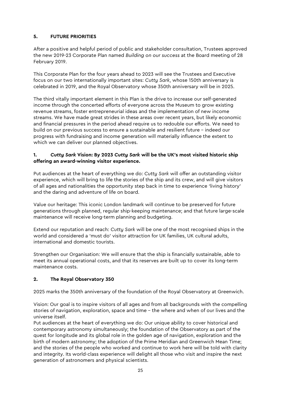## **5. FUTURE PRIORITIES**

After a positive and helpful period of public and stakeholder consultation, Trustees approved the new 2019-23 Corporate Plan named *Building on our success* at the Board meeting of 28 February 2019.

This Corporate Plan for the four years ahead to 2023 will see the Trustees and Executive focus on our two internationally important sites: *Cutty Sark*, whose 150th anniversary is celebrated in 2019, and the Royal Observatory whose 350th anniversary will be in 2025.

The third vitally important element in this Plan is the drive to increase our self-generated income through the concerted efforts of everyone across the Museum to grow existing revenue streams, foster entrepreneurial ideas and the implementation of new income streams. We have made great strides in these areas over recent years, but likely economic and financial pressures in the period ahead require us to redouble our efforts. We need to build on our previous success to ensure a sustainable and resilient future – indeed our progress with fundraising and income generation will materially influence the extent to which we can deliver our planned objectives.

## **1.** *Cutty Sark* **Vision: By 2023** *Cutty Sark* **will be the UK's most visited historic ship offering an award-winning visitor experience.**

Put audiences at the heart of everything we do: *Cutty Sark* will offer an outstanding visitor experience, which will bring to life the stories of the ship and its crew, and will give visitors of all ages and nationalities the opportunity step back in time to experience 'living history' and the daring and adventure of life on board.

Value our heritage: This iconic London landmark will continue to be preserved for future generations through planned, regular ship-keeping maintenance; and that future large-scale maintenance will receive long-term planning and budgeting.

Extend our reputation and reach: *Cutty Sark* will be one of the most recognised ships in the world and considered a 'must do' visitor attraction for UK families, UK cultural adults, international and domestic tourists.

Strengthen our Organisation: We will ensure that the ship is financially sustainable, able to meet its annual operational costs, and that its reserves are built up to cover its long-term maintenance costs.

## **2. The Royal Observatory 350**

2025 marks the 350th anniversary of the foundation of the Royal Observatory at Greenwich.

Vision: Our goal is to inspire visitors of all ages and from all backgrounds with the compelling stories of navigation, exploration, space and time – the where and when of our lives and the universe itself.

Put audiences at the heart of everything we do: Our unique ability to cover historical and contemporary astronomy simultaneously; the foundation of the Observatory as part of the quest for longitude and its global role in the golden age of navigation, exploration and the birth of modern astronomy; the adoption of the Prime Meridian and Greenwich Mean Time; and the stories of the people who worked and continue to work here will be told with clarity and integrity. Its world-class experience will delight all those who visit and inspire the next generation of astronomers and physical scientists.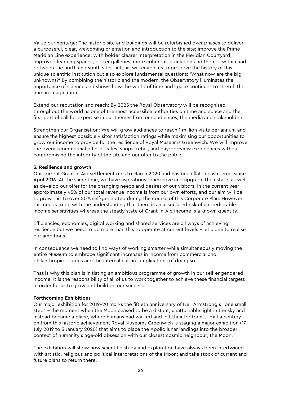Value our heritage: The historic site and buildings will be refurbished over phases to deliver: a purposeful, clear, welcoming orientation and introduction to the site; improve the Prime Meridian Line experience, with bolder clearer interpretation in the Meridian Courtyard; improved learning spaces; better galleries; more coherent circulation and themes within and between the north and south sites. All this will enable us to preserve the history of this unique scientific institution but also explore fundamental questions: 'What now are the big unknowns?' By combining the historic and the modern, the Observatory illuminates the importance of science and shows how the world of time and space continues to stretch the human imagination.

Extend our reputation and reach: By 2025 the Royal Observatory will be recognised throughout the world as one of the most accessible authorities on time and space and the first port of call for expertise in our themes from our audiences, the media and stakeholders.

Strengthen our Organisation: We will grow audiences to reach 1 million visits per annum and ensure the highest possible visitor satisfaction ratings while maximising our opportunities to grow our income to provide for the resilience of Royal Museums Greenwich. We will improve the overall commercial offer of cafes, shops, retail, and pay-per-view experiences without compromising the integrity of the site and our offer to the public.

#### **3. Resilience and growth**

Our current Grant in Aid settlement runs to March 2020 and has been flat in cash terms since April 2016. At the same time, we have aspirations to improve and upgrade the estate, as well as develop our offer for the changing needs and desires of our visitors. In the current year, approximately 45% of our total revenue income is from our own efforts, and our aim will be to grow this to over 50% self-generated during the course of this Corporate Plan. However, this needs to be with the understanding that there is an associated risk of unpredictable income sensitivities whereas the steady state of Grant-in-Aid income is a known quantity.

Efficiencies, economies, digital working and shared services are all ways of achieving resilience but we need to do more than this to operate at current levels – let alone to realise our ambitions.

In consequence we need to find ways of working smarter while simultaneously moving the entire Museum to embrace significant increases in income from commercial and philanthropic sources and the internal cultural implications of doing so.

That is why this plan is initiating an ambitious programme of growth in our self-engendered income. It is the responsibility of all of us to work together to achieve these financial targets in order for us to grow and build on our success.

#### **Forthcoming Exhibitions**

Our major exhibition for 2019–20 marks the fiftieth anniversary of Neil Armstrong's "one small step" – the moment when the Moon ceased to be a distant, unattainable light in the sky and instead became a place, where humans had walked and left their footprints. Half a century on from this historic achievement Royal Museums Greenwich is staging a major exhibition (17 July 2019 to 5 January 2020) that aims to place the Apollo lunar landings into the broader context of humanity's age-old obsession with our closest cosmic neighbour, the Moon.

The exhibition will show how scientific study and exploration have always been intertwined with artistic, religious and political interpretations of the Moon; and take stock of current and future plans to return there.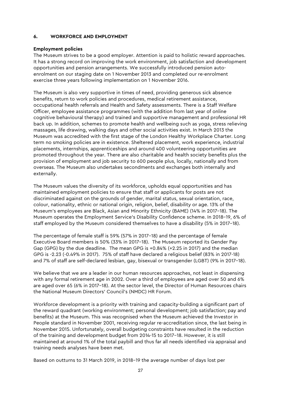#### **6. WORKFORCE AND EMPLOYMENT**

#### **Employment policies**

The Museum strives to be a good employer. Attention is paid to holistic reward approaches. It has a strong record on improving the work environment, job satisfaction and development opportunities and pension arrangements. We successfully introduced pension autoenrolment on our staging date on 1 November 2013 and completed our re-enrolment exercise three years following implementation on 1 November 2016.

The Museum is also very supportive in times of need, providing generous sick absence benefits, return to work policies and procedures, medical retirement assistance, occupational health referrals and Health and Safety assessments. There is a Staff Welfare Officer, employee assistance programmes (with the addition from last year of online cognitive behavioural therapy) and trained and supportive management and professional HR back up. In addition, schemes to promote health and wellbeing such as yoga, stress relieving massages, life drawing, walking days and other social activities exist. In March 2013 the Museum was accredited with the first stage of the London Healthy Workplace Charter. Long term no smoking policies are in existence. Sheltered placement, work experience, industrial placements, internships, apprenticeships and around 400 volunteering opportunities are promoted throughout the year. There are also charitable and health society benefits plus the provision of employment and job security to 600 people plus, locally, nationally and from overseas. The Museum also undertakes secondments and exchanges both internally and externally.

The Museum values the diversity of its workforce, upholds equal opportunities and has maintained employment policies to ensure that staff or applicants for posts are not discriminated against on the grounds of gender, marital status, sexual orientation, race, colour, nationality, ethnic or national origin, religion, belief, disability or age. 13% of the Museum's employees are Black, Asian and Minority Ethnicity (BAME) (14% in 2017–18). The Museum operates the Employment Service's Disability Confidence scheme. In 2018–19, 6% of staff employed by the Museum considered themselves to have a disability (5% in 2017–18).

The percentage of female staff is 59% (57% in 2017–18) and the percentage of female Executive Board members is 50% (33% in 2017–18). The Museum reported its Gender Pay Gap (GPG) by the due deadline. The mean GPG is +0.84% (+2.25 in 2017) and the median GPG is -2.23 (-0.49% in 2017). 75% of staff have declared a religious belief (83% in 2017-18) and 7% of staff are self-declared lesbian, gay, bisexual or transgender (LGBT) (9% in 2017–18).

We believe that we are a leader in our human resources approaches, not least in dispensing with any formal retirement age in 2002. Over a third of employees are aged over 50 and 6% are aged over 65 (6% in 2017–18). At the sector level, the Director of Human Resources chairs the National Museum Directors' Council's (NMDC) HR Forum.

Workforce development is a priority with training and capacity-building a significant part of the reward quadrant (working environment; personal development; job satisfaction; pay and benefits) at the Museum. This was recognised when the Museum achieved the Investor in People standard in November 2001, receiving regular re-accreditation since, the last being in November 2015. Unfortunately, overall budgeting constraints have resulted in the reduction of the training and development budget from 2014-15 to 2017–18. However, it is still maintained at around 1% of the total paybill and thus far all needs identified via appraisal and training needs analyses have been met.

Based on outturns to 31 March 2019, in 2018–19 the average number of days lost per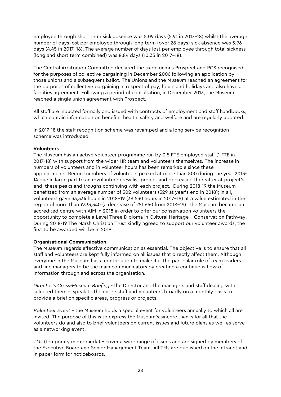employee through short term sick absence was 5.09 days (5.91 in 2017–18) whilst the average number of days lost per employee through long term (over 28 days) sick absence was 3.96 days (4.45 in 2017–18). The average number of days lost per employee through total sickness (long and short term combined) was 8.84 days (10.35 in 2017–18).

The Central Arbitration Committee declared the trade unions Prospect and PCS recognised for the purposes of collective bargaining in December 2006 following an application by those unions and a subsequent ballot. The Unions and the Museum reached an agreement for the purposes of collective bargaining in respect of pay, hours and holidays and also have a facilities agreement. Following a period of consultation, in December 2013, the Museum reached a single union agreement with Prospect.

All staff are inducted formally and issued with contracts of employment and staff handbooks, which contain information on benefits, health, safety and welfare and are regularly updated.

In 2017-18 the staff recognition scheme was revamped and a long service recognition scheme was introduced.

#### **Volunteers**

The Museum has an active volunteer programme run by 0.5 FTE employed staff (1 FTE in 2017-18) with support from the wider HR team and volunteers themselves. The increase in numbers of volunteers and in volunteer hours has been remarkable since these appointments. Record numbers of volunteers peaked at more than 500 during the year 2013- 14 due in large part to an e-volunteer crew list project and decreased thereafter at project's end, these peaks and troughs continuing with each project. During 2018-19 the Museum benefitted from an average number of 302 volunteers (329 at year's end in 2018); in all, volunteers gave 33,334 hours in 2018–19 (38,530 hours in 2017–18) at a value estimated in the region of more than £333,340 (a decrease of £51,660 from 2018–19). The Museum became an accredited centre with AIM in 2018 in order to offer our conservation volunteers the opportunity to complete a Level Three Diploma in Cultural Heritage – Conservation Pathway. During 2018-19 The Marsh Christian Trust kindly agreed to support our volunteer awards, the first to be awarded will be in 2019.

#### **Organisational Communication**

The Museum regards effective communication as essential. The objective is to ensure that all staff and volunteers are kept fully informed on all issues that directly affect them. Although everyone in the Museum has a contribution to make it is the particular role of team leaders and line managers to be the main communicators by creating a continuous flow of information through and across the organisation.

*Director's Cross-Museum Briefing* - the Director and the managers and staff dealing with selected themes speak to the entire staff and volunteers broadly on a monthly basis to provide a brief on specific areas, progress or projects.

*Volunteer Event* – the Museum holds a special event for volunteers annually to which all are invited. The purpose of this is to express the Museum's sincere thanks for all that the volunteers do and also to brief volunteers on current issues and future plans as well as serve as a networking event.

*TMs* (temporary memoranda) **–** cover a wide range of issues and are signed by members of the Executive Board and Senior Management Team. All TMs are published on the Intranet and in paper form for noticeboards.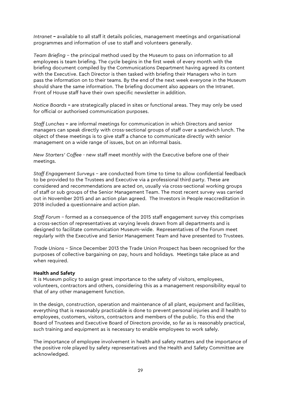*Intranet* **–** available to all staff it details policies, management meetings and organisational programmes and information of use to staff and volunteers generally.

*Team Briefing* – the principal method used by the Museum to pass on information to all employees is team briefing. The cycle begins in the first week of every month with the briefing document compiled by the Communications Department having agreed its content with the Executive. Each Director is then tasked with briefing their Managers who in turn pass the information on to their teams. By the end of the next week everyone in the Museum should share the same information. The briefing document also appears on the Intranet. Front of House staff have their own specific newsletter in addition.

*Notice Boards* **–** are strategically placed in sites or functional areas. They may only be used for official or authorised communication purposes.

*Staff Lunches* **–** are informal meetings for communication in which Directors and senior managers can speak directly with cross-sectional groups of staff over a sandwich lunch. The object of these meetings is to give staff a chance to communicate directly with senior management on a wide range of issues, but on an informal basis.

*New Starters' Coffee -* new staff meet monthly with the Executive before one of their meetings.

*Staff Engagement Surveys* – are conducted from time to time to allow confidential feedback to be provided to the Trustees and Executive via a professional third party. These are considered and recommendations are acted on, usually via cross-sectional working groups of staff or sub groups of the Senior Management Team. The most recent survey was carried out in November 2015 and an action plan agreed. The Investors in People reaccreditation in 2018 included a questionnaire and action plan.

*Staff Forum –* formed as a consequence of the 2015 staff engagement survey this comprises a cross-section of representatives at varying levels drawn from all departments and is designed to facilitate communication Museum-wide. Representatives of the Forum meet regularly with the Executive and Senior Management Team and have presented to Trustees.

*Trade Unions* – Since December 2013 the Trade Union Prospect has been recognised for the purposes of collective bargaining on pay, hours and holidays. Meetings take place as and when required.

#### **Health and Safety**

It is Museum policy to assign great importance to the safety of visitors, employees, volunteers, contractors and others, considering this as a management responsibility equal to that of any other management function.

In the design, construction, operation and maintenance of all plant, equipment and facilities, everything that is reasonably practicable is done to prevent personal injuries and ill health to employees, customers, visitors, contractors and members of the public. To this end the Board of Trustees and Executive Board of Directors provide, so far as is reasonably practical, such training and equipment as is necessary to enable employees to work safely.

The importance of employee involvement in health and safety matters and the importance of the positive role played by safety representatives and the Health and Safety Committee are acknowledged.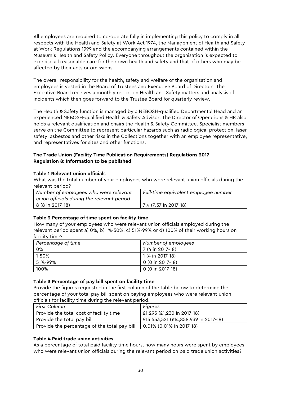All employees are required to co-operate fully in implementing this policy to comply in all respects with the Health and Safety at Work Act 1974, the Management of Health and Safety at Work Regulations 1999 and the accompanying arrangements contained within the Museum's Health and Safety Policy. Everyone throughout the organisation is expected to exercise all reasonable care for their own health and safety and that of others who may be affected by their acts or omissions.

The overall responsibility for the health, safety and welfare of the organisation and employees is vested in the Board of Trustees and Executive Board of Directors. The Executive Board receives a monthly report on Health and Safety matters and analysis of incidents which then goes forward to the Trustee Board for quarterly review.

The Health & Safety function is managed by a NEBOSH-qualified Departmental Head and an experienced NEBOSH-qualified Health & Safety Advisor. The Director of Operations & HR also holds a relevant qualification and chairs the Health & Safety Committee. Specialist members serve on the Committee to represent particular hazards such as radiological protection, laser safety, asbestos and other risks in the Collections together with an employee representative, and representatives for sites and other functions.

## **The Trade Union (Facility Time Publication Requirements) Regulations 2017 Regulation 8: Information to be published**

## **Table 1 Relevant union officials**

What was the total number of your employees who were relevant union officials during the relevant period?

| Number of employees who were relevant<br>union officials during the relevant period | Full-time equivalent employee number |
|-------------------------------------------------------------------------------------|--------------------------------------|
| 8 (8 in 2017-18)                                                                    | $  7.4 (7.37 in 2017-18)$            |

## **Table 2 Percentage of time spent on facility time**

How many of your employees who were relevant union officials employed during the relevant period spent a) 0%, b) 1%-50%, c) 51%-99% or d) 100% of their working hours on facility time?

| Percentage of time | Number of employees |  |  |  |
|--------------------|---------------------|--|--|--|
| 0%                 | 7 (4 in 2017-18)    |  |  |  |
| 1-50%              | 1 (4 in 2017-18)    |  |  |  |
| 51%-99%            | 0 (0 in 2017-18)    |  |  |  |
| 100%               | 0 (0 in 2017-18)    |  |  |  |

## **Table 3 Percentage of pay bill spent on facility time**

Provide the figures requested in the first column of the table below to determine the percentage of your total pay bill spent on paying employees who were relevant union officials for facility time during the relevant period.

| First Column                                 | <b>Figures</b>                       |
|----------------------------------------------|--------------------------------------|
| Provide the total cost of facility time      | £1,295 (£1,230 in 2017-18)           |
| Provide the total pay bill                   | £15,553,521 (£14,858,939 in 2017-18) |
| Provide the percentage of the total pay bill | 0.01% (0.01% in 2017-18)             |

## **Table 4 Paid trade union activities**

As a percentage of total paid facility time hours, how many hours were spent by employees who were relevant union officials during the relevant period on paid trade union activities?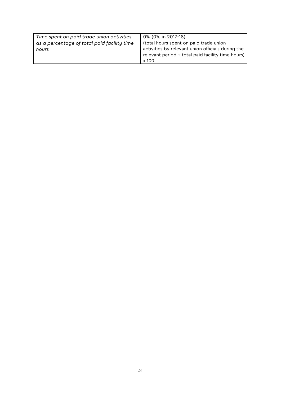| Time spent on paid trade union activities   | 0% (0% in 2017-18)                                |
|---------------------------------------------|---------------------------------------------------|
| as a percentage of total paid facility time | (total hours spent on paid trade union            |
| hours                                       | activities by relevant union officials during the |
|                                             | relevant period ÷ total paid facility time hours) |
|                                             | x 100                                             |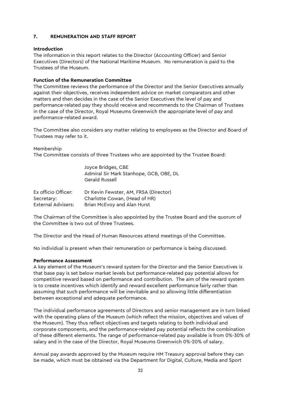#### **7. REMUNERATION AND STAFF REPORT**

#### **Introduction**

The information in this report relates to the Director (Accounting Officer) and Senior Executives (Directors) of the National Maritime Museum. No remuneration is paid to the Trustees of the Museum.

## **Function of the Remuneration Committee**

The Committee reviews the performance of the Director and the Senior Executives annually against their objectives, receives independent advice on market comparators and other matters and then decides in the case of the Senior Executives the level of pay and performance-related pay they should receive and recommends to the Chairman of Trustees in the case of the Director, Royal Museums Greenwich the appropriate level of pay and performance-related award.

The Committee also considers any matter relating to employees as the Director and Board of Trustees may refer to it.

#### Membership

The Committee consists of three Trustees who are appointed by the Trustee Board:

|                           | Joyce Bridges, CBE<br>Admiral Sir Mark Stanhope, GCB, OBE, DL<br>Gerald Russell |
|---------------------------|---------------------------------------------------------------------------------|
| Ex officio Officer:       | Dr Kevin Fewster, AM, FRSA (Director)                                           |
| Secretary:                | Charlotte Cowan, (Head of HR)                                                   |
| <b>External Advisers:</b> | Brian McEvoy and Alan Hurst                                                     |

The Chairman of the Committee is also appointed by the Trustee Board and the quorum of the Committee is two out of three Trustees.

The Director and the Head of Human Resources attend meetings of the Committee.

No individual is present when their remuneration or performance is being discussed.

#### **Performance Assessment**

A key element of the Museum's reward system for the Director and the Senior Executives is that base pay is set below market levels but performance-related pay potential allows for competitive reward based on performance and contribution. The aim of the reward system is to create incentives which identify and reward excellent performance fairly rather than assuming that such performance will be inevitable and so allowing little differentiation between exceptional and adequate performance.

The individual performance agreements of Directors and senior management are in turn linked with the operating plans of the Museum (which reflect the mission, objectives and values of the Museum). They thus reflect objectives and targets relating to both individual and corporate components, and the performance-related pay potential reflects the combination of these different elements. The range of performance-related pay available is from 0%-30% of salary and in the case of the Director, Royal Museums Greenwich 0%-20% of salary.

Annual pay awards approved by the Museum require HM Treasury approval before they can be made, which must be obtained via the Department for Digital, Culture, Media and Sport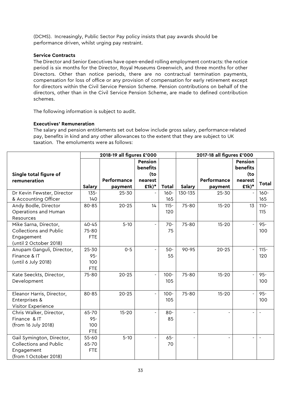(DCMS). Increasingly, Public Sector Pay policy insists that pay awards should be performance driven, whilst urging pay restraint.

#### **Service Contracts**

The Director and Senior Executives have open-ended rolling employment contracts: the notice period is six months for the Director, Royal Museums Greenwich, and three months for other Directors. Other than notice periods, there are no contractual termination payments, compensation for loss of office or any provision of compensation for early retirement except for directors within the Civil Service Pension Scheme. Pension contributions on behalf of the directors, other than in the Civil Service Pension Scheme, are made to defined contribution schemes.

The following information is subject to audit.

#### **Executives' Remuneration**

The salary and pension entitlements set out below include gross salary, performance-related pay, benefits in kind and any other allowances to the extent that they are subject to UK taxation. The emoluments were as follows:

|                               | 2018-19 all figures £'000 |             |                |              | 2017-18 all figures £'000 |                |                          |                |
|-------------------------------|---------------------------|-------------|----------------|--------------|---------------------------|----------------|--------------------------|----------------|
|                               |                           |             | Pension        |              |                           |                | Pension                  |                |
|                               |                           |             | benefits       |              |                           |                | benefits                 |                |
| Single total figure of        |                           |             | (to            |              |                           |                | (to                      |                |
| remuneration                  |                           | Performance | nearest        |              |                           | Performance    | nearest                  | <b>Total</b>   |
|                               | <b>Salary</b>             | payment     | $£1k)*$        | <b>Total</b> | <b>Salary</b>             | payment        | $£1k)*$                  |                |
| Dr Kevin Fewster, Director    | $135 -$                   | 25-30       |                | $160 -$      | 130-135                   | $25 - 30$      |                          | $160 -$        |
| & Accounting Officer          | 140                       |             |                | 165          |                           |                |                          | 165            |
| Andy Bodle, Director          | 80-85                     | $20 - 25$   | 14             | $115 -$      | 75-80                     | $15 - 20$      | 13                       | $110 -$        |
| Operations and Human          |                           |             |                | 120          |                           |                |                          | 115            |
| Resources                     |                           |             |                |              |                           |                |                          |                |
| Mike Sarna, Director,         | $40 - 45$                 | $5 - 10$    |                | $70 -$       | 75-80                     | $15 - 20$      |                          | $95 -$         |
| <b>Collections and Public</b> | 75-80                     |             |                | 75           |                           |                |                          | 100            |
| Engagement                    | <b>FTE</b>                |             |                |              |                           |                |                          |                |
| (until 2 October 2018)        |                           |             |                |              |                           |                |                          |                |
| Anupam Ganguli, Director,     | $25 - 30$                 | $0 - 5$     |                | $50-$        | 90-95                     | $20 - 25$      |                          | $115 -$        |
| Finance & IT                  | $95 -$                    |             |                | 55           |                           |                |                          | 120            |
| (until 6 July 2018)           | 100                       |             |                |              |                           |                |                          |                |
|                               | <b>FTE</b>                |             |                |              |                           |                |                          |                |
| Kate Seeckts, Director,       | 75-80                     | $20 - 25$   |                | $100 -$      | 75-80                     | $15 - 20$      |                          | $95 -$         |
| Development                   |                           |             |                | 105          |                           |                |                          | 100            |
|                               |                           |             |                |              |                           |                |                          |                |
| Eleanor Harris, Director,     | 80-85                     | $20 - 25$   | $\overline{a}$ | $100 -$      | 75-80                     | $15 - 20$      |                          | $95 -$         |
| Enterprises &                 |                           |             |                | 105          |                           |                |                          | 100            |
| Visitor Experience            |                           |             |                |              |                           |                |                          |                |
| Chris Walker, Director,       | 65-70                     | $15 - 20$   |                | $80 -$       | $\overline{a}$            | $\blacksquare$ | $\blacksquare$           | $\blacksquare$ |
| Finance & IT                  | $95 -$                    |             |                | 85           |                           |                |                          |                |
| (from 16 July 2018)           | 100                       |             |                |              |                           |                |                          |                |
|                               | <b>FTE</b>                |             |                |              |                           |                |                          |                |
| Gail Symington, Director,     | $55 - 60$                 | $5 - 10$    |                | $65 -$       | $\blacksquare$            | $\blacksquare$ | $\overline{\phantom{0}}$ | $\blacksquare$ |
| Collections and Public        | 65-70                     |             |                | 70           |                           |                |                          |                |
| Engagement                    | <b>FTE</b>                |             |                |              |                           |                |                          |                |
| (from 1 October 2018)         |                           |             |                |              |                           |                |                          |                |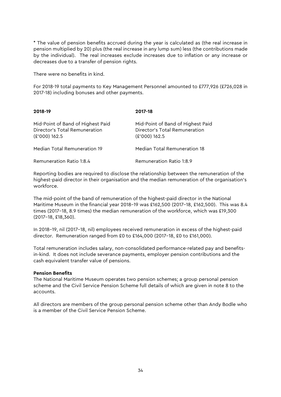\* The value of pension benefits accrued during the year is calculated as (the real increase in pension multiplied by 20) plus (the real increase in any lump sum) less (the contributions made by the individual). The real increases exclude increases due to inflation or any increase or decreases due to a transfer of pension rights.

There were no benefits in kind.

For 2018-19 total payments to Key Management Personnel amounted to £777,926 (£726,028 in 2017-18) including bonuses and other payments.

| 2018-19                                                                             | 2017-18                                                                               |
|-------------------------------------------------------------------------------------|---------------------------------------------------------------------------------------|
| Mid-Point of Band of Highest Paid<br>Director's Total Remuneration<br>(£'000) 162.5 | Mid-Point of Band of Highest Paid<br>Director's Total Remuneration<br>$(E'000)$ 162.5 |
| Median Total Remuneration 19                                                        | <b>Median Total Remuneration 18</b>                                                   |
| Remuneration Ratio 1:8.4                                                            | Remuneration Ratio 1:8.9                                                              |

Reporting bodies are required to disclose the relationship between the remuneration of the highest-paid director in their organisation and the median remuneration of the organisation's workforce.

The mid-point of the band of remuneration of the highest-paid director in the National Maritime Museum in the financial year 2018–19 was £162,500 (2017–18, £162,500). This was 8.4 times (2017–18, 8.9 times) the median remuneration of the workforce, which was £19,300 (2017–18, £18,360).

In 2018–19, nil (2017–18, nil) employees received remuneration in excess of the highest-paid director. Remuneration ranged from £0 to £164,000 (2017–18, £0 to £161,000).

Total remuneration includes salary, non-consolidated performance-related pay and benefitsin-kind. It does not include severance payments, employer pension contributions and the cash equivalent transfer value of pensions.

#### **Pension Benefits**

The National Maritime Museum operates two pension schemes; a group personal pension scheme and the Civil Service Pension Scheme full details of which are given in note 8 to the accounts.

All directors are members of the group personal pension scheme other than Andy Bodle who is a member of the Civil Service Pension Scheme.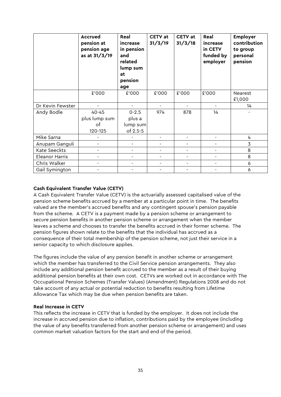|                  | <b>Accrued</b><br>pension at<br>pension age<br>as at 31/3/19 | Real<br>increase<br>in pension<br>and<br>related<br>lump sum<br>at<br>pension<br>age | <b>CETV</b> at<br>31/3/19 | <b>CETV</b> at<br>31/3/18 | Real<br>increase<br>in CETV<br>funded by<br>employer | <b>Employer</b><br>contribution<br>to group<br>personal<br>pension |
|------------------|--------------------------------------------------------------|--------------------------------------------------------------------------------------|---------------------------|---------------------------|------------------------------------------------------|--------------------------------------------------------------------|
|                  | £'000                                                        | £'000                                                                                | £'000                     | £'000                     | £'000                                                | Nearest<br>£1,000                                                  |
| Dr Kevin Fewster |                                                              |                                                                                      | ÷,                        |                           |                                                      | 14                                                                 |
| Andy Bodle       | 40-45<br>plus lump sum<br>of<br>120-125                      | $0 - 2.5$<br>plus a<br>lump sum<br>of 2.5-5                                          | 974                       | 878                       | 14                                                   |                                                                    |
| Mike Sarna       |                                                              |                                                                                      |                           |                           |                                                      | 4                                                                  |
| Anupam Ganguli   |                                                              |                                                                                      |                           |                           |                                                      | 3                                                                  |
| Kate Seeckts     | $\overline{\phantom{a}}$                                     |                                                                                      | $\overline{a}$            |                           |                                                      | 8                                                                  |
| Eleanor Harris   | $\overline{\phantom{a}}$                                     |                                                                                      | $\overline{\phantom{0}}$  |                           |                                                      | 8                                                                  |
| Chris Walker     |                                                              |                                                                                      | ۰                         | $\overline{a}$            |                                                      | 6                                                                  |
| Gail Symington   |                                                              |                                                                                      |                           |                           |                                                      | 6                                                                  |

### **Cash Equivalent Transfer Value (CETV)**

A Cash Equivalent Transfer Value (CETV) is the actuarially assessed capitalised value of the pension scheme benefits accrued by a member at a particular point in time. The benefits valued are the member's accrued benefits and any contingent spouse's pension payable from the scheme. A CETV is a payment made by a pension scheme or arrangement to secure pension benefits in another pension scheme or arrangement when the member leaves a scheme and chooses to transfer the benefits accrued in their former scheme. The pension figures shown relate to the benefits that the individual has accrued as a consequence of their total membership of the pension scheme, not just their service in a senior capacity to which disclosure applies.

The figures include the value of any pension benefit in another scheme or arrangement which the member has transferred to the Civil Service pension arrangements. They also include any additional pension benefit accrued to the member as a result of their buying additional pension benefits at their own cost. CETVs are worked out in accordance with The Occupational Pension Schemes (Transfer Values) (Amendment) Regulations 2008 and do not take account of any actual or potential reduction to benefits resulting from Lifetime Allowance Tax which may be due when pension benefits are taken.

### **Real Increase in CETV**

This reflects the increase in CETV that is funded by the employer. It does not include the increase in accrued pension due to inflation, contributions paid by the employee (including the value of any benefits transferred from another pension scheme or arrangement) and uses common market valuation factors for the start and end of the period.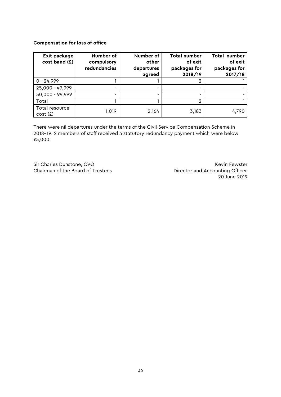#### **Compensation for loss of office**

| Exit package<br>cost band (£) | Number of<br>compulsory<br>redundancies | Number of<br>other<br>departures<br>agreed | <b>Total number</b><br>of exit<br>packages for<br>2018/19 | Total number<br>of exit<br>packages for<br>2017/18 |
|-------------------------------|-----------------------------------------|--------------------------------------------|-----------------------------------------------------------|----------------------------------------------------|
| $0 - 24,999$                  |                                         |                                            | 2                                                         |                                                    |
| 25,000 - 49,999               |                                         |                                            |                                                           |                                                    |
| 50,000 - 99,999               |                                         |                                            |                                                           |                                                    |
| Total                         |                                         |                                            | 2                                                         |                                                    |
| Total resource<br>cost(f)     | 1,019                                   | 2,164                                      | 3,183                                                     | 4,790                                              |

There were nil departures under the terms of the Civil Service Compensation Scheme in 2018–19. 2 members of staff received a statutory redundancy payment which were below £5,000.

Sir Charles Dunstone, CVO **Key Accord COVID-19 Contract COVID-19 COVID-1** Kevin Fewster

Chairman of the Board of Trustees **Director and Accounting Officer** 20 June 2019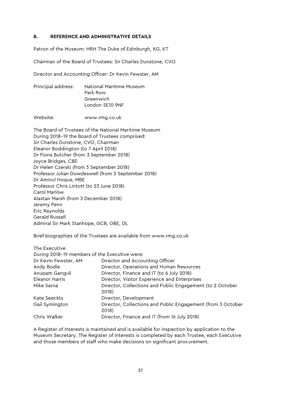#### **8. REFERENCE AND ADMINISTRATIVE DETAILS**

Patron of the Museum: HRH The Duke of Edinburgh, KG, KT

Chairman of the Board of Trustees: Sir Charles Dunstone, CVO

Director and Accounting Officer: Dr Kevin Fewster, AM

Principal address: National Maritime Museum Park Row Greenwich London SE10 9NF

Website: www.rmg.co.uk

The Board of Trustees of the National Maritime Museum During 2018–19 the Board of Trustees comprised: Sir Charles Dunstone, CVO, Chairman Eleanor Boddington (to 7 April 2018) Dr Fiona Butcher (from 3 September 2018) Joyce Bridges, CBE Dr Helen Czerski (from 3 September 2018) Professor Julian Dowdeswell (from 3 September 2018) Dr Aminul Hoque, MBE Professor Chris Lintott (to 23 June 2018) Carol Marlow Alastair Marsh (from 3 December 2018) Jeremy Penn Eric Reynolds Gerald Russell Admiral Sir Mark Stanhope, GCB, OBE, DL

Brief biographies of the Trustees are available from www.rmg.co.uk

| The Executive                                 |                                                                      |
|-----------------------------------------------|----------------------------------------------------------------------|
| During 2018-19 members of the Executive were: |                                                                      |
| Dr Kevin Fewster, AM                          | Director and Accounting Officer                                      |
| Andy Bodle                                    | Director, Operations and Human Resources                             |
| Anupam Ganguli                                | Director, Finance and IT (to 6 July 2018)                            |
| Eleanor Harris                                | Director, Visitor Experience and Enterprises                         |
| Mike Sarna                                    | Director, Collections and Public Engagement (to 2 October<br>2018)   |
| Kate Seeckts                                  | Director, Development                                                |
| Gail Symington                                | Director, Collections and Public Engagement (from 3 October<br>2018) |
| Chris Walker                                  | Director, Finance and IT (from 16 July 2018)                         |

A Register of Interests is maintained and is available for inspection by application to the Museum Secretary. The Register of Interests is completed by each Trustee, each Executive and those members of staff who make decisions on significant procurement.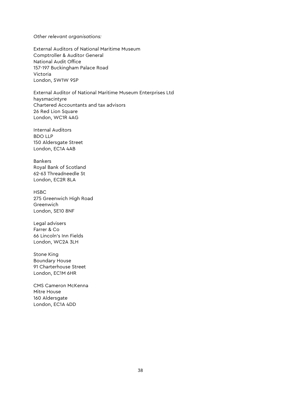*Other relevant organisations:*

External Auditors of National Maritime Museum Comptroller & Auditor General National Audit Office 157-197 Buckingham Palace Road Victoria London, SW1W 9SP

External Auditor of National Maritime Museum Enterprises Ltd haysmacintyre Chartered Accountants and tax advisors 26 Red Lion Square London, WC1R 4AG

Internal Auditors BDO LLP 150 Aldersgate Street London, EC1A 4AB

Bankers Royal Bank of Scotland 62-63 Threadneedle St London, EC2R 8LA

HSBC 275 Greenwich High Road Greenwich London, SE10 8NF

Legal advisers Farrer & Co 66 Lincoln's Inn Fields London, WC2A 3LH

Stone King Boundary House 91 Charterhouse Street London, EC1M 6HR

CMS Cameron McKenna Mitre House 160 Aldersgate London, EC1A 4DD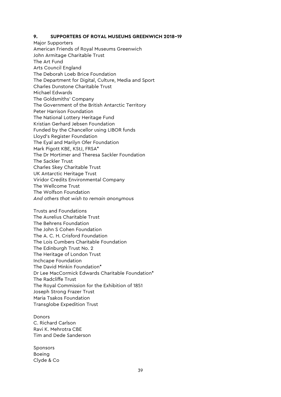#### **9. SUPPORTERS OF ROYAL MUSEUMS GREENWICH 2018–19**

Major Supporters American Friends of Royal Museums Greenwich John Armitage Charitable Trust The Art Fund Arts Council England The Deborah Loeb Brice Foundation The Department for Digital, Culture, Media and Sport Charles Dunstone Charitable Trust Michael Edwards The Goldsmiths' Company The Government of the British Antarctic Territory Peter Harrison Foundation The National Lottery Heritage Fund Kristian Gerhard Jebsen Foundation Funded by the Chancellor using LIBOR funds Lloyd's Register Foundation The Eyal and Marilyn Ofer Foundation Mark Pigott KBE, KStJ, FRSA\* The Dr Mortimer and Theresa Sackler Foundation The Sackler Trust Charles Skey Charitable Trust UK Antarctic Heritage Trust Viridor Credits Environmental Company The Wellcome Trust The Wolfson Foundation *And others that wish to remain anonymous*

Trusts and Foundations The Aurelius Charitable Trust The Behrens Foundation The John S Cohen Foundation The A. C. H. Crisford Foundation The Lois Cumbers Charitable Foundation The Edinburgh Trust No. 2 The Heritage of London Trust Inchcape Foundation The David Minkin Foundation\* Dr Lee MacCormick Edwards Charitable Foundation\* The Radcliffe Trust The Royal Commission for the Exhibition of 1851 Joseph Strong Frazer Trust Maria Tsakos Foundation Transglobe Expedition Trust

Donors C. Richard Carlson Ravi K. Mehrotra CBE Tim and Dede Sanderson

Sponsors Boeing Clyde & Co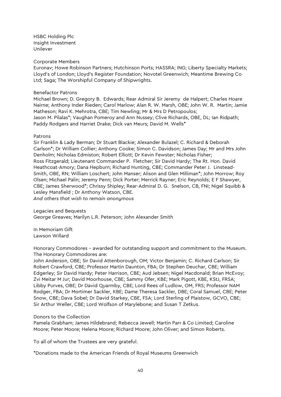HSBC Holding Plc Insight Investment Unilever

#### Corporate Members

Euronav; Howe Robinson Partners; Hutchinson Ports; HASSRA; ING; Liberty Specialty Markets; Lloyd's of London; Lloyd's Register Foundation; Novotel Greenwich; Meantime Brewing Co Ltd; Saga; The Worshipful Company of Shipwrights.

#### Benefactor Patrons

Michael Brown; D. Gregory B. Edwards; Rear Admiral Sir Jeremy de Halpert; Charles Hoare Nairne; Anthony Inder Rieden; Carol Marlow; Alan R. W. Marsh, OBE; John W. R. Martin; Jamie Matheson; Ravi K. Mehrotra, CBE; Tim Newling; Mr & Mrs D Petropoulos; Jason M. Pilalas\*; Vaughan Pomeroy and Ann Nussey; Clive Richards, OBE, DL; Ian Ridpath; Paddy Rodgers and Harriet Drake; Dick van Meurs; David M. Wells\*

#### Patrons

Sir Franklin & Lady Berman; Dr Stuart Blackie; Alexander Bulazel; C. Richard & Deborah Carlson\*; Dr William Collier; Anthony Cooke; Simon C. Davidson; James Day; Mr and Mrs John Denholm; Nicholas Edmiston; Robert Elliott; Dr Kevin Fewster; Nicholas Fisher; Ross Fitzgerald; Lieutenant Commander P. Fletcher; Sir David Hardy; The Rt. Hon. David Heathcoat-Amory; Dana Hepburn; Richard Hunting, CBE; Commander Peter J. Linstead-Smith, OBE, RN; William Loschert; John Manser; Alison and Glen Milliman\*; John Morrow; Roy Olsen; Michael Palin; Jeremy Penn; Dick Porter; Merrick Rayner; Eric Reynolds; E F Shawyer, CBE; James Sherwood\*; Chrissy Shipley; Rear-Admiral D. G. Snelson, CB, FNI; Nigel Squibb & Lesley Mansfield ; Dr Anthony Watson, CBE.

*And others that wish to remain anonymous*

#### Legacies and Bequests

George Greaves; Marilyn L.R. Peterson; John Alexander Smith

In Memoriam Gift Lawson Willard

Honorary Commodores – awarded for outstanding support and commitment to the Museum. The Honorary Commodores are:

John Anderson, OBE; Sir David Attenborough, OM; Victor Benjamin; C. Richard Carlson; Sir Robert Crawford, CBE; Professor Martin Daunton, FBA; Dr Stephen Deuchar, CBE; William Edgerley; Sir David Hardy; Peter Harrison, CBE; Aud Jebsen; Nigel Macdonald; Brian McEvoy; Zvi Meitar M Jur; David Moorhouse, CBE; Sammy Ofer, KBE; Mark Pigott, KBE, KStJ, FRSA; Libby Purves, OBE; Dr David Quarmby, CBE; Lord Rees of Ludlow, OM, FRS; Professor NAM Rodger, FBA; Dr Mortimer Sackler, KBE; Dame Theresa Sackler, DBE; Coral Samuel, CBE; Peter Snow, CBE; Dava Sobel; Dr David Starkey, CBE, FSA; Lord Sterling of Plaistow, GCVO, CBE; Sir Arthur Weller, CBE; Lord Wolfson of Marylebone; and Susan T Zetkus.

#### Donors to the Collection

Pamela Grabham; James Hildebrand; Rebecca Jewell; Martin Parr & Co Limited; Caroline Moore; Peter Moore; Helena Moore; Richard Moore; John Oliver; and Simon Roberts.

To all of whom the Trustees are very grateful.

\*Donations made to the American Friends of Royal Museums Greenwich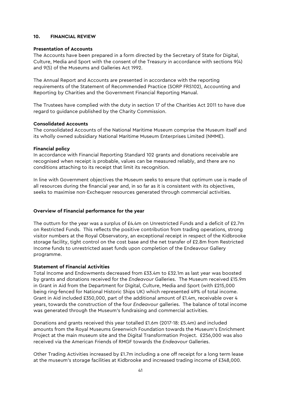#### **10. FINANCIAL REVIEW**

#### **Presentation of Accounts**

The Accounts have been prepared in a form directed by the Secretary of State for Digital, Culture, Media and Sport with the consent of the Treasury in accordance with sections 9(4) and 9(5) of the Museums and Galleries Act 1992.

The Annual Report and Accounts are presented in accordance with the reporting requirements of the Statement of Recommended Practice (SORP FRS102), Accounting and Reporting by Charities and the Government Financial Reporting Manual.

The Trustees have complied with the duty in section 17 of the Charities Act 2011 to have due regard to guidance published by the Charity Commission.

#### **Consolidated Accounts**

The consolidated Accounts of the National Maritime Museum comprise the Museum itself and its wholly owned subsidiary National Maritime Museum Enterprises Limited (NMME).

#### **Financial policy**

In accordance with Financial Reporting Standard 102 grants and donations receivable are recognised when receipt is probable, values can be measured reliably, and there are no conditions attaching to its receipt that limit its recognition.

In line with Government objectives the Museum seeks to ensure that optimum use is made of all resources during the financial year and, in so far as it is consistent with its objectives, seeks to maximise non-Exchequer resources generated through commercial activities.

### **Overview of Financial performance for the year**

The outturn for the year was a surplus of  $£4.4m$  on Unrestricted Funds and a deficit of £2.7m on Restricted Funds. This reflects the positive contribution from trading operations, strong visitor numbers at the Royal Observatory, an exceptional receipt in respect of the Kidbrooke storage facility, tight control on the cost base and the net transfer of £2.8m from Restricted Income funds to unrestricted asset funds upon completion of the Endeavour Gallery programme.

#### **Statement of Financial Activities**

Total Income and Endowments decreased from £33.4m to £32.1m as last year was boosted by grants and donations received for the *Endeavour* Galleries. The Museum received £15.9m in Grant in Aid from the Department for Digital, Culture, Media and Sport (with £215,000 being ring-fenced for National Historic Ships UK) which represented 49% of total income. Grant in Aid included £350,000, part of the additional amount of £1.4m, receivable over 4 years, towards the construction of the four *Endeavour* galleries. The balance of total income was generated through the Museum's fundraising and commercial activities.

Donations and grants received this year totalled £1.6m (2017-18: £5.4m) and included amounts from the Royal Museums Greenwich Foundation towards the Museum's Enrichment Project at the main museum site and the Digital Transformation Project. £256,000 was also received via the American Friends of RMGF towards the *Endeavour* Galleries.

Other Trading Activities increased by £1.7m including a one off receipt for a long term lease at the museum's storage facilities at Kidbrooke and increased trading income of £348,000.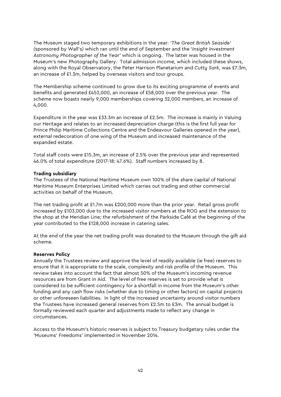The Museum staged two temporary exhibitions in the year: *'The Great British Seaside' (*sponsored by Wall's*)* which ran until the end of September and the '*Insight Investment Astronomy Photographer of the Year'* which is ongoing. The latter was housed in the Museum's new Photography Gallery. Total admission income, which included these shows, along with the Royal Observatory, the Peter Harrison Planetarium and *Cutty Sark*, was £7.3m, an increase of £1.3m, helped by overseas visitors and tour groups.

The Membership scheme continued to grow due to its exciting programme of events and benefits and generated £453,000, an increase of £58,000 over the previous year. The scheme now boasts nearly 9,000 memberships covering 32,000 members, an increase of 4,000.

Expenditure in the year was £33.3m an increase of £2.5m. The increase is mainly in Valuing our Heritage and relates to an increased depreciation charge (this is the first full year for Prince Philip Maritime Collections Centre and the Endeavour Galleries opened in the year), external redecoration of one wing of the Museum and increased maintenance of the expanded estate.

Total staff costs were £15.3m, an increase of 2.5% over the previous year and represented 46.0% of total expenditure (2017-18: 47.6%). Staff numbers increased by 8.

#### **Trading subsidiary**

The Trustees of the National Maritime Museum own 100% of the share capital of National Maritime Museum Enterprises Limited which carries out trading and other commercial activities on behalf of the Museum.

The net trading profit at £1.7m was £200,000 more than the prior year. Retail gross profit increased by £103,000 due to the increased visitor numbers at the ROG and the extension to the shop at the Meridian Line; the refurbishment of the Parkside Café at the beginning of the year contributed to the £128,000 increase in catering sales.

At the end of the year the net trading profit was donated to the Museum through the gift aid scheme.

#### **Reserves Policy**

Annually the Trustees review and approve the level of readily available (ie free) reserves to ensure that it is appropriate to the scale, complexity and risk profile of the Museum. This review takes into account the fact that almost 50% of the Museum's incoming revenue resources are from Grant in Aid. The level of free reserves is set to provide what is considered to be sufficient contingency for a shortfall in income from the Museum's other funding and any cash flow risks (whether due to timing or other factors) on capital projects or other unforeseen liabilities. In light of the increased uncertainty around visitor numbers the Trustees have increased general reserves from £2.5m to £3m. The annual budget is formally reviewed each quarter and adjustments made to reflect any change in circumstances.

Access to the Museum's historic reserves is subject to Treasury budgetary rules under the 'Museums' Freedoms' implemented in November 2014.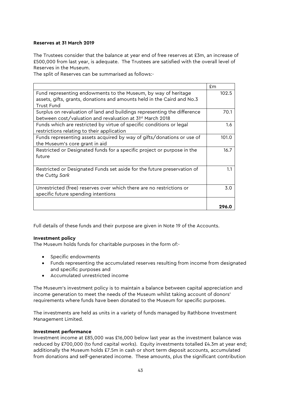#### **Reserves at 31 March 2019**

The Trustees consider that the balance at year end of free reserves at £3m, an increase of £500,000 from last year, is adequate. The Trustees are satisfied with the overall level of Reserves in the Museum.

The split of Reserves can be summarised as follows:-

|                                                                          | £m    |
|--------------------------------------------------------------------------|-------|
| Fund representing endowments to the Museum, by way of heritage           | 102.5 |
| assets, gifts, grants, donations and amounts held in the Caird and No.3  |       |
| Trust Fund                                                               |       |
| Surplus on revaluation of land and buildings representing the difference | 70.1  |
| between cost/valuation and revaluation at 31 <sup>st</sup> March 2018    |       |
| Funds which are restricted by virtue of specific conditions or legal     | 1.6   |
| restrictions relating to their application                               |       |
| Funds representing assets acquired by way of gifts/donations or use of   | 101.0 |
| the Museum's core grant in aid                                           |       |
| Restricted or Designated funds for a specific project or purpose in the  | 16.7  |
| future                                                                   |       |
|                                                                          |       |
| Restricted or Designated Funds set aside for the future preservation of  | 1.1   |
| the Cutty Sark                                                           |       |
|                                                                          |       |
| Unrestricted (free) reserves over which there are no restrictions or     | 3.0   |
| specific future spending intentions                                      |       |
|                                                                          |       |
|                                                                          | 296.0 |

Full details of these funds and their purpose are given in Note 19 of the Accounts.

#### **Investment policy**

The Museum holds funds for charitable purposes in the form of:-

- Specific endowments
- Funds representing the accumulated reserves resulting from income from designated and specific purposes and
- Accumulated unrestricted income

The Museum's investment policy is to maintain a balance between capital appreciation and income generation to meet the needs of the Museum whilst taking account of donors' requirements where funds have been donated to the Museum for specific purposes.

The investments are held as units in a variety of funds managed by Rathbone Investment Management Limited.

#### **Investment performance**

Investment income at £85,000 was £16,000 below last year as the investment balance was reduced by £700,000 (to fund capital works). Equity investments totalled £4.3m at year end; additionally the Museum holds £7.5m in cash or short term deposit accounts, accumulated from donations and self-generated income. These amounts, plus the significant contribution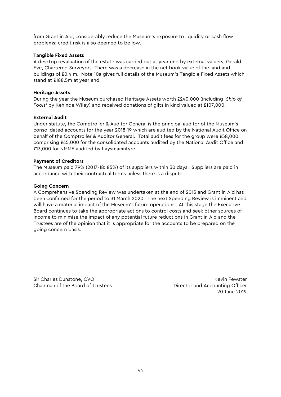from Grant in Aid, considerably reduce the Museum's exposure to liquidity or cash flow problems; credit risk is also deemed to be low.

#### **Tangible Fixed Assets**

A desktop revaluation of the estate was carried out at year end by external valuers, Gerald Eve, Chartered Surveyors. There was a decrease in the net book value of the land and buildings of £0.4 m. Note 10a gives full details of the Museum's Tangible Fixed Assets which stand at £188.5m at year end.

#### **Heritage Assets**

During the year the Museum purchased Heritage Assets worth £240,000 (including '*Ship of Fools'* by Kehinde Wiley) and received donations of gifts in kind valued at £107,000.

#### **External Audit**

Under statute, the Comptroller & Auditor General is the principal auditor of the Museum's consolidated accounts for the year 2018-19 which are audited by the National Audit Office on behalf of the Comptroller & Auditor General. Total audit fees for the group were £58,000, comprising £45,000 for the consolidated accounts audited by the National Audit Office and £13,000 for NMME audited by haysmacintyre.

#### **Payment of Creditors**

The Museum paid 79% (2017-18: 85%) of its suppliers within 30 days. Suppliers are paid in accordance with their contractual terms unless there is a dispute.

#### **Going Concern**

A Comprehensive Spending Review was undertaken at the end of 2015 and Grant in Aid has been confirmed for the period to 31 March 2020. The next Spending Review is imminent and will have a material impact of the Museum's future operations. At this stage the Executive Board continues to take the appropriate actions to control costs and seek other sources of income to minimise the impact of any potential future reductions in Grant in Aid and the Trustees are of the opinion that it is appropriate for the accounts to be prepared on the going concern basis.

Sir Charles Dunstone, CVO **Key Accounts** Sir Charles Dunstone, CVO Chairman of the Board of Trustees **Director and Accounting Officer** Director and Accounting Officer

20 June 2019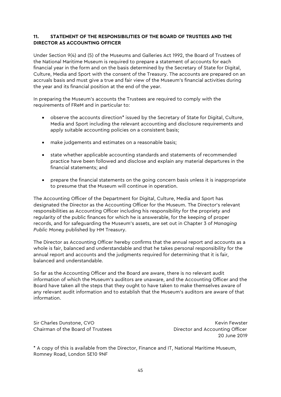#### **11. STATEMENT OF THE RESPONSIBILITIES OF THE BOARD OF TRUSTEES AND THE DIRECTOR AS ACCOUNTING OFFICER**

Under Section 9(4) and (5) of the Museums and Galleries Act 1992, the Board of Trustees of the National Maritime Museum is required to prepare a statement of accounts for each financial year in the form and on the basis determined by the Secretary of State for Digital, Culture, Media and Sport with the consent of the Treasury. The accounts are prepared on an accruals basis and must give a true and fair view of the Museum's financial activities during the year and its financial position at the end of the year.

In preparing the Museum's accounts the Trustees are required to comply with the requirements of FReM and in particular to:

- observe the accounts direction<sup>\*</sup> issued by the Secretary of State for Digital, Culture, Media and Sport including the relevant accounting and disclosure requirements and apply suitable accounting policies on a consistent basis;
- make judgements and estimates on a reasonable basis;
- state whether applicable accounting standards and statements of recommended practice have been followed and disclose and explain any material departures in the financial statements; and
- prepare the financial statements on the going concern basis unless it is inappropriate to presume that the Museum will continue in operation.

The Accounting Officer of the Department for Digital, Culture, Media and Sport has designated the Director as the Accounting Officer for the Museum. The Director's relevant responsibilities as Accounting Officer including his responsibility for the propriety and regularity of the public finances for which he is answerable, for the keeping of proper records, and for safeguarding the Museum's assets, are set out in Chapter 3 of *Managing Public Money* published by HM Treasury.

The Director as Accounting Officer hereby confirms that the annual report and accounts as a whole is fair, balanced and understandable and that he takes personal responsibility for the annual report and accounts and the judgments required for determining that it is fair, balanced and understandable.

So far as the Accounting Officer and the Board are aware, there is no relevant audit information of which the Museum's auditors are unaware, and the Accounting Officer and the Board have taken all the steps that they ought to have taken to make themselves aware of any relevant audit information and to establish that the Museum's auditors are aware of that information.

Sir Charles Dunstone, CVO **Key Accounts** Sir Charles Dunstone, CVO Chairman of the Board of Trustees **Director and Accounting Officer** Director and Accounting Officer

20 June 2019

\* A copy of this is available from the Director, Finance and IT, National Maritime Museum, Romney Road, London SE10 9NF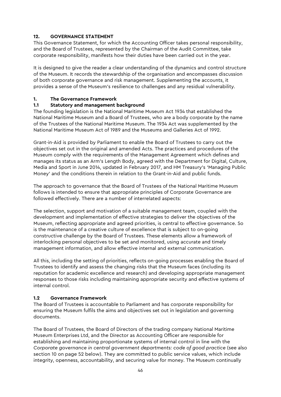# **12. GOVERNANCE STATEMENT**

This Governance Statement, for which the Accounting Officer takes personal responsibility, and the Board of Trustees, represented by the Chairman of the Audit Committee, take corporate responsibility, manifests how their duties have been carried out in the year.

It is designed to give the reader a clear understanding of the dynamics and control structure of the Museum. It records the stewardship of the organisation and encompasses discussion of both corporate governance and risk management. Supplementing the accounts, it provides a sense of the Museum's resilience to challenges and any residual vulnerability.

# **1. The Governance Framework**

# **1.1 Statutory and management background**

The founding legislation is the National Maritime Museum Act 1934 that established the National Maritime Museum and a Board of Trustees, who are a body corporate by the name of the Trustees of the National Maritime Museum. The 1934 Act was supplemented by the National Maritime Museum Act of 1989 and the Museums and Galleries Act of 1992.

Grant-in-Aid is provided by Parliament to enable the Board of Trustees to carry out the objectives set out in the original and amended Acts. The practices and procedures of the Museum comply with the requirements of the Management Agreement which defines and manages its status as an Arm's Length Body, agreed with the Department for Digital, Culture, Media and Sport in June 2014, updated in February 2017, and HM Treasury's 'Managing Public Money' and the conditions therein in relation to the Grant-in-Aid and public funds.

The approach to governance that the Board of Trustees of the National Maritime Museum follows is intended to ensure that appropriate principles of Corporate Governance are followed effectively. There are a number of interrelated aspects:

The selection, support and motivation of a suitable management team, coupled with the development and implementation of effective strategies to deliver the objectives of the Museum, reflecting appropriate and agreed priorities, is central to effective governance. So is the maintenance of a creative culture of excellence that is subject to on-going constructive challenge by the Board of Trustees. These elements allow a framework of interlocking personal objectives to be set and monitored, using accurate and timely management information, and allow effective internal and external communication.

All this, including the setting of priorities, reflects on-going processes enabling the Board of Trustees to identify and assess the changing risks that the Museum faces (including its reputation for academic excellence and research) and developing appropriate management responses to those risks including maintaining appropriate security and effective systems of internal control.

### **1.2 Governance Framework**

The Board of Trustees is accountable to Parliament and has corporate responsibility for ensuring the Museum fulfils the aims and objectives set out in legislation and governing documents.

The Board of Trustees, the Board of Directors of the trading company National Maritime Museum Enterprises Ltd, and the Director as Accounting Officer are responsible for establishing and maintaining proportionate systems of internal control in line with the *Corporate governance in central government departments: code of good practice* (see also section 10 on page 52 below). They are committed to public service values, which include integrity, openness, accountability, and securing value for money. The Museum continually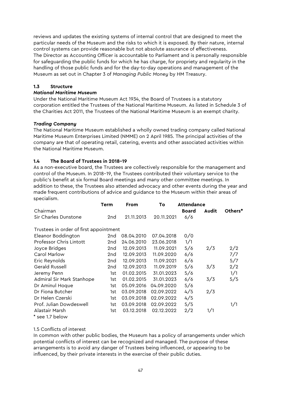reviews and updates the existing systems of internal control that are designed to meet the particular needs of the Museum and the risks to which it is exposed. By their nature, internal control systems can provide reasonable but not absolute assurance of effectiveness. The Director as Accounting Officer is accountable to Parliament and is personally responsible for safeguarding the public funds for which he has charge, for propriety and regularity in the handling of those public funds and for the day-to-day operations and management of the Museum as set out in Chapter 3 of *Managing Public Money* by HM Treasury.

### **1.3 Structure**

#### *National Maritime Museum*

Under the National Maritime Museum Act 1934, the Board of Trustees is a statutory corporation entitled the Trustees of the National Maritime Museum. As listed in Schedule 3 of the Charities Act 2011, the Trustees of the National Maritime Museum is an exempt charity.

#### *Trading Company*

The National Maritime Museum established a wholly owned trading company called National Maritime Museum Enterprises Limited (NMME) on 2 April 1985. The principal activities of the company are that of operating retail, catering, events and other associated activities within the National Maritime Museum.

### **1.4 The Board of Trustees in 2018–19**

As a non-executive board, the Trustees are collectively responsible for the management and control of the Museum. In 2018–19, the Trustees contributed their voluntary service to the public's benefit at six formal Board meetings and many other committee meetings. In addition to these, the Trustees also attended advocacy and other events during the year and made frequent contributions of advice and guidance to the Museum within their areas of specialism.

|                                        | Term | <b>From</b><br>То |            | <b>Attendance</b> |       |         |
|----------------------------------------|------|-------------------|------------|-------------------|-------|---------|
| Chairman                               |      |                   |            | <b>Board</b>      | Audit | Others* |
| Sir Charles Dunstone                   | 2nd  | 21.11.2013        | 20.11.2021 | 6/6               |       |         |
| Trustees in order of first appointment |      |                   |            |                   |       |         |
| Eleanor Boddington                     | 2nd  | 08.04.2010        | 07.04.2018 | 0/0               |       |         |
| <b>Professor Chris Lintott</b>         | 2nd  | 24.06.2010        | 23.06.2018 | 1/1               |       |         |
| Joyce Bridges                          | 2nd  | 12.09.2013        | 11.09.2021 | 5/6               | 2/3   | 2/2     |
| Carol Marlow                           | 2nd  | 12.09.2013        | 11.09.2020 | 6/6               |       | 7/7     |
| Eric Reynolds                          | 2nd  | 12.09.2013        | 11.09.2021 | 6/6               |       | 5/7     |
| Gerald Russell                         | 2nd  | 12.09.2013        | 11.09.2019 | 5/6               | 3/3   | 2/2     |
| Jeremy Penn                            | 1st  | 01.02.2015        | 31.01.2023 | 5/6               |       | 1/1     |
| Admiral Sir Mark Stanhope              | 1st  | 01.02.2015        | 31.01.2023 | 6/6               | 3/3   | 5/5     |
| Dr Aminul Hoque                        | 1st  | 05.09.2016        | 04.09.2020 | 5/6               |       |         |
| Dr Fiona Butcher                       | 1st  | 03.09.2018        | 02.09.2022 | 4/5               | 2/3   |         |
| Dr Helen Czerski                       | 1st  | 03.09.2018        | 02.09.2022 | 4/5               |       |         |
| Prof. Julian Dowdeswell                | 1st  | 03.09.2018        | 02.09.2022 | 5/5               |       | 1/1     |
| Alastair Marsh                         | 1st  | 03.12.2018        | 02.12.2022 | 2/2               | 1/1   |         |
| * see 1.7 below                        |      |                   |            |                   |       |         |

### 1.5 Conflicts of interest

In common with other public bodies, the Museum has a policy of arrangements under which potential conflicts of interest can be recognized and managed. The purpose of these arrangements is to avoid any danger of Trustees being influenced, or appearing to be influenced, by their private interests in the exercise of their public duties.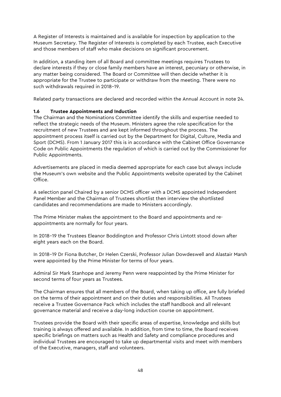A Register of Interests is maintained and is available for inspection by application to the Museum Secretary. The Register of Interests is completed by each Trustee, each Executive and those members of staff who make decisions on significant procurement.

In addition, a standing item of all Board and committee meetings requires Trustees to declare interests if they or close family members have an interest, pecuniary or otherwise, in any matter being considered. The Board or Committee will then decide whether it is appropriate for the Trustee to participate or withdraw from the meeting. There were no such withdrawals required in 2018–19.

Related party transactions are declared and recorded within the Annual Account in note 24.

# **1.6 Trustee Appointments and Induction**

The Chairman and the Nominations Committee identify the skills and expertise needed to reflect the strategic needs of the Museum. Ministers agree the role specification for the recruitment of new Trustees and are kept informed throughout the process. The appointment process itself is carried out by the Department for Digital, Culture, Media and Sport (DCMS). From 1 January 2017 this is in accordance with the Cabinet Office Governance Code on Public Appointments the regulation of which is carried out by the Commissioner for Public Appointments.

Advertisements are placed in media deemed appropriate for each case but always include the Museum's own website and the Public Appointments website operated by the Cabinet Office.

A selection panel Chaired by a senior DCMS officer with a DCMS appointed Independent Panel Member and the Chairman of Trustees shortlist then interview the shortlisted candidates and recommendations are made to Ministers accordingly.

The Prime Minister makes the appointment to the Board and appointments and reappointments are normally for four years.

In 2018–19 the Trustees Eleanor Boddington and Professor Chris Lintott stood down after eight years each on the Board.

In 2018–19 Dr Fiona Butcher, Dr Helen Czerski, Professor Julian Dowdeswell and Alastair Marsh were appointed by the Prime Minister for terms of four years.

Admiral Sir Mark Stanhope and Jeremy Penn were reappointed by the Prime Minister for second terms of four years as Trustees.

The Chairman ensures that all members of the Board, when taking up office, are fully briefed on the terms of their appointment and on their duties and responsibilities. All Trustees receive a Trustee Governance Pack which includes the staff handbook and all relevant governance material and receive a day-long induction course on appointment.

Trustees provide the Board with their specific areas of expertise, knowledge and skills but training is always offered and available. In addition, from time to time, the Board receives specific briefings on matters such as Health and Safety and compliance procedures and individual Trustees are encouraged to take up departmental visits and meet with members of the Executive, managers, staff and volunteers.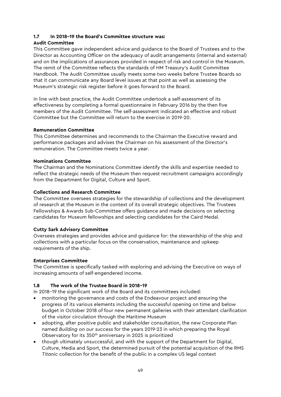# **1.7 In 2018–19 the Board's Committee structure was:**

# **Audit Committee**

This Committee gave independent advice and guidance to the Board of Trustees and to the Director as Accounting Officer on the adequacy of audit arrangements (internal and external) and on the implications of assurances provided in respect of risk and control in the Museum. The remit of the Committee reflects the standards of HM Treasury's Audit Committee Handbook. The Audit Committee usually meets some two weeks before Trustee Boards so that it can communicate any Board level issues at that point as well as assessing the Museum's strategic risk register before it goes forward to the Board.

In line with best practice, the Audit Committee undertook a self-assessment of its effectiveness by completing a formal questionnaire in February 2016 by the then five members of the Audit Committee. The self-assessment indicated an effective and robust Committee but the Committee will return to the exercise in 2019-20.

# **Remuneration Committee**

This Committee determines and recommends to the Chairman the Executive reward and performance packages and advises the Chairman on his assessment of the Director's remuneration. The Committee meets twice a year.

# **Nominations Committee**

The Chairman and the Nominations Committee identify the skills and expertise needed to reflect the strategic needs of the Museum then request recruitment campaigns accordingly from the Department for Digital, Culture and Sport.

# **Collections and Research Committee**

The Committee oversees strategies for the stewardship of collections and the development of research at the Museum in the context of its overall strategic objectives. The Trustees Fellowships & Awards Sub-Committee offers guidance and made decisions on selecting candidates for Museum fellowships and selecting candidates for the Caird Medal.

# **Cutty Sark Advisory Committee**

Oversees strategies and provides advice and guidance for: the stewardship of the ship and collections with a particular focus on the conservation, maintenance and upkeep requirements of the ship.

# **Enterprises Committee**

The Committee is specifically tasked with exploring and advising the Executive on ways of increasing amounts of self-engendered income.

# **1.8 The work of the Trustee Board in 2018–19**

In 2018–19 the significant work of the Board and its committees included:

- monitoring the governance and costs of the Endeavour project and ensuring the progress of its various elements including the successful opening on time and below budget in October 2018 of four new permanent galleries with their attendant clarification of the visitor circulation through the Maritime Museum
- adopting, after positive public and stakeholder consultation, the new Corporate Plan named *Building on our success* for the years 2019-23 in which preparing the Royal Observatory for its 350<sup>th</sup> anniversary in 2025 is prioritized
- though ultimately unsuccessful, and with the support of the Department for Digital, Culture, Media and Sport, the determined pursuit of the potential acquisition of the RMS *Titanic* collection for the benefit of the public in a complex US legal context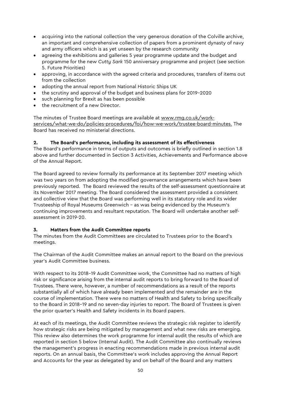- acquiring into the national collection the very generous donation of the Colville archive, an important and comprehensive collection of papers from a prominent dynasty of navy and army officers which is as yet unseen by the research community
- agreeing the exhibitions and galleries 5 year programme update and the budget and programme for the new *Cutty Sark* 150 anniversary programme and project (see section 5. Future Priorities)
- approving, in accordance with the agreed criteria and procedures, transfers of items out from the collection
- adopting the annual report from National Historic Ships UK
- the scrutiny and approval of the budget and business plans for 2019–2020
- such planning for Brexit as has been possible
- the recruitment of a new Director.

The minutes of Trustee Board meetings are available at [www.rmg.co.uk/work](http://www.rmg.co.uk/work-services/what-we-do/policies-procedures/foi/how-we-work/trustee-board-minutes)[services/what-we-do/policies-procedures/foi/how-we-work/trustee-board-minutes.](http://www.rmg.co.uk/work-services/what-we-do/policies-procedures/foi/how-we-work/trustee-board-minutes) The Board has received no ministerial directions.

### **2. The Board's performance, including its assessment of its effectiveness**

The Board's performance in terms of outputs and outcomes is briefly outlined in section 1.8 above and further documented in Section 3 Activities, Achievements and Performance above of the Annual Report.

The Board agreed to review formally its performance at its September 2017 meeting which was two years on from adopting the modified governance arrangements which have been previously reported. The Board reviewed the results of the self-assessment questionnaire at its November 2017 meeting. The Board considered the assessment provided a consistent and collective view that the Board was performing well in its statutory role and its wider Trusteeship of Royal Museums Greenwich – as was being evidenced by the Museum's continuing improvements and resultant reputation. The Board will undertake another selfassessment in 2019-20.

# **3. Matters from the Audit Committee reports**

The minutes from the Audit Committees are circulated to Trustees prior to the Board's meetings.

The Chairman of the Audit Committee makes an annual report to the Board on the previous year's Audit Committee business.

With respect to its 2018–19 Audit Committee work, the Committee had no matters of high risk or significance arising from the internal audit reports to bring forward to the Board of Trustees. There were, however, a number of recommendations as a result of the reports substantially all of which have already been implemented and the remainder are in the course of implementation. There were no matters of Health and Safety to bring specifically to the Board in 2018–19 and no seven-day injuries to report. The Board of Trustees is given the prior quarter's Health and Safety incidents in its Board papers.

At each of its meetings, the Audit Committee reviews the strategic risk register to identify how strategic risks are being mitigated by management and what new risks are emerging. This review also determines the work programme for internal audit the results of which are reported in section 5 below (Internal Audit). The Audit Committee also continually reviews the management's progress in enacting recommendations made in previous internal audit reports. On an annual basis, the Committee's work includes approving the Annual Report and Accounts for the year as delegated by and on behalf of the Board and any matters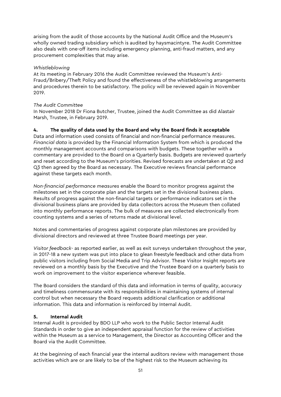arising from the audit of those accounts by the National Audit Office and the Museum's wholly owned trading subsidiary which is audited by haysmacintyre. The Audit Committee also deals with one-off items including emergency planning, anti-fraud matters, and any procurement complexities that may arise.

### *Whistleblowing*

At its meeting in February 2016 the Audit Committee reviewed the Museum's Anti-Fraud/Bribery/Theft Policy and found the effectiveness of the whistleblowing arrangements and procedures therein to be satisfactory. The policy will be reviewed again in November 2019.

### *The Audit Committee*

In November 2018 Dr Fiona Butcher, Trustee, joined the Audit Committee as did Alastair Marsh, Trustee, in February 2019.

### **4. The quality of data used by the Board and why the Board finds it acceptable**

Data and information used consists of financial and non-financial performance measures. *Financial data* is provided by the Financial Information System from which is produced the monthly management accounts and comparisons with budgets. These together with a commentary are provided to the Board on a Quarterly basis. Budgets are reviewed quarterly and reset according to the Museum's priorities. Revised forecasts are undertaken at Q2 and Q3 then agreed by the Board as necessary. The Executive reviews financial performance against these targets each month.

*Non-financial performance measures* enable the Board to monitor progress against the milestones set in the corporate plan and the targets set in the divisional business plans. Results of progress against the non-financial targets or performance indicators set in the divisional business plans are provided by data collectors across the Museum then collated into monthly performance reports. The bulk of measures are collected electronically from counting systems and a series of returns made at divisional level.

Notes and commentaries of progress against corporate plan milestones are provided by divisional directors and reviewed at three Trustee Board meetings per year.

*Visitor feedback-* as reported earlier, as well as exit surveys undertaken throughout the year, in 2017-18 a new system was put into place to glean freestyle feedback and other data from public visitors including from Social Media and Trip Advisor. These Visitor Insight reports are reviewed on a monthly basis by the Executive and the Trustee Board on a quarterly basis to work on improvement to the visitor experience wherever feasible.

The Board considers the standard of this data and information in terms of quality, accuracy and timeliness commensurate with its responsibilities in maintaining systems of internal control but when necessary the Board requests additional clarification or additional information. This data and information is reinforced by Internal Audit.

### **5. Internal Audit**

Internal Audit is provided by BDO LLP who work to the Public Sector Internal Audit Standards in order to give an independent appraisal function for the review of activities within the Museum as a service to Management, the Director as Accounting Officer and the Board via the Audit Committee.

At the beginning of each financial year the internal auditors review with management those activities which are or are likely to be of the highest risk to the Museum achieving its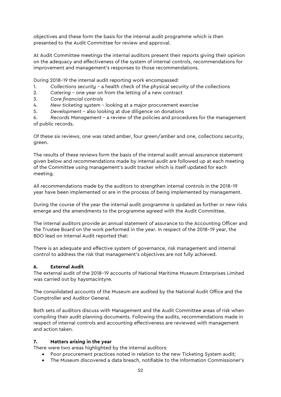objectives and these form the basis for the internal audit programme which is then presented to the Audit Committee for review and approval.

At Audit Committee meetings the internal auditors present their reports giving their opinion on the adequacy and effectiveness of the system of internal controls, recommendations for improvement and management's responses to those recommendations.

During 2018–19 the internal audit reporting work encompassed:

- 1. *Collections security* a health check of the physical security of the collections
- 2. *Catering* one year on from the letting of a new contract
- 3. *Core financial controls*
- 4. *New ticketing system* looking at a major procurement exercise
- 5. *Development* also looking at due diligence on donations

6. *Records Management* – a review of the policies and procedures for the management of public records.

Of these six reviews, one was rated amber, four green/amber and one, collections security, green.

The results of these reviews form the basis of the internal audit annual assurance statement given below and recommendations made by internal audit are followed up at each meeting of the Committee using management's audit tracker which is itself updated for each meeting.

All recommendations made by the auditors to strengthen internal controls in the 2018–19 year have been implemented or are in the process of being implemented by management.

During the course of the year the internal audit programme is updated as further or new risks emerge and the amendments to the programme agreed with the Audit Committee.

The internal auditors provide an annual statement of assurance to the Accounting Officer and the Trustee Board on the work performed in the year. In respect of the 2018–19 year, the BDO lead on Internal Audit reported that:

There is an adequate and effective system of governance, risk management and internal control to address the risk that management's objectives are not fully achieved.

#### **6. External Audit**

The external audit of the 2018–19 accounts of National Maritime Museum Enterprises Limited was carried out by haysmacintyre.

The consolidated accounts of the Museum are audited by the National Audit Office and the Comptroller and Auditor General.

Both sets of auditors discuss with Management and the Audit Committee areas of risk when compiling their audit planning documents. Following the audits, recommendations made in respect of internal controls and accounting effectiveness are reviewed with management and action taken.

#### **7. Matters arising in the year**

There were two areas highlighted by the internal auditors:

- Poor procurement practices noted in relation to the new Ticketing System audit:
- The Museum discovered a data breach, notifiable to the Information Commissioner's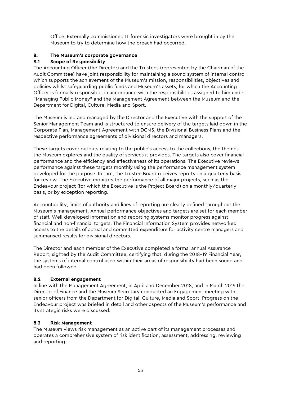Office. Externally commissioned IT forensic investigators were brought in by the Museum to try to determine how the breach had occurred.

# **8. The Museum's corporate governance**

# **8.1 Scope of Responsibility**

The Accounting Officer (the Director) and the Trustees (represented by the Chairman of the Audit Committee) have joint responsibility for maintaining a sound system of internal control which supports the achievement of the Museum's mission, responsibilities, objectives and policies whilst safeguarding public funds and Museum's assets, for which the Accounting Officer is formally responsible, in accordance with the responsibilities assigned to him under "Managing Public Money" and the Management Agreement between the Museum and the Department for Digital, Culture, Media and Sport.

The Museum is led and managed by the Director and the Executive with the support of the Senior Management Team and is structured to ensure delivery of the targets laid down in the Corporate Plan, Management Agreement with DCMS, the Divisional Business Plans and the respective performance agreements of divisional directors and managers.

These targets cover outputs relating to the public's access to the collections, the themes the Museum explores and the quality of services it provides. The targets also cover financial performance and the efficiency and effectiveness of its operations. The Executive reviews performance against these targets monthly using the performance management system developed for the purpose. In turn, the Trustee Board receives reports on a quarterly basis for review. The Executive monitors the performance of all major projects, such as the Endeavour project (for which the Executive is the Project Board) on a monthly/quarterly basis, or by exception reporting.

Accountability, limits of authority and lines of reporting are clearly defined throughout the Museum's management. Annual performance objectives and targets are set for each member of staff. Well-developed information and reporting systems monitor progress against financial and non-financial targets. The Financial Information System provides networked access to the details of actual and committed expenditure for activity centre managers and summarised results for divisional directors.

The Director and each member of the Executive completed a formal annual Assurance Report, sighted by the Audit Committee, certifying that, during the 2018–19 Financial Year, the systems of internal control used within their areas of responsibility had been sound and had been followed.

### **8.2 External engagement**

In line with the Management Agreement, in April and December 2018, and in March 2019 the Director of Finance and the Museum Secretary conducted an Engagement meeting with senior officers from the Department for Digital, Culture, Media and Sport. Progress on the Endeavour project was briefed in detail and other aspects of the Museum's performance and its strategic risks were discussed.

### **8.3 Risk Management**

The Museum views risk management as an active part of its management processes and operates a comprehensive system of risk identification, assessment, addressing, reviewing and reporting.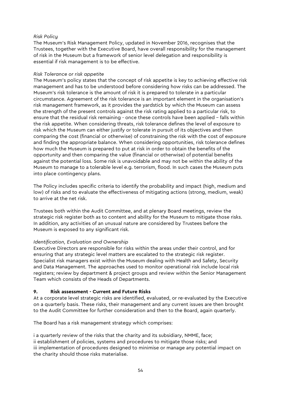#### *Risk Policy*

The Museum's Risk Management Policy, updated in November 2016, recognises that the Trustees, together with the Executive Board, have overall responsibility for the management of risk in the Museum but a framework of senior level delegation and responsibility is essential if risk management is to be effective.

#### *Risk Tolerance or risk appetite*

The Museum's policy states that the concept of risk appetite is key to achieving effective risk management and has to be understood before considering how risks can be addressed. The Museum's risk tolerance is the amount of risk it is prepared to tolerate in a particular circumstance. Agreement of the risk tolerance is an important element in the organisation's risk management framework, as it provides the yardstick by which the Museum can assess the strength of the present controls against the risk rating applied to a particular risk, to ensure that the residual risk remaining - once these controls have been applied – falls within the risk appetite. When considering threats, risk tolerance defines the level of exposure to risk which the Museum can either justify or tolerate in pursuit of its objectives and then comparing the cost (financial or otherwise) of constraining the risk with the cost of exposure and finding the appropriate balance. When considering opportunities, risk tolerance defines how much the Museum is prepared to put at risk in order to obtain the benefits of the opportunity and then comparing the value (financial or otherwise) of potential benefits against the potential loss. Some risk is unavoidable and may not be within the ability of the Museum to manage to a tolerable level e.g. terrorism, flood. In such cases the Museum puts into place contingency plans.

The Policy includes specific criteria to identify the probability and impact (high, medium and low) of risks and to evaluate the effectiveness of mitigating actions (strong, medium, weak) to arrive at the net risk.

Trustees both within the Audit Committee, and at plenary Board meetings, review the strategic risk register both as to content and ability for the Museum to mitigate those risks. In addition, any activities of an unusual nature are considered by Trustees before the Museum is exposed to any significant risk.

### *Identification, Evaluation and Ownership*

Executive Directors are responsible for risks within the areas under their control, and for ensuring that any strategic level matters are escalated to the strategic risk register. Specialist risk managers exist within the Museum dealing with Health and Safety, Security and Data Management. The approaches used to monitor operational risk include local risk registers; review by department & project groups and review within the Senior Management Team which consists of the Heads of Departments.

### **9. Risk assessment - Current and Future Risks**

At a corporate level strategic risks are identified, evaluated, or re-evaluated by the Executive on a quarterly basis. These risks, their management and any current issues are then brought to the Audit Committee for further consideration and then to the Board, again quarterly.

The Board has a risk management strategy which comprises:

i a quarterly review of the risks that the charity and its subsidiary, NMME, face; ii establishment of policies, systems and procedures to mitigate those risks; and iii implementation of procedures designed to minimise or manage any potential impact on the charity should those risks materialise.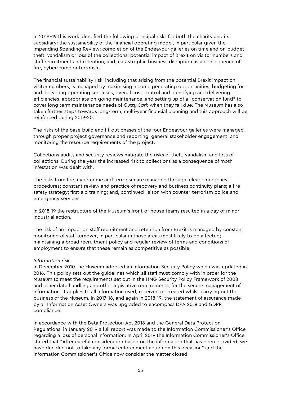In 2018–19 this work identified the following principal risks for both the charity and its subsidiary: the sustainability of the financial operating model, in particular given the impending Spending Review; completion of the Endeavour galleries on time and on-budget; theft, vandalism or loss of the collections; potential impact of Brexit on visitor numbers and staff recruitment and retention; and, catastrophic business disruption as a consequence of fire, cyber-crime or terrorism.

The financial sustainability risk, including that arising from the potential Brexit impact on visitor numbers, is managed by maximising income generating opportunities, budgeting for and delivering operating surpluses, overall cost control and identifying and delivering efficiencies, appropriate on-going maintenance, and setting up of a "conservation fund" to cover long term maintenance needs of *Cutty Sark* when they fall due. The Museum has also taken further steps towards long-term, multi-year financial planning and this approach will be reinforced during 2019-20.

The risks of the base-build and fit-out phases of the four Endeavour galleries were managed through proper project governance and reporting, general stakeholder engagement, and monitoring the resource requirements of the project.

Collections audits and security reviews mitigate the risks of theft, vandalism and loss of collections. During the year the increased risk to collections as a consequence of moth infestation was dealt with.

The risks from fire, cybercrime and terrorism are managed through: clear emergency procedures; constant review and practice of recovery and business continuity plans; a fire safety strategy; first-aid training; and, continued liaison with counter-terrorism police and emergency services.

In 2018-19 the restructure of the Museum's front-of-house teams resulted in a day of minor industrial action.

The risk of an impact on staff recruitment and retention from Brexit is managed by constant monitoring of staff turnover, in particular in those areas most likely to be affected; maintaining a broad recruitment policy and regular review of terms and conditions of employment to ensure that these remain as competitive as possible,

#### *Information risk*

In December 2010 the Museum adopted an Information Security Policy which was updated in 2016. This policy sets out the guidelines which all staff must comply with in order for the Museum to meet the requirements set out in the HMG Security Policy Framework of 2008 and other data handling and other legislative requirements, for the secure management of information. It applies to all information used, received or created whilst carrying out the business of the Museum. In 2017-18, and again in 2018-19, the statement of assurance made by all Information Asset Owners was upgraded to encompass DPA 2018 and GDPR compliance.

In accordance with the Data Protection Act 2018 and the General Data Protection Regulations, in January 2019 a full report was made to the Information Commissioner's Office regarding a loss of personal information. In April 2019 the Information Commissioner's Office stated that "After careful consideration based on the information that has been provided, we have decided not to take any formal enforcement action on this occasion" and the Information Commissioner's Office now consider the matter closed.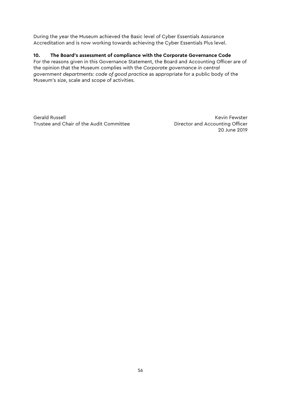During the year the Museum achieved the Basic level of Cyber Essentials Assurance Accreditation and is now working towards achieving the Cyber Essentials Plus level.

# **10. The Board's assessment of compliance with the Corporate Governance Code**

For the reasons given in this Governance Statement, the Board and Accounting Officer are of the opinion that the Museum complies with the *Corporate governance in central government departments: code of good practice* as appropriate for a public body of the Museum's size, scale and scope of activities.

Gerald Russell **Keyin Fewster** Trustee and Chair of the Audit Committee **Director and Accounting Officer** 

20 June 2019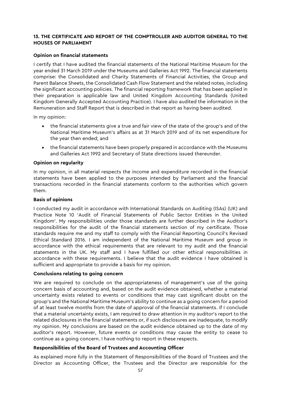#### **13. THE CERTIFICATE AND REPORT OF THE COMPTROLLER AND AUDITOR GENERAL TO THE HOUSES OF PARLIAMENT**

#### **Opinion on financial statements**

I certify that I have audited the financial statements of the National Maritime Museum for the year ended 31 March 2019 under the Museums and Galleries Act 1992. The financial statements comprise: the Consolidated and Charity Statements of Financial Activities, the Group and Parent Balance Sheets, the Consolidated Cash Flow Statement and the related notes, including the significant accounting policies. The financial reporting framework that has been applied in their preparation is applicable law and United Kingdom Accounting Standards (United Kingdom Generally Accepted Accounting Practice). I have also audited the information in the Remuneration and Staff Report that is described in that report as having been audited.

In my opinion:

- the financial statements give a true and fair view of the state of the group's and of the National Maritime Museum's affairs as at 31 March 2019 and of its net expenditure for the year then ended; and
- the financial statements have been properly prepared in accordance with the Museums and Galleries Act 1992 and Secretary of State directions issued thereunder.

#### **Opinion on regularity**

In my opinion, in all material respects the income and expenditure recorded in the financial statements have been applied to the purposes intended by Parliament and the financial transactions recorded in the financial statements conform to the authorities which govern them.

#### **Basis of opinions**

I conducted my audit in accordance with International Standards on Auditing (ISAs) (UK) and Practice Note 10 'Audit of Financial Statements of Public Sector Entities in the United Kingdom'. My responsibilities under those standards are further described in the Auditor's responsibilities for the audit of the financial statements section of my certificate. Those standards require me and my staff to comply with the Financial Reporting Council's Revised Ethical Standard 2016. I am independent of the National Maritime Museum and group in accordance with the ethical requirements that are relevant to my audit and the financial statements in the UK. My staff and I have fulfilled our other ethical responsibilities in accordance with these requirements. I believe that the audit evidence I have obtained is sufficient and appropriate to provide a basis for my opinion.

#### **Conclusions relating to going concern**

We are required to conclude on the appropriateness of management's use of the going concern basis of accounting and, based on the audit evidence obtained, whether a material uncertainty exists related to events or conditions that may cast significant doubt on the group's and the National Maritime Museum's ability to continue as a going concern for a period of at least twelve months from the date of approval of the financial statements. If I conclude that a material uncertainty exists, I am required to draw attention in my auditor's report to the related disclosures in the financial statements or, if such disclosures are inadequate, to modify my opinion. My conclusions are based on the audit evidence obtained up to the date of my auditor's report. However, future events or conditions may cause the entity to cease to continue as a going concern. I have nothing to report in these respects.

### **Responsibilities of the Board of Trustees and Accounting Officer**

As explained more fully in the Statement of Responsibilities of the Board of Trustees and the Director as Accounting Officer, the Trustees and the Director are responsible for the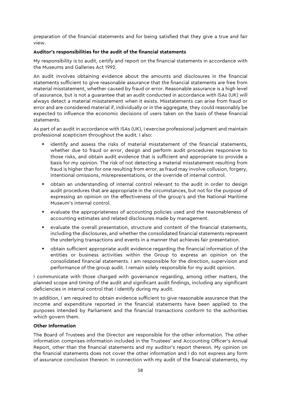preparation of the financial statements and for being satisfied that they give a true and fair view.

### **Auditor's responsibilities for the audit of the financial statements**

My responsibility is to audit, certify and report on the financial statements in accordance with the Museums and Galleries Act 1992.

An audit involves obtaining evidence about the amounts and disclosures in the financial statements sufficient to give reasonable assurance that the financial statements are free from material misstatement, whether caused by fraud or error. Reasonable assurance is a high level of assurance, but is not a guarantee that an audit conducted in accordance with ISAs (UK) will always detect a material misstatement when it exists. Misstatements can arise from fraud or error and are considered material if, individually or in the aggregate, they could reasonably be expected to influence the economic decisions of users taken on the basis of these financial statements.

As part of an audit in accordance with ISAs (UK), I exercise professional judgment and maintain professional scepticism throughout the audit. I also:

- identify and assess the risks of material misstatement of the financial statements, whether due to fraud or error, design and perform audit procedures responsive to those risks, and obtain audit evidence that is sufficient and appropriate to provide a basis for my opinion. The risk of not detecting a material misstatement resulting from fraud is higher than for one resulting from error, as fraud may involve collusion, forgery, intentional omissions, misrepresentations, or the override of internal control.
- obtain an understanding of internal control relevant to the audit in order to design audit procedures that are appropriate in the circumstances, but not for the purpose of expressing an opinion on the effectiveness of the group's and the National Maritime Museum's internal control.
- evaluate the appropriateness of accounting policies used and the reasonableness of accounting estimates and related disclosures made by management.
- evaluate the overall presentation, structure and content of the financial statements, including the disclosures, and whether the consolidated financial statements represent the underlying transactions and events in a manner that achieves fair presentation.
- obtain sufficient appropriate audit evidence regarding the financial information of the entities or business activities within the Group to express an opinion on the consolidated financial statements. I am responsible for the direction, supervision and performance of the group audit. I remain solely responsible for my audit opinion.

I communicate with those charged with governance regarding, among other matters, the planned scope and timing of the audit and significant audit findings, including any significant deficiencies in internal control that I identify during my audit.

In addition, I am required to obtain evidence sufficient to give reasonable assurance that the income and expenditure reported in the financial statements have been applied to the purposes intended by Parliament and the financial transactions conform to the authorities which govern them.

#### **Other Information**

The Board of Trustees and the Director are responsible for the other information. The other information comprises information included in the Trustees' and Accounting Officer's Annual Report, other than the financial statements and my auditor's report thereon. My opinion on the financial statements does not cover the other information and I do not express any form of assurance conclusion thereon. In connection with my audit of the financial statements, my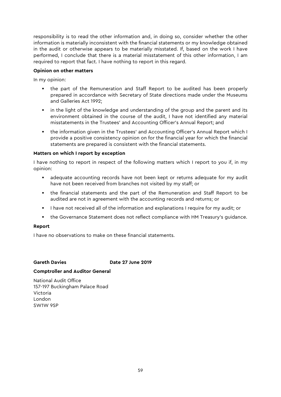responsibility is to read the other information and, in doing so, consider whether the other information is materially inconsistent with the financial statements or my knowledge obtained in the audit or otherwise appears to be materially misstated. If, based on the work I have performed, I conclude that there is a material misstatement of this other information, I am required to report that fact. I have nothing to report in this regard.

#### **Opinion on other matters**

In my opinion:

- the part of the Remuneration and Staff Report to be audited has been properly prepared in accordance with Secretary of State directions made under the Museums and Galleries Act 1992;
- **•** in the light of the knowledge and understanding of the group and the parent and its environment obtained in the course of the audit, I have not identified any material misstatements in the Trustees' and Accounting Officer's Annual Report; and
- the information given in the Trustees' and Accounting Officer's Annual Report which I provide a positive consistency opinion on for the financial year for which the financial statements are prepared is consistent with the financial statements.

#### **Matters on which I report by exception**

I have nothing to report in respect of the following matters which I report to you if, in my opinion:

- adequate accounting records have not been kept or returns adequate for my audit have not been received from branches not visited by my staff; or
- the financial statements and the part of the Remuneration and Staff Report to be audited are not in agreement with the accounting records and returns; or
- **I** have not received all of the information and explanations I require for my audit; or
- the Governance Statement does not reflect compliance with HM Treasury's guidance.

#### **Report**

I have no observations to make on these financial statements.

### **Gareth Davies Date 27 June 2019**

#### **Comptroller and Auditor General**

National Audit Office 157-197 Buckingham Palace Road Victoria London SW1W 9SP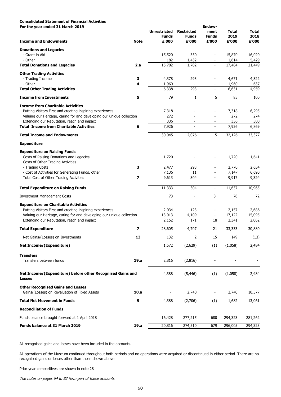# **Consolidated Statement of Financial Activities**

**For the year ended 31 March 2019**

| For the year ended 31 March 2019                                                          |                |                     |                   | <b>Endow-</b>            |              |              |
|-------------------------------------------------------------------------------------------|----------------|---------------------|-------------------|--------------------------|--------------|--------------|
|                                                                                           |                | <b>Unrestricted</b> | <b>Restricted</b> | ment                     | <b>Total</b> | <b>Total</b> |
|                                                                                           |                | <b>Funds</b>        | <b>Funds</b>      | <b>Funds</b>             | 2019         | 2018         |
| <b>Income and Endowments</b>                                                              | <b>Note</b>    | £'000               | £'000             | £'000                    | £'000        | £'000        |
| <b>Donations and Legacies</b>                                                             |                |                     |                   |                          |              |              |
| - Grant in Aid                                                                            |                | 15,520              | 350               |                          | 15,870       | 16,020       |
| - Other                                                                                   |                | 182                 | 1,432             |                          | 1,614        | 5,429        |
| <b>Total Donations and Legacies</b>                                                       | 2.a            | 15,702              | 1,782             | $\overline{a}$           | 17,484       | 21,449       |
| <b>Other Trading Activities</b>                                                           |                |                     |                   |                          |              |              |
| - Trading Income                                                                          | 3              | 4,378               | 293               |                          | 4,671        | 4,322        |
| - Other                                                                                   | 4              | 1,960               |                   | $\overline{a}$           | 1,960        | 637          |
| <b>Total Other Trading Activities</b>                                                     |                | 6,338               | 293               | $\overline{\phantom{a}}$ | 6,631        | 4,959        |
| <b>Income from Investments</b>                                                            | 5              | 79                  | $\mathbf{1}$      | 5                        | 85           | 100          |
| <b>Income from Charitable Activities</b>                                                  |                |                     |                   |                          |              |              |
| Putting Visitors First and creating inspiring experiences                                 |                | 7,318               |                   |                          | 7,318        | 6,295        |
| Valuing our Heritage, caring for and developing our unique collection                     |                | 272                 |                   |                          | 272          | 274          |
| Extending our Reputation, reach and impact                                                |                | 336                 |                   |                          | 336          | 300          |
| <b>Total Income from Charitable Activities</b>                                            | 6              | 7,926               |                   | $\blacksquare$           | 7,926        | 6,869        |
| <b>Total Income and Endowments</b>                                                        |                | 30,045              | 2,076             | 5                        | 32,126       | 33,377       |
| <b>Expenditure</b>                                                                        |                |                     |                   |                          |              |              |
| <b>Expenditure on Raising Funds</b>                                                       |                |                     |                   |                          |              |              |
| Costs of Raising Donations and Legacies<br>Costs of Other Trading Activities              |                | 1,720               |                   |                          | 1,720        | 1,641        |
| - Trading Costs                                                                           | 3              | 2,477               | 293               |                          | 2,770        | 2,634        |
| - Cost of Activities for Generating Funds, other                                          |                | 7,136               | 11                |                          | 7,147        | 6,690        |
| <b>Total Cost of Other Trading Activities</b>                                             | 7              | 9,613               | 304               |                          | 9,917        | 9,324        |
| <b>Total Expenditure on Raising Funds</b>                                                 |                | 11,333              | 304               | $\overline{a}$           | 11,637       | 10,965       |
| <b>Investment Management Costs</b>                                                        |                | 73                  |                   | 3                        | 76           | 72           |
| <b>Expenditure on Charitable Activities</b>                                               |                |                     |                   |                          |              |              |
| Putting Visitors First and creating inspiring experiences                                 |                | 2,034               | 123               |                          | 2,157        | 2,686        |
| Valuing our Heritage, caring for and developing our unique collection                     |                | 13,013              | 4,109             |                          | 17,122       | 15,095       |
| Extending our Reputation, reach and impact                                                |                | 2,152               | 171               | 18                       | 2,341        | 2,062        |
| <b>Total Expenditure</b>                                                                  | $\overline{z}$ | 28,605              | 4,707             | 21                       | 33,333       | 30,880       |
| Net Gains/(Losses) on Investments                                                         | 13             | 132                 | 2                 | 15                       | 149          | (13)         |
| <b>Net Income/(Expenditure)</b>                                                           |                | 1,572               | (2,629)           | (1)                      | (1,058)      | 2,484        |
| <b>Transfers</b>                                                                          |                |                     |                   |                          |              |              |
| Transfers between funds                                                                   | 19.a           | 2,816               | (2,816)           |                          |              |              |
| Net Income/(Expenditure) before other Recognised Gains and<br><b>Losses</b>               |                | 4,388               | (5, 446)          | (1)                      | (1,058)      | 2,484        |
| <b>Other Recognised Gains and Losses</b><br>Gains/(Losses) on Revaluation of Fixed Assets | 10.a           |                     | 2,740             |                          | 2,740        | 10,577       |
| <b>Total Net Movement in Funds</b>                                                        | 9              | 4,388               | (2,706)           | (1)                      | 1,682        | 13,061       |
|                                                                                           |                |                     |                   |                          |              |              |

# **Reconciliation of Funds**

| Funds balance brought forward at 1 April 2018 |      | 16,428 | 277,215 | 680 | 294,323 | 281,262 |
|-----------------------------------------------|------|--------|---------|-----|---------|---------|
| <b>Funds balance at 31 March 2019</b>         | 19.a | 20,816 | 274,510 | 679 | 296,005 | 294,323 |

All recognised gains and losses have been included in the accounts.

Prior year comparitives are shown in note 28

The notes on pages 64 to 82 form part of these accounts.

All operations of the Museum continued throughout both periods and no operations were acquired or discontinued in either period. There are no recognised gains or losses other than those shown above.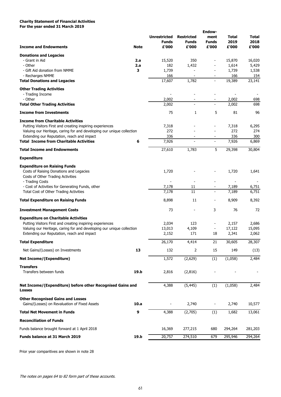# **Charity Statement of Financial Activities For the year ended 31 March 2019**

# **Other Recognised Gains and Losses**

| Gains/(Losses) on Revaluation of Fixed Assets | 10.a | 740 | 740 | 10,577 |
|-----------------------------------------------|------|-----|-----|--------|
|                                               |      |     |     |        |

| <b>Total Net Movement in Funds</b>            | 9    | 4,388  | (2,705) |     | 1,682   | 13,061  |
|-----------------------------------------------|------|--------|---------|-----|---------|---------|
| <b>Reconciliation of Funds</b>                |      |        |         |     |         |         |
| Funds balance brought forward at 1 April 2018 |      | 16,369 | 277,215 | 680 | 294,264 | 281,203 |
| Funds balance at 31 March 2019                | 19.b | 20,757 | 274,510 | 679 | 295,946 | 294,264 |

Prior year comparitives are shown in note 28

The notes on pages 64 to 82 form part of these accounts.

|                                                                             |             |                     |                   | <b>Endow-</b>            |              |              |
|-----------------------------------------------------------------------------|-------------|---------------------|-------------------|--------------------------|--------------|--------------|
|                                                                             |             | <b>Unrestricted</b> | <b>Restricted</b> | ment                     | <b>Total</b> | <b>Total</b> |
|                                                                             |             | <b>Funds</b>        | <b>Funds</b>      | <b>Funds</b>             | 2019         | 2018         |
| <b>Income and Endowments</b>                                                | <b>Note</b> | £'000               | £'000             | £'000                    | £'000        | £'000        |
| <b>Donations and Legacies</b>                                               |             |                     |                   |                          |              |              |
| - Grant in Aid                                                              | 2.a         | 15,520              | 350               |                          | 15,870       | 16,020       |
| - Other                                                                     | 2.a         | 182                 | 1,432             |                          | 1,614        | 5,429        |
| - Gift Aid donation from NMME                                               | 3           | 1,739               |                   |                          | 1,739        | 1,538        |
| - Recharges NMME                                                            |             | 166                 | $\blacksquare$    |                          | 166          | 154          |
| <b>Total Donations and Legacies</b>                                         |             | 17,607              | 1,782             | $\overline{\phantom{a}}$ | 19,389       | 23,141       |
| <b>Other Trading Activities</b>                                             |             |                     |                   |                          |              |              |
| - Trading Income                                                            |             |                     |                   |                          |              |              |
| - Other                                                                     |             | 2,002               |                   |                          |              | 698          |
|                                                                             |             |                     |                   |                          | 2,002        |              |
| <b>Total Other Trading Activities</b>                                       |             | 2,002               | $\blacksquare$    | $\sim$                   | 2,002        | 698          |
| <b>Income from Investments</b>                                              |             | 75                  | 1                 | 5                        | 81           | 96           |
| <b>Income from Charitable Activities</b>                                    |             |                     |                   |                          |              |              |
| Putting Visitors First and creating inspiring experiences                   |             | 7,318               |                   |                          | 7,318        | 6,295        |
| Valuing our Heritage, caring for and developing our unique collection       |             | 272                 |                   |                          | 272          | 274          |
| Extending our Reputation, reach and impact                                  |             | 336                 |                   |                          | 336          | 300          |
| <b>Total Income from Charitable Activities</b>                              | 6           | 7,926               | $\blacksquare$    | $\blacksquare$           | 7,926        | 6,869        |
| <b>Total Income and Endowments</b>                                          |             | 27,610              | 1,783             | 5                        | 29,398       | 30,804       |
| <b>Expenditure</b>                                                          |             |                     |                   |                          |              |              |
| <b>Expenditure on Raising Funds</b>                                         |             |                     |                   |                          |              |              |
| Costs of Raising Donations and Legacies                                     |             | 1,720               |                   |                          | 1,720        | 1,641        |
| Costs of Other Trading Activities                                           |             |                     |                   |                          |              |              |
|                                                                             |             |                     |                   |                          |              |              |
| - Trading Costs                                                             |             |                     |                   |                          |              |              |
| - Cost of Activities for Generating Funds, other                            |             | 7,178               | 11                |                          | 7,189        | 6,751        |
| <b>Total Cost of Other Trading Activities</b>                               |             | 7,178               | 11                | $\blacksquare$           | 7,189        | 6,751        |
| <b>Total Expenditure on Raising Funds</b>                                   |             | 8,898               | 11                |                          | 8,909        | 8,392        |
| <b>Investment Management Costs</b>                                          |             | 73                  |                   | 3                        | 76           | 72           |
| <b>Expenditure on Charitable Activities</b>                                 |             |                     |                   |                          |              |              |
| Putting Visitors First and creating inspiring experiences                   |             | 2,034               | 123               |                          | 2,157        | 2,686        |
| Valuing our Heritage, caring for and developing our unique collection       |             | 13,013              | 4,109             | ٠                        | 17,122       | 15,095       |
| Extending our Reputation, reach and impact                                  |             | 2,152               | 171               | 18                       | 2,341        | 2,062        |
| <b>Total Expenditure</b>                                                    |             | 26,170              | 4,414             | 21                       | 30,605       | 28,307       |
| Net Gains/(Losses) on Investments                                           | 13          | 132                 | $\overline{2}$    | 15                       | 149          | (13)         |
| <b>Net Income/(Expenditure)</b>                                             |             | 1,572               |                   |                          | (1,058)      | 2,484        |
|                                                                             |             |                     | (2,629)           | (1)                      |              |              |
| <b>Transfers</b>                                                            |             |                     |                   |                          |              |              |
| Transfers between funds                                                     | 19.b        | 2,816               | (2,816)           |                          |              |              |
|                                                                             |             |                     |                   |                          |              |              |
| Net Income/(Expenditure) before other Recognised Gains and<br><b>Losses</b> |             | 4,388               | (5, 445)          | (1)                      | (1,058)      | 2,484        |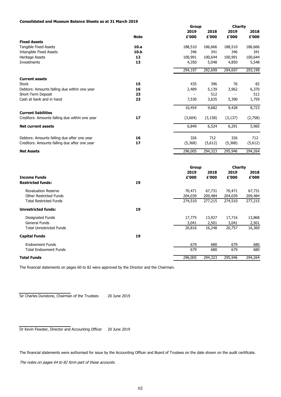# **Consolidated and Museum Balance Sheets as at 31 March 2019**

|                                                |             |              | <b>Group</b> |                |         |
|------------------------------------------------|-------------|--------------|--------------|----------------|---------|
|                                                |             | 2019         | 2018         | 2019           | 2018    |
|                                                | <b>Note</b> | £'000        | £'000        | £'000          | £'000   |
| <b>Fixed Assets</b>                            |             |              |              |                |         |
| <b>Tangible Fixed Assets</b>                   | 10.a        | 188,510      | 186,666      | 188,510        | 186,666 |
| <b>Intangible Fixed Assets</b>                 | 10.b        | 346          | 341          | 346            | 341     |
| <b>Heritage Assets</b>                         | 12          | 100,991      | 100,644      | 100,991        | 100,644 |
| Investments                                    | 13          | 4,350        | 5,048        | 4,850          | 5,548   |
|                                                |             | 294,197      | 292,699      | 294,697        | 293,199 |
| <b>Current assets</b>                          |             |              |              |                |         |
| <b>Stock</b>                                   | 15          | 435          | 396          | 76             | 82      |
| Debtors: Amounts falling due within one year   | 16          | 2,489        | 5,139        | 3,962          | 6,370   |
| Short-Term Deposit                             | 23          |              | 512          |                | 512     |
| Cash at bank and in hand                       | 23          | 7,530        | 3,635        | 5,390          | 1,759   |
|                                                |             | 10,454       | 9,682        | 9,428          | 8,723   |
| <b>Current liabilities</b>                     |             |              |              |                |         |
| Creditors: Amounts falling due within one year | 17          | (3,604)      | (3, 158)     | (3, 137)       | (2,758) |
| <b>Net current assets</b>                      |             | 6,849        | 6,524        | 6,291          | 5,965   |
| Debtors: Amounts falling due after one year    | 16          | 326          | 712          | 326            | 712     |
| Creditors: Amounts falling due after one year  | 17          | (5,368)      | (5,612)      | (5,368)        | (5,612) |
| <b>Net Assets</b>                              |             | 296,005      | 294,323      | 295,946        | 294,264 |
|                                                |             |              |              |                |         |
|                                                |             | <b>Group</b> |              | <b>Charity</b> |         |
|                                                |             | 2019         | 2018         | 2019           | 2018    |
| <b>Income Funds</b>                            |             | £'000        | £'000        | f'000          | £'000   |
| <b>Restricted funds:</b>                       | 19          |              |              |                |         |
| <b>Revaluation Reserve</b>                     |             | 70,471       | 67,731       | 70,471         | 67,731  |
| <b>Other Restricted Funds</b>                  |             | 204,039      | 209,484      | 204,039        | 209,484 |
| <b>Total Restricted Funds</b>                  |             | 274,510      | 277,215      | 274,510        | 277,215 |
| <b>Unrestricted funds:</b>                     | 19          |              |              |                |         |
| <b>Designated Funds</b>                        |             | 17,775       | 13,927       | 17,716         | 13,868  |
| <b>General Funds</b>                           |             | 3,041        | 2,501        | 3,041          | 2,501   |
| <b>Total Unrestricted Funds</b>                |             | 20,816       | 16,248       | 20,757         | 16,369  |
| <b>Capital Funds</b>                           | 19          |              |              |                |         |
| <b>Endowment Funds</b>                         |             | 679          | 680          | 679            | 680     |
| <b>Total Endowment Funds</b>                   |             | 679          | 680          | 679            | 680     |
| <b>Total Funds</b>                             |             | 296,005      | 294,323      | 295,946        | 294,264 |

The financial statements on pages 60 to 82 were approved by the Director and the Chairman.

Dr Kevin Fewster, Director and Accounting Officer 20 June 2019

The financial statements were authorised for issue by the Accounting Officer and Board of Trustees on the date shown on the audit certificate.

The notes on pages 64 to 82 form part of these accounts.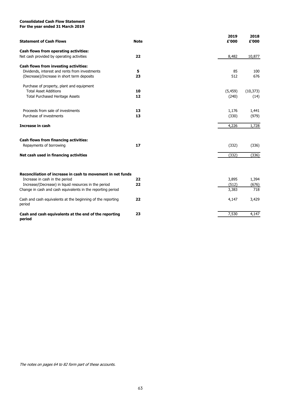# **Consolidated Cash Flow Statement**

**For the year ended 31 March 2019**

| <b>Statement of Cash Flows</b>                                        | <b>Note</b> | 2019<br>£'000 | 2018<br>£'000 |
|-----------------------------------------------------------------------|-------------|---------------|---------------|
| <b>Cash flows from operating activities:</b>                          |             |               |               |
| Net cash provided by operating activities                             | 22          | 8,482         | 10,877        |
| <b>Cash flows from investing activities:</b>                          |             |               |               |
| Dividends, interest and rents from investments                        | 5           | 85            | 100           |
| (Decrease)/Increase in short term deposits                            | 23          | 512           | 676           |
| Purchase of property, plant and equipment                             |             |               |               |
| <b>Total Asset Additions</b>                                          | 10          | (5, 459)      | (10, 373)     |
| <b>Total Purchased Heritage Assets</b>                                | 12          | (240)         | (14)          |
| Proceeds from sale of investments                                     | 13          | 1,176         | 1,441         |
| Purchase of investments                                               | 13          | (330)         | (979)         |
|                                                                       |             |               |               |
| <b>Increase in cash</b>                                               |             | 4,226         | 1,728         |
| <b>Cash flows from financing activities:</b>                          |             |               |               |
| Repayments of borrowing                                               | 17          | (332)         | (336)         |
| Net cash used in financing activities                                 |             | (332)         | (336)         |
|                                                                       |             |               |               |
| Reconciliation of increase in cash to movement in net funds           |             |               |               |
| Increase in cash in the period                                        | 22          | 3,895         | 1,394         |
| Increase/(Decrease) in liquid resources in the period                 | 22          | (512)         | (676)         |
| Change in cash and cash equivalents in the reporting period           |             | 3,383         | 718           |
| Cash and cash equivalents at the beginning of the reporting<br>period | 22          | 4,147         | 3,429         |
| Cash and cash equivalents at the end of the reporting                 | 23          | 7,530         | 4,147         |
| period                                                                |             |               |               |

The notes on pages 64 to 82 form part of these accounts.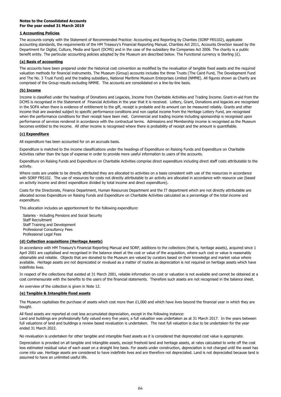# **Notes to the Consolidated Accounts For the year ended 31 March 2019**

# **1 Accounting Policies**

# **(a) Basis of accounting**

# **(b) Income**

# **(c) Expenditure**

All expenditure has been accounted for on an accruals basis.

This allocation includes an apportionment for the following expenditure:

Salaries - including Pensions and Social Security Staff Recruitment Staff Training and Development Professional Consultancy Fees Professional Legal Fees

# **(d) Collection acquisitions (Heritage Assets)**

An overview of the collection is given in Note 12.

# **(e) Tangible & Intangible fixed assets**

No revaluation is undertaken for other tangible and intangible fixed assets as it is considered that depreciated cost value is appropriate.

Costs for the Directorate, Finance Department, Human Resources Department and the IT department which are not directly attributable are allocated across Expenditure on Raising Funds and Expenditure on Charitable Activities calculated as a percentage of the total income and expenditure.

In accordance with HM Treasury's Financial Reporting Manual and SORP, additions to the collections (that is, heritage assets), acquired since 1 April 2001 are capitalised and recognised in the balance sheet at the cost or value of the acquisition, where such cost or value is reasonably obtainable and reliable. Objects that are donated to the Museum are valued by curators based on their knowledge and market value where available. Heritage assets are not depreciated or revalued as a matter of routine as depreciation is not required on heritage assets which have indefinite lives.

All fixed assets are reported at cost less accumulated depreciation, except in the following instance: Land and buildings are professionally fully valued every five years; a full valuation was undertaken as at 31 March 2017. In the years between full valuations of land and buildings a review based revaluation is undertaken. The next full valuation is due to be undertaken for the year ended 31 March 2022.

In respect of the collections that existed at 31 March 2001, reliable information on cost or valuation is not available and cannot be obtained at a cost commensurate with the benefits to the users of the financial statements. Therefore such assets are not recognised in the balance sheet.

The Museum capitalises the purchase of assets which cost more than £1,000 and which have lives beyond the financial year in which they are

#### bought.

Depreciation is provided on all tangible and intangible assets, except freehold land and heritage assets, at rates calculated to write off the cost less estimated residual value of each asset on a straight line basis. For assets under construction, depreciation is not charged until the asset has come into use. Heritage assets are considered to have indefinite lives and are therefore not depreciated. Land is not depreciated because land is assumed to have an unlimited useful life.

The accounts comply with the Statement of Recommended Practice: Accounting and Reporting by Charities (SORP FRS102), applicable accounting standards, the requirements of the HM Treasury's Financial Reporting Manual, Charities Act 2011, Accounts Direction issued by the Department for Digital, Culture, Media and Sport (DCMS) and in the case of the subsidiary the Companies Act 2006. The charity is a public benefit entity. The particular accounting policies adopted by the Museum are described below. The Functional currency is Sterling (£).

The accounts have been prepared under the historical cost convention as modified by the revaluation of tangible fixed assets and the required valuation methods for financial instruments. The Museum (Group) accounts includes the three Trusts (The Caird Fund, The Development Fund and The No. 3 Trust Fund) and the trading subsidiary, National Maritime Museum Enterprises Limited (NMME). All figures shown as Charity are comprised of the Group results excluding NMME. The accounts are consolidated on a line-by-line basis.

Income is classified under the headings of Donations and Legacies, Income from Charitable Activities and Trading Income. Grant-in-aid from the DCMS is recognised in the Statement of Financial Activities in the year that it is received. Lottery, Grant, Donations and legacies are recognised in the SOFA when there is evidence of entitlement to the gift, receipt is probable and its amount can be measured reliably. Grants and other income that are awarded subject to specific performance conditions and non capital income from the Heritage Lottery Fund, are recognised when the performance conditions for their receipt have been met. Commercial and trading income including sponsorship is recognised upon performance of services rendered in accordance with the contractual terms. Admissions and Membership income is recognised as the Museum becomes entitled to the income. All other income is recognised where there is probability of receipt and the amount is quantifiable.

Expenditure is matched to the income classifications under the headings of Expenditure on Raising Funds and Expenditure on Charitable Activities rather than the type of expense in order to provide more useful information to users of the accounts.

Expenditure on Raising Funds and Expenditure on Charitable Activities comprise direct expenditure including direct staff costs attributable to the activity.

Where costs are unable to be directly attributed they are allocated to activities on a basis consistent with use of the resources in accordance with SORP FRS102. The use of resources for costs not directly attributable to an activity are allocated in accordance with resource use (based on activity income and direct expenditure divided by total income and direct expenditure).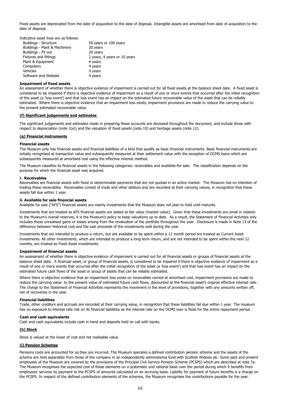| Indicative asset lives are as follows: |  |  |
|----------------------------------------|--|--|
|----------------------------------------|--|--|

| <b>Buildings - Structure</b>  | 50 years or 100 years        |
|-------------------------------|------------------------------|
| Buildings - Plant & Machinery | 20 years                     |
| Buildings - Fit out           | 20 years                     |
| <b>Fixtures and fittings</b>  | 2 years, 4 years or 10 years |
| Plant & Equipment             | 4 years                      |
| Computers                     | 4 years                      |
| <b>Vehicles</b>               | 4 years                      |
| Software and Website          | 4 years                      |
|                               |                              |

### **Impairment of fixed assets**

# **(f) Significant judgements and estimates**

# **(g) Financial instruments**

### **Financial assets**

### **i. Receivables**

### **ii. Available for sale financial assets**

Available for sale ("AFS") financial assets are mainly investments that the Museum does not plan to hold until maturity.

### **Impairment of financial assets**

### **Financial liabilities**

# **Cash and cash equivalents**

Cash and cash equivalents include cash in hand and deposits held on call with banks.

# **(h) Stock**

Stock is valued at the lower of cost and net realisable value.

# **(i) Pension Schemes**

Investments that are treated as AFS financial assets are stated at fair value (market value). Given that these investments are small in relation to the Museum's overall reserves, it is the Museum's policy to keep valuations up to date. As a result, the Statement of Financial Activities only includes those unrealised gains or losses arising from the revaluation of the portfolio throughout the year. Disclosure is made in Note 13 of the difference between historical cost and the sale proceeds of the investments sold during the year.

Investments that are intended to produce a return, but are available to be spent within a 12 month period are treated as Current Asset investments. All other investments, which are intended to produce a long term return, and are not intended to be spent within the next 12 months, are treated as Fixed Asset investments.

An assessment of whether there is objective evidence of impairment is carried out for all financial assets or groups of financial assets at the balance sheet date. A financial asset, or group of financial assets, is considered to be impaired if there is objective evidence of impairment as a result of one or more events that occurred after the initial recognition of the asset (a 'loss event') and that loss event has an impact on the estimated future cash flows of the asset or group of assets that can be reliably estimated.

Where there is objective evidence that an impairment loss exists on receivables carried at amortised cost, impairment provisions are made to reduce the carrying value to the present value of estimated future cash flows, discounted at the financial asset's original effective interest rate. The charge to the Statement of Financial Activities represents the movement in the level of provisions, together with any amounts written off, net of recoveries in the year.

Trade, other creditors and accruals are recorded at their carrying value, in recognition that these liabilities fall due within 1 year. The museum

has no exposure to interest rate risk on its financial liabilities as the interest rate on the DCMS loan is fixed for the entire repayment period.

Pensions costs are accounted for as they are incurred. The Museum operates a defined contribution pension scheme and the assets of the scheme are held separately from those of the company in an independently administered fund with Scottish Widows plc. Some past and present employees of the Museum are covered by the provisions of the Principal Civil Service Pension Scheme (PCSPS) which are described at note 7a. The Museum recognises the expected cost of these elements on a systematic and rational basis over the period during which it benefits from employees' services by payment to the PCSPS of amounts calculated on an accruing basis. Liability for payment of future benefits is a charge on the PCSPS. In respect of the defined contribution elements of the schemes, the Museum recognises the contributions payable for the year.

Fixed assets are depreciated from the date of acquisition to the date of disposal, Intangible assets are amortised from date of acquisition to the date of disposal.

An assessment of whether there is objective evidence of impairment is carried out for all fixed assets at the balance sheet date. A fixed asset is considered to be impaired if there is objective evidence of impairment as a result of one or more events that occurred after the initial recognition of the asset (a 'loss event') and that loss event has an impact on the estimated future recoverable value of the asset that can be reliably estimated. Where there is objective evidence that an impairment loss exists, impairment provisions are made to reduce the carrying value to the present estimated recoverable value.

The significant judgements and estimates made in preparing these accounts are disclosed throughout the document, and include those with respect to depreciation (note 1(e)) and the valuation of fixed assets (note 10) and heritage assets (note 12).

The Museum only has financial assets and financial liabilities of a kind that qualify as basic financial instruments. Basic financial instruments are initially recognised at transaction value and subsequently measured at their settlement value with the exception of DCMS loans which are subsequently measured at amortised cost using the effective interest method.

The Museum classifies its financial assets in the following categories: receivables and available-for-sale. The classification depends on the purpose for which the financial asset was acquired.

Receivables are financial assets with fixed or determinable payments that are not quoted in an active market. The Museum has no intention of trading these receivables. Receivables consist of trade and other debtors and are recorded at their carrying values, in recognition that these assets fall due within 1 year.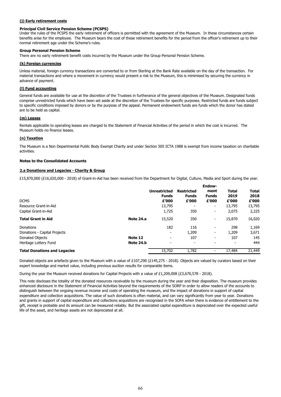# **(j) Early retirement costs**

#### **Principal Civil Service Pension Scheme (PCSPS)**

### **Group Personal Pension Scheme**

#### **(k) Foreign currencies**

### **(l) Fund accounting**

### **(m) Leases**

### **(n) Taxation**

### **Notes to the Consolidated Accounts**

### **2.a Donations and Legacies - Charity & Group**

£15,870,000 (£16,020,000 - 2018) of Grant-in-Aid has been received from the Department for Digital, Culture, Media and Sport during the year.

|                                     |           | Endow-                   |                          |                          |              |              |  |  |
|-------------------------------------|-----------|--------------------------|--------------------------|--------------------------|--------------|--------------|--|--|
|                                     |           | <b>Unrestricted</b>      | <b>Restricted</b>        | ment                     | <b>Total</b> | <b>Total</b> |  |  |
|                                     |           | <b>Funds</b>             | <b>Funds</b>             | <b>Funds</b>             | 2019         | 2018         |  |  |
| <b>DCMS</b>                         |           | £'000                    | £'000                    | £'000                    | £'000        | £'000        |  |  |
| Resource Grant-in-Aid               |           | 13,795                   | $\overline{\phantom{a}}$ | $\blacksquare$           | 13,795       | 13,795       |  |  |
| Capital Grant-in-Aid                |           | 1,725                    | 350                      | $\overline{\phantom{a}}$ | 2,075        | 2,225        |  |  |
| <b>Total Grant in Aid</b>           | Note 24.a | 15,520                   | 350                      | $\blacksquare$           | 15,870       | 16,020       |  |  |
| Donations                           |           | 182                      | 116                      | $\overline{\phantom{a}}$ | 298          | 1,169        |  |  |
| Donations - Capital Projects        |           | $\overline{\phantom{a}}$ | 1,209                    | $\overline{\phantom{a}}$ | 1,209        | 3,671        |  |  |
| Donated Objects                     | Note 12   | $\overline{\phantom{a}}$ | 107                      | $\overline{\phantom{0}}$ | 107          | 145          |  |  |
| Heritage Lottery Fund               | Note 24.b | -                        | $\blacksquare$           | -                        |              | 444          |  |  |
| <b>Total Donations and Legacies</b> |           | 15,702                   | 1,782                    | $\overline{\phantom{a}}$ | 17,484       | 21,449       |  |  |

Donated objects are artefacts given to the Museum with a value of £107,290 (£145,275 - 2018). Objects are valued by curators based on their expert knowledge and market value, including previous auction results for comparable items.

During the year the Museum received donations for Capital Projects with a value of £1,209,008 (£3,670,578 - 2018).

This note discloses the totality of the donated resources receivable by the museum during the year and their disposition. The museum provides enhanced disclosure in the Statement of Financial Activities beyond the requirements of the SORP in order to allow readers of the accounts to distinguish between the ongoing revenue income and costs of operating the museum, and the impact of donations in support of capital expenditure and collection acquisitions. The value of such donations is often material, and can vary significantly from year to year. Donations and grants in support of capital expenditure and collections acquisitions are recognised in the SOFA when there is evidence of entitlement to the gift, receipt is probable and its amount can be measured reliably. But the associated capital expenditure is depreciated over the expected useful life of the asset, and heritage assets are not depreciated at all.

Under the rules of the PCSPS the early retirement of officers is permitted with the agreement of the Museum. In these circumstances certain benefits arise for the employee. The Museum bears the cost of these retirement benefits for the period from the officer's retirement up to their normal retirement age under the Scheme's rules.

There are no early retirement benefit costs incurred by the Museum under the Group Personal Pension Scheme.

Unless material, foreign currency transactions are converted to or from Sterling at the Bank Rate available on the day of the transaction. For material transactions and where a movement in currency would present a risk to the Museum, this is minimised by securing the currency in advance of payment.

General funds are available for use at the discretion of the Trustees in furtherance of the general objectives of the Museum. Designated funds comprise unrestricted funds which have been set aside at the discretion of the Trustees for specific purposes. Restricted funds are funds subject to specific conditions imposed by donors or by the purpose of the appeal. Permanent endowment funds are funds which the donor has stated are to be held as capital.

Rentals applicable to operating leases are charged to the Statement of Financial Activities of the period in which the cost is incurred. The Museum holds no finance leases.

The Museum is a Non Departmental Public Body Exempt Charity and under Section 505 ICTA 1988 is exempt from income taxation on charitable activities.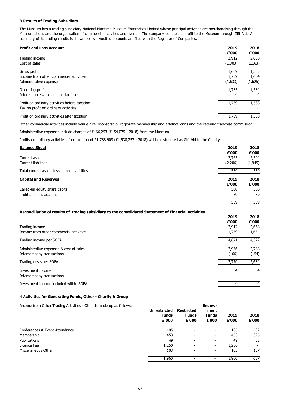# **3 Results of Trading Subsidiary**

| <b>Profit and Loss Account</b>                | 2019<br>£'000 | 2018<br>£'000 |
|-----------------------------------------------|---------------|---------------|
| Trading income                                | 2,912         | 2,668         |
| Cost of sales                                 | (1,303)       | (1, 163)      |
| Gross profit                                  | 1,609         | 1,505         |
| Income from other commercial activities       | 1,759         | 1,654         |
| Administrative expenses                       | (1,633)       | (1,625)       |
| Operating profit                              | 1,735         | 1,534         |
| Interest receivable and similar income        | 4             | 4             |
| Profit on ordinary activities before taxation | 1,739         | 1,538         |
| Tax on profit on ordinary activities          |               |               |
| Profit on ordinary activities after taxation  | 1,739         | 1,538         |

Other commercial activities include venue hire, sponsorship, corporate membership and artefact loans and the catering franchise commission.

Administrative expenses include charges of £166,253 (£154,075 - 2018) from the Museum.

Profits on ordinary activities after taxation of £1,738,909 (£1,538,257 - 2018) will be distributed as Gift Aid to the Charity.

| <b>Balance Sheet</b>                                                                                  | 2019<br>£'000    | 2018<br>£'000     |
|-------------------------------------------------------------------------------------------------------|------------------|-------------------|
| Current assets<br><b>Current liabilities</b>                                                          | 2,765<br>(2,206) | 2,504<br>(1, 945) |
| Total current assets less current liabilities                                                         | 559              | 559               |
| <b>Capital and Reserves</b>                                                                           | 2019<br>£'000    | 2018<br>£'000     |
| Called-up equity share capital<br>Profit and loss account                                             | 500<br>59        | 500<br>59         |
|                                                                                                       | 559              | 559               |
| Reconciliation of results of trading subsidiary to the consolidated Statement of Financial Activities |                  |                   |
|                                                                                                       | 2019<br>£'000    | 2018<br>£'000     |
| Trading income<br>Income from other commercial activities                                             | 2,912<br>1,759   | 2,668<br>1,654    |
| Trading income per SOFA                                                                               | 4,671            | 4,322             |
| Administrative expenses & cost of sales<br>Intercompany transactions                                  | 2,936<br>(166)   | 2,788<br>(154)    |
| Trading costs per SOFA                                                                                | 2,770            | 2,634             |
| Investment income<br>Intercompany transactions                                                        | $\overline{4}$   | 4                 |
| Investment income included within SOFA                                                                | $\overline{4}$   | $\overline{4}$    |

### **4 Activities for Generating Funds, Other - Charity & Group**

| Income from Other Trading Activities - Other is made up as follows: | <b>Unrestricted</b><br><b>Funds</b><br>£'000 | <b>Restricted</b><br><b>Funds</b><br>£'000 | <b>Endow-</b><br>ment<br><b>Funds</b><br>£'000 | 2019<br>£'000 | 2018<br>£'000 |
|---------------------------------------------------------------------|----------------------------------------------|--------------------------------------------|------------------------------------------------|---------------|---------------|
| Conferences & Event Attendance                                      | 105                                          | $\blacksquare$                             | $\overline{\phantom{a}}$                       | 105           | 32            |
| Membership                                                          | 453                                          | $\overline{\phantom{a}}$                   | $\sim$                                         | 453           | 395           |
| Publications                                                        | 49                                           | $\overline{\phantom{a}}$                   | $\overline{\phantom{a}}$                       | 49            | 53            |
| Licence Fee                                                         | 1,250                                        | $\overline{\phantom{a}}$                   | ۰.                                             | 1,250         |               |
| Miscellaneous Other                                                 | 103                                          | $\sim$                                     | $\overline{\phantom{a}}$                       | 103           | 157           |
|                                                                     | 1,960                                        | $\overline{\phantom{a}}$                   |                                                | 1,960         | 637           |

The Museum has a trading subsidiary National Maritime Museum Enterprises Limited whose principal activities are merchandising through the Museum shops and the organisation of commercial activities and events. The company donates its profit to the Museum through Gift Aid. A summary of its trading results is shown below. Audited accounts are filed with the Registrar of Companies.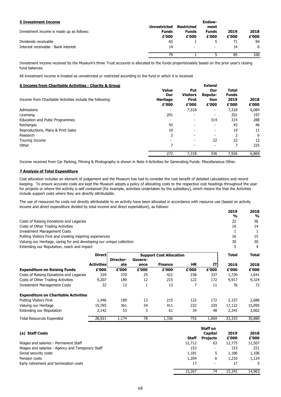# **7 Analysis of Total Expenditure**

| <b>5 Investment Income</b>               |                                       |                                            | <b>Endow-</b>                 |               |               |
|------------------------------------------|---------------------------------------|--------------------------------------------|-------------------------------|---------------|---------------|
| Investment income is made up as follows: | Unrestricted<br><b>Funds</b><br>£'000 | <b>Restricted</b><br><b>Funds</b><br>£'000 | ment<br><b>Funds</b><br>£'000 | 2019<br>£'000 | 2018<br>£'000 |
| Dividends receivable                     | 65                                    |                                            |                               | 71            | 94            |
| Interest receivable - Bank interest      | 14                                    | $\overline{\phantom{a}}$                   | $\overline{\phantom{0}}$      | 14            | 6             |
|                                          | 79                                    |                                            |                               | 85            | 100           |

| 6 Income from Charitable Activities - Charity & Group    |                 |                          | <b>Extend</b>            |              |       |
|----------------------------------------------------------|-----------------|--------------------------|--------------------------|--------------|-------|
|                                                          | <b>Value</b>    | Put                      | Our                      | <b>Total</b> |       |
|                                                          | Our             | <b>Visitors</b>          | Reputa-                  | <b>Funds</b> |       |
| Income from Charitable Activities include the following: | <b>Heritage</b> | <b>First</b>             | tion                     | 2019         | 2018  |
|                                                          | £'000           | £'000                    | £'000                    | £'000        | £'000 |
| Admissions                                               |                 | 7,318                    | $\overline{\phantom{a}}$ | 7,318        | 6,084 |
| Licensing                                                | 201             | $\sim$                   | $\overline{\phantom{a}}$ | 201          | 197   |
| <b>Education and Pubic Programmes</b>                    |                 | $\sim$                   | 314                      | 314          | 288   |
| Recharges                                                | 43              | -                        | $\overline{\phantom{0}}$ | 43           | 46    |
| Reproductions, Plans & Print Sales                       | 19              |                          |                          | 19           | 11    |
| Research                                                 | 2               | $\overline{\phantom{0}}$ | $\overline{\phantom{0}}$ |              | 6     |
| <b>Touring Income</b>                                    |                 | -                        | 22                       | 22           | 12    |
| Other                                                    | 7               | $\blacksquare$           | $\overline{\phantom{a}}$ |              | 225   |
|                                                          | 272             | 7,318                    | 336                      | 7,926        | 6,869 |

|                                                                       |                   |                  |                 |                                |              |                 | 2019<br>$\frac{0}{0}$ | 2018<br>$\frac{0}{0}$ |
|-----------------------------------------------------------------------|-------------------|------------------|-----------------|--------------------------------|--------------|-----------------|-----------------------|-----------------------|
| Costs of Raising Donations and Legacies                               |                   |                  |                 |                                |              |                 | 32                    | 36                    |
| Costs of Other Trading Activities                                     |                   |                  |                 |                                |              |                 | 16                    | 14                    |
| <b>Investment Management Costs</b>                                    |                   |                  |                 |                                |              |                 | 1                     | $\mathbf{1}$          |
| Putting Visitors First and creating inspiring experiences             |                   |                  |                 |                                |              |                 | 16                    | 15                    |
| Valuing our Heritage, caring for and developing our unique collection |                   |                  |                 |                                |              |                 | 30                    | 30                    |
| Extending our Reputation, reach and impact                            |                   |                  |                 |                                |              |                 | 5                     | $\overline{4}$        |
|                                                                       | <b>Direct</b>     | <b>Director-</b> | Govern-         | <b>Support Cost Allocation</b> |              |                 | <b>Total</b>          | <b>Total</b>          |
|                                                                       | <b>Activities</b> | ate              | ance            | <b>Finance</b>                 | <b>HR</b>    | IT              | 2019                  | 2018                  |
| <b>Expenditure on Raising Funds</b>                                   | £'000             | £'000            | £'000           | £'000                          | £'000        | £'000           | £'000                 | £'000                 |
| Costs of Raising Donations and Legacies                               | 329               | 370              | 25              | 421                            | 238          | 337             | 1,720                 | 1,641                 |
| Costs of Other Trading Activities                                     | 9,207             | 189              | 12              | 215                            | 122          | 172             | 9,917                 | 9,324                 |
| <b>Investment Management Costs</b>                                    | 32                | 12               | $\mathbf{1}$    | 13                             | 7            | 11              | 76                    | 72                    |
| <b>Expenditure on Charitable Activities</b>                           |                   |                  |                 |                                |              |                 |                       |                       |
| <b>Putting Visitors First</b>                                         | 1,446             | 189              | 13              | 215                            | 122          | 172             | 2,157                 | 2,686                 |
| Valuing our Heritage                                                  | 15,765            | 361              | 24              | 411                            | 232          | 329             | 17,122                | 15,095                |
| <b>Extending our Reputation</b>                                       | 2,142             | 53               | 3               | 61                             | 34           | 48              | 2,341                 | 2,062                 |
| <b>Total Resources Expended</b>                                       | 28,921            | 1,174            | $\overline{78}$ | 1,336                          | 755          | 1,069           | 33,333                | 30,880                |
|                                                                       |                   |                  |                 |                                |              | <b>Staff on</b> |                       |                       |
| (a) Staff Costs                                                       |                   |                  |                 |                                |              | <b>Capital</b>  | 2019                  | 2018                  |
|                                                                       |                   |                  |                 |                                | <b>Staff</b> | <b>Projects</b> | £'000                 | £'000                 |
| Wages and salaries - Permanent Staff                                  |                   |                  |                 |                                | 12,712       | 63              | 12,775                | 12,507                |
| Wages and salaries - Agency and Temporary Staff                       |                   |                  |                 |                                | 153          |                 | 153                   | 221                   |
| Social security costs                                                 |                   |                  |                 |                                | 1,181        | 5               | 1,186                 | 1,106                 |
| Pension costs                                                         |                   |                  |                 |                                | 1,204        | 6               | 1,210                 | 1,124                 |
| Early retirement and termination costs                                |                   |                  |                 |                                | 17           |                 | 17                    | 5                     |
|                                                                       |                   |                  |                 |                                | 15,267       | $\overline{74}$ | 15,341                | 14,963                |

Cost allocation includes an element of judgement and the Museum has had to consider the cost benefit of detailed calculations and record keeping. To ensure accurate costs are kept the Museum adopts a policy of allocating costs to the respective cost headings throughout the year for projects or where the activity is self contained (for example, activities undertaken by the subsidiary), which means the that the Activities include support costs where they are directly attributable.

The use of resources for costs not directly attributable to an activity have been allocated in accordance with resource use (based on activity income and direct expenditure divided by total income and direct expenditure), as follows:

Investment income received by the Museum's three Trust accounts is allocated to the funds proportionately based on the prior year's closing fund balances.

All investment income is treated as unrestricted or restricted according to the fund in which it is received.

Income received from Car Parking, Filming & Photography is shown in Note 4 Activities for Generating Funds: Miscellaneous Other.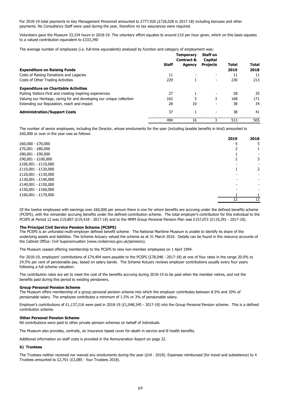The average number of employees (i.e. full-time equivalents) analysed by function and category of employment was:

|                                                                       |              | <b>Temporary</b><br><b>Contract &amp;</b> | <b>Staff on</b><br>Capital |              |              |
|-----------------------------------------------------------------------|--------------|-------------------------------------------|----------------------------|--------------|--------------|
|                                                                       | <b>Staff</b> | <b>Agency</b>                             | <b>Projects</b>            | <b>Total</b> | <b>Total</b> |
| <b>Expenditure on Raising Funds</b>                                   |              |                                           |                            | 2019         | 2018         |
| Costs of Raising Donations and Legacies                               | 11           |                                           |                            | 11           | 11           |
| Costs of Other Trading Activities                                     | 229          |                                           | $\blacksquare$             | 230          | 213          |
| <b>Expenditure on Charitable Activities</b>                           |              |                                           |                            |              |              |
| Putting Visitors First and creating inspiring experiences             | 27           |                                           | $\overline{\phantom{a}}$   | 28           | 35           |
| Valuing our Heritage, caring for and developing our unique collection | 162          | 3                                         | 3                          | 168          | 171          |
| Extending our Reputation, reach and impact                            | 28           | 10                                        | $\overline{\phantom{0}}$   | 38           | 34           |
| <b>Administration/Support Costs</b>                                   | 37           |                                           | -                          | 38           | 41           |
|                                                                       | 494          | 16                                        |                            | 513          | 505          |

|                     | 2019 | 2018           |
|---------------------|------|----------------|
| $£60,000 - £70,000$ |      | 5              |
| £70,001 - £80,000   |      |                |
| £80,001 - £90,000   |      |                |
| £90,001 - £100,000  |      | 3              |
| £100,001 - £110,000 |      |                |
| £110,001 - £120,000 |      | $\overline{2}$ |
| £120,001 - £130,000 |      |                |
| £130,001 - £140,000 |      |                |
| £140,001 - £150,000 |      |                |
| £150,001 - £160,000 |      |                |
| £160,001 - £170,000 |      |                |
|                     | 12   | 12             |

### **The Principal Civil Service Pension Scheme (PCSPS)**

The Museum ceased offering membership to the PCSPS to new non-member employees on 1 April 1994.

# **Group Personal Pension Scheme**

#### **Other Personal Pension Scheme**

Nil contributions were paid to other private pension schemes on behalf of individuals.

The Museum also provides, centrally, an insurance based cover for death in service and ill health benefits.

Additional information on staff costs is provided in the Remuneration Report on page 32.

# **b) Trustees**

The Museum offers membership of a group personal pension scheme into which the employer contributes between 8.5% and 10% of pensionable salary. The employee contributes a minimum of 1.5% or 3% of pensionable salary.

Employer's contributions of £1,137,216 were paid in 2018-19 (£1,048,345 - 2017-18) into the Group Personal Pension scheme. This is a defined

contribution scheme.

The Trustees neither received nor waived any emoluments during the year (£nil - 2018). Expenses reimbursed (for travel and subsistence) to 4 Trustees amounted to £2,701 (£3,085 - four Trustees 2018).

The number of senior employees, including the Director, whose emoluments for the year (including taxable benefits in kind) amounted to £60,000 or over in the year was as follows:

Of the twelve employees with earnings over £60,000 per annum there is one for whom benefits are accruing under the defined benefits scheme (PCSPS), with the remainder accruing benefits under the defined contribution scheme. The total employer's contribution for this individual to the PCSPS at Period 12 was £19,807 (£19,418 - 2017-18) and to the NMM Group Personal Pension Plan was £157,072 (£119,291 - 2017-18).

The PCSPS is an unfunded multi-employer defined benefit scheme. The National Maritime Museum is unable to identify its share of the underlying assets and liabilities. The Scheme Actuary valued the scheme as at 31 March 2016. Details can be found in the resource accounts of the Cabinet Office: Civil Superannuation (www.civilservice.gov.uk/pensions).

For 2018-19, employers' contributions of £74,404 were payable to the PCSPS (£78,048 - 2017-18) at one of four rates in the range 20.0% to 24.5% per cent of pensionable pay, based on salary bands. The Scheme Actuary reviews employer contributions usually every four years following a full scheme valuation.

The contribution rates are set to meet the cost of the benefits accruing during 2018-19 to be paid when the member retires, and not the benefits paid during this period to existing pensioners.

For 2018-19 total payments to Key Management Personnel amounted to £777,926 (£726,028 in 2017-18) including bonuses and other payments. No Consultancy Staff were used during the year, therefore no tax assurances were required.

Volunteers gave the Museum 33,334 hours in 2018-19. The voluntary effort equates to around £10 per hour given, which on this basis equates to a valued contribution equivalent to £333,340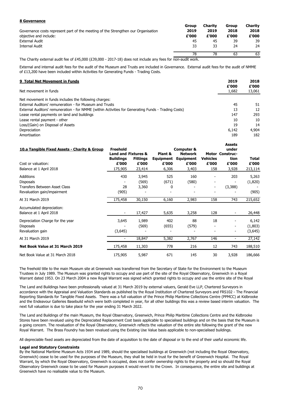The Charity external audit fee of £45,000 (£39,000 - 2017-18) does not include any fees for non-audit work.

| 9 Total Net Movement in Funds                                                                       | 2019  | 2018   |
|-----------------------------------------------------------------------------------------------------|-------|--------|
|                                                                                                     | £'000 | £'000  |
| Net movement in funds                                                                               | 1,682 | 13,061 |
| Net movement in funds includes the following charges:                                               |       |        |
| External Auditors' remuneration - for Museum and Trusts                                             | 45    | 51     |
| External Auditors' remuneration - for NMME (within Activities for Generating Funds - Trading Costs) | 13    | 12     |
| Lease rental payments on land and buildings                                                         | 147   | 293    |
| Lease rental payment - other                                                                        | 10    | 10     |
| Loss/(Gain) on Disposal of Assets                                                                   | 19    | 14     |
| Depreciation                                                                                        | 6,142 | 4,904  |
| Amortisation                                                                                        | 189   | 182    |

#### **Legal and Statutory Constraints**

The freehold title to the main Museum site at Greenwich was transferred from the Secretary of State for the Environment to the Museum Trustees in July 1989. The Museum was granted rights to occupy and use part of the site of the Royal Observatory, Greenwich in a Royal Warrant dated 1953. On 23 March 2004 a new Royal Warrant was signed which granted rights to occupy and use the entire site of the Royal

| <b>8 Governance</b>                                                               |       |                |              |                |
|-----------------------------------------------------------------------------------|-------|----------------|--------------|----------------|
|                                                                                   | Group | <b>Charity</b> | <b>Group</b> | <b>Charity</b> |
| Governance costs represent part of the meeting of the Strengthen our Organisation | 2019  | 2019           | 2018         | 2018           |
| objective and include:                                                            | £'000 | £'000          | £'000        | £'000          |
| <b>External Audit</b>                                                             | 45    | 45             | 39           | 39             |
| <b>Internal Audit</b>                                                             | 33    | 33             | 24           | 24             |
|                                                                                   | 78    | 78             | 63           | 63             |

The Land and Buildings have been professionally valued at 31 March 2019 by external valuers, Gerald Eve LLP, Chartered Surveyors in accordance with the Appraisal and Valuation Standards as published by the Royal Institution of Chartered Surveyors and FRS102 - The Financial Reporting Standards for Tangible Fixed Assets. There was a full valuation of the Prince Philip Maritime Collections Centre (PPMCC) at Kidbrooke and the Endeavour Galleries Basebuild which were both completed in year, for all other buildings this was a review based interim valuation. The next full valuation is due to take place for the year ending 31 March 2022.

| 10.a Tangible Fixed Assets - Charity & Group | <b>Freehold</b><br><b>Land and Fixtures &amp;</b> |                 | Plant &          | <b>Computer &amp;</b><br><b>Network</b> |                 | <b>Assets</b><br>under<br><b>Motor Construc-</b> |              |
|----------------------------------------------|---------------------------------------------------|-----------------|------------------|-----------------------------------------|-----------------|--------------------------------------------------|--------------|
|                                              | <b>Buildings</b>                                  | <b>Fittings</b> | <b>Equipment</b> | <b>Equipment</b>                        | <b>Vehicles</b> | tion                                             | <b>Total</b> |
| Cost or valuation:                           | £'000                                             | £'000           | £'000            | £'000                                   | £'000           | £'000                                            | £'000        |
| Balance at 1 April 2018                      | 175,905                                           | 23,414          | 6,306            | 3,403                                   | 158             | 3,928                                            | 213,114      |
| <b>Additions</b>                             | 430                                               | 3,945           | 525              | 160                                     |                 | 203                                              | 5,263        |
| <b>Disposals</b>                             |                                                   | (569)           | (671)            | (580)                                   |                 |                                                  | (1,820)      |
| <b>Transfers Between Asset Class</b>         | 28                                                | 3,360           | 0                | $\overline{\phantom{0}}$                | $\blacksquare$  | (3,388)                                          |              |
| Revaluation gain/impairment                  | (905)                                             |                 |                  |                                         |                 |                                                  | (905)        |
| At 31 March 2019                             | 175,458                                           | 30,150          | 6,160            | 2,983                                   | 158             | 743                                              | 215,652      |
| Accumulated depreciation:                    |                                                   |                 |                  |                                         |                 |                                                  |              |
| Balance at 1 April 2018                      | ۰.                                                | 17,427          | 5,635            | 3,258                                   | 128             |                                                  | 26,448       |
| Depreciation Charge for the year             | 3,645                                             | 1,989           | 402              | 88                                      | 18              |                                                  | 6,142        |
| <b>Disposals</b>                             |                                                   | (569)           | (655)            | (579)                                   |                 |                                                  | (1,803)      |
| Revaluation gain                             | (3,645)                                           |                 |                  |                                         |                 | $\overline{\phantom{a}}$                         | (3,645)      |
| At 31 March 2019                             | ٠.                                                | 18,847          | 5,382            | 2,767                                   | 146             | $\blacksquare$                                   | 27,142       |
| Net Book Value at 31 March 2019              | 175,458                                           | 11,303          | 778              | 216                                     | 12              | 743                                              | 188,510      |
| Net Book Value at 31 March 2018              | 175,905                                           | 5,987           | 671              | 145                                     | 30              | 3,928                                            | 186,666      |

The Land and Buildings of the main Museum, the Royal Observatory, Greenwich, Prince Philip Maritime Collections Centre and the Kidbrooke Stores have been revalued using the Depreciated Replacement Cost basis applicable to specialised buildings and on the basis that the Museum is a going concern. The revaluation of the Royal Observatory, Greenwich reflects the valuation of the entire site following the grant of the new Royal Warrant. The Brass Foundry has been revalued using the Existing Use Value basis applicable to non-specialised buildings.

All depreciable fixed assets are depreciated from the date of acquisition to the date of disposal or to the end of their useful economic life.

By the National Maritime Museum Acts 1934 and 1989, should the specialised buildings at Greenwich (not including the Royal Observatory, Greenwich) cease to be used for the purposes of the Museum, they shall be held in trust for the benefit of Greenwich Hospital. The Royal Warrant, by which the Royal Observatory, Greenwich is occupied, does not confer ownership rights to the property and so should the Royal Observatory Greenwich cease to be used for Museum purposes it would revert to the Crown. In consequence, the entire site and buildings at Greenwich have no realisable value to the Museum.

External and internal audit fees for the audit of the Museum and Trusts are included in Governance. External audit fees for the audit of NMME of £13,200 have been included within Activities for Generating Funds - Trading Costs.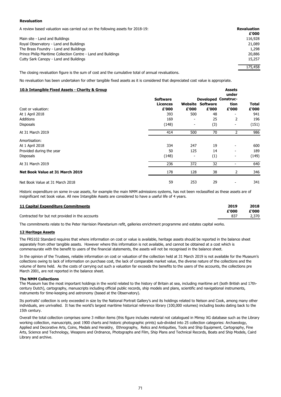### **Revaluation**

A review based valuation was carried out on the following assets for 2018-19: **Revaluation**

| witchen based raiddeen mas canned out on the ronoming assets for E910 191                          |         |
|----------------------------------------------------------------------------------------------------|---------|
|                                                                                                    | £'000   |
| Main site - Land and Buildings                                                                     | 116,928 |
| Royal Observatory - Land and Buildings                                                             | 21,089  |
| The Brass Foundry - Land and Buildings                                                             | 1,298   |
| Prince Philip Maritime Collection Centre - Land and Buildings                                      | 20,886  |
| Cutty Sark Canopy - Land and Buildings                                                             | 15,257  |
|                                                                                                    | 175,458 |
| The closing revaluation figure is the sum of cost and the cumulative total of annual revaluations. |         |

No revaluation has been undertaken for other tangible fixed assets as it is considered that depreciated cost value is appropriate.

| 11 Capital Expenditure Commitments              | 2019  | 2018  |
|-------------------------------------------------|-------|-------|
|                                                 | £'000 | £'000 |
| Contracted for but not provided in the accounts |       | 2,370 |

### **12 Heritage Assets**

### **The NMM Collections**

| 10.b Intangible Fixed Assets - Charity & Group |                 |                          |                 | <b>Assets</b><br>under     |       |
|------------------------------------------------|-----------------|--------------------------|-----------------|----------------------------|-------|
|                                                | <b>Software</b> |                          |                 | <b>Developed Construc-</b> |       |
|                                                | <b>Licences</b> | Website                  | <b>Software</b> | tion                       | Total |
| Cost or valuation:                             | £'000           | £'000                    | £'000           | £'000                      | £'000 |
| At 1 April 2018                                | 393             | 500                      | 48              |                            | 941   |
| <b>Additions</b>                               | 169             | $\overline{\phantom{a}}$ | 25              | 2                          | 196   |
| <b>Disposals</b>                               | (148)           | $\blacksquare$           | (3)             |                            | (151) |
| At 31 March 2019                               | 414             | 500                      | 70              | 2                          | 986   |
| Amortisation:                                  |                 |                          |                 |                            |       |
| At 1 April 2018                                | 334             | 247                      | 19              |                            | 600   |
| Provided during the year                       | 50              | 125                      | 14              | ۰                          | 189   |
| <b>Disposals</b>                               | (148)           | $\overline{\phantom{0}}$ | (1)             | -                          | (149) |
| At 31 March 2019                               | 236             | 372                      | 32              |                            | 640   |
| Net Book Value at 31 March 2019                | 178             | 128                      | 38              | 2                          | 346   |
| Net Book Value at 31 March 2018                | 59              | 253                      | 29              |                            | 341   |

Its portraits' collection is only exceeded in size by the National Portrait Gallery's and its holdings related to Nelson and Cook, among many other individuals, are unrivalled. It has the world's largest maritime historical reference library (100,000 volumes) including books dating back to the 15th century.

Overall the total collection comprises some 3 million items (this figure includes material not catalogued in Mimsy XG database such as the Library working collection, manuscripts, post 1900 charts and historic photographic prints) sub-divided into 25 collection categories: Archaeology, Applied and Decorative Arts, Coins, Medals and Heraldry, Ethnography, Relics and Antiquities, Tools and Ship Equipment, Cartography, Fine Arts, Science and Technology, Weapons and Ordnance, Photographs and Film, Ship Plans and Technical Records, Boats and Ship Models, Caird Library and archive.

Historic expenditure on some in-use assets, for example the main NMM admissions systems, has not been reclassified as these assets are of insignificant net book value. All new Intangible Assets are considered to have a useful life of 4 years.

The commitments relate to the Peter Harrision Planetarium refit, galleries enrichment programme and estates capital works.

The FRS102 Standard requires that where information on cost or value is available, heritage assets should be reported in the balance sheet separately from other tangible assets. However where this information is not available, and cannot be obtained at a cost which is commensurate with the benefit to users of the financial statements, the assets will not be recognised in the balance sheet.

In the opinion of the Trustees, reliable information on cost or valuation of the collection held at 31 March 2019 is not available for the Museum's collections owing to lack of information on purchase cost, the lack of comparable market value, the diverse nature of the collections and the volume of items held. As the costs of carrying out such a valuation far exceeds the benefits to the users of the accounts, the collections pre March 2001, are not reported in the balance sheet.

The Museum has the most important holdings in the world related to the history of Britain at sea, including maritime art (both British and 17thcentury Dutch), cartography, manuscripts including official public records, ship models and plans, scientific and navigational instruments, instruments for time-keeping and astronomy (based at the Observatory).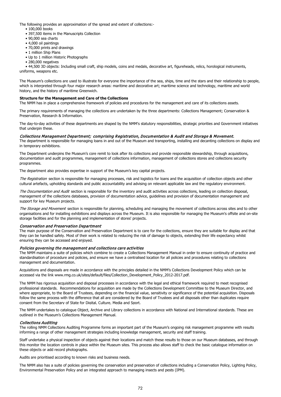- 100,000 books
- 397,500 items in the Manuscripts Collection
- 90,000 sea charts
- 4,000 oil paintings
- 70,000 prints and drawings
- 1 million Ship Plans
- Up to 1 million Historic Photographs
- 280,000 negatives

### Collections Auditing

The rolling NMM Collections Auditing Programme forms an important part of the Museum's ongoing risk management programme with results informing a range of other management strategies including knowledge management, security and staff training.

Staff undertake a physical inspection of objects against their locations and match these results to those on our Museum databases, and through this monitor the location controls in place within the Museum sites. This process also allows staff to check the basic catalogue information on these objects or add record photographs.

Audits are prioritised according to known risks and business needs.

The NMM also has a suite of policies governing the conservation and preservation of collections including a Conservation Policy, Lighting Policy, Environmental Preservation Policy and an integrated approach to managing insects and pests (IPM).

The main purpose of the Conservation and Preservation Department is to care for the collections, ensure they are suitable for display and that they can be handled safely. Most of their work is related to reducing the risk of damage to objects, extending their life expectancy whilst ensuring they can be accessed and enjoyed.

### Policies governing the management and collections care activities

The NMM maintains a suite of policies which combine to create a Collections Management Manual in order to ensure continuity of practice and standardisation of procedure and policies, and ensure we have a centralised location for all policies and procedures relating to collections management and documentation.

The Registration section is responsible for managing processes, risk and logistics for loans and the acquisition of collection objects and other cultural artefacts, upholding standards and public accountability and advising on relevant applicable law and the regulatory environment.

The Documentation and Audit section is responsible for the inventory and audit activities across collections, leading on collection disposal, management of the collections databases, provision of documentation advice, guidelines and provision of documentation management and support for key Museum projects.

Acquisitions and disposals are made in accordance with the principles detailed in the NMM's Collections Development Policy which can be accessed via the link www.rmg.co.uk/sites/default/files/Collection\_Development\_Policy\_2012-2017.pdf.

The Storage and Movement section is responsible for planning, scheduling and managing the movement of collections across sites and to other organisations and for installing exhibitions and displays across the Museum. It is also responsible for managing the Museum's offsite and on-site storage facilities and for the planning and implementation of stores' projects.

The NMM has rigorous acquisition and disposal processes in accordance with the legal and ethical framework required to meet recognised professional standards. Recommendations for acquisition are made by the Collections Development Committee to the Museum Director, and where appropriate, to the Board of Trustees, depending on the financial value, sensitivity or significance of the potential acquisition. Disposals follow the same process with the difference that all are considered by the Board of Trustees and all disposals other than duplicates require consent from the Secretary of State for Digital, Culture, Media and Sport.

The NMM undertakes to catalogue Object, Archive and Library collections in accordance with National and International standards. These are outlined in the Museum's Collections Management Manual.

The Department underpins the Museum's core remit to look after its collections and provide responsible stewardship, through acquisitions, documentation and audit programmes, management of collections information, management of collections stores and collections security programmes.

The department also provides expertise in support of the Museum's key capital projects.

### Conservation and Preservation Department

### **Structure for the Management and Care of the Collections**

The NMM has in place a comprehensive framework of policies and procedures for the management and care of its collections assets.

The primary requirements of managing the collections are undertaken by the three departments: Collections Management; Conservation & Preservation, Research & Information.

The day-to-day activities of these departments are shaped by the NMM's statutory responsibilities, strategic priorities and Government initiatives that underpin these.

### Collections Management Department; comprising Registration, Documentation & Audit and Storage & Movement.

The department is responsible for managing loans in and out of the Museum and transporting, installing and decanting collections on display and in temporary exhibitions.

The following provides an approximation of the spread and extent of collections:-

 • 44,500 3D objects: Including small craft, ship models, coins and medals, decorative art, figureheads, relics, horological instruments, uniforms, weapons etc.

The Museum's collections are used to illustrate for everyone the importance of the sea, ships, time and the stars and their relationship to people, which is interpreted through four major research areas: maritime and decorative art; maritime science and technology, maritime and world history, and the history of maritime Greenwich.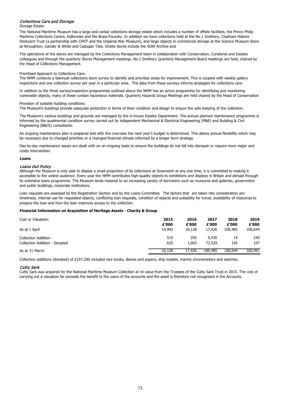Storage Estate:

### **Loans**

### Loans Out Policy

| Cost or Valuation:            | 2015   | 2016   | 2017    | 2018    | 2019    |
|-------------------------------|--------|--------|---------|---------|---------|
|                               | £'000  | £'000  | £'000   | £'000   | £'000   |
| As at 1 April                 | 14,993 | 16,128 | 17,426  | 100,485 | 100,644 |
| Collection Addition -         | 510    | 295    | 9,530   | 14      | 240     |
| Collection Addition - Donated | 625    | 1,003  | 73,529  | 145     | 107     |
| As at 31 March                | 16,128 | 17,426 | 100,485 | 100,644 | 100,991 |

Collection additions (donated) of £107,290 included rare books, diaries and papers, ship models, marine chronometers and watches.

### Cutty Sark

Cutty Sark was acquired for the National Maritime Museum Collection at nil value from the Trustees of the Cutty Sark Trust in 2015. The cost of carrying out a valuation far exceeds the benefit to the users of the accounts and the asset is therefore not recognised in the Accounts.

The Museum's various buildings and grounds are managed by the in-house Estates Department. The annual planned maintenance programme is informed by the quadrennial condition survey carried out by independent Mechanical & Electrical Engineering (M&E) and Building & Civil Engineering (B&CE) consultants.

An ongoing maintenance plan is prepared and with this overview the next year's budget is determined. This allows annual flexibility which may be necessary due to changed priorities or a changed financial climate informed by a longer term strategy.

Day-to-day maintenance issues are dealt with on an ongoing basis to ensure the buildings do not fall into disrepair or require more major and costly intervention.

Although the Museum is only able to display a small proportion of its collections at Greenwich at any one time, it is committed to making it accessible to the widest audience. Every year the NMM contributes high-quality objects to exhibitions and displays in Britain and abroad through its extensive loans programme. The Museum lends material to an increasing variety of borrowers such as museums and galleries, government and public buildings, corporate institutions.

Loan requests are assessed by the Registration Section and by the Loans Committee. The factors that are taken into consideration are timeliness, internal use for requested objects, conflicting loan requests, condition of objects and suitability for travel, availability of resources to prepare the loan and how the loan improves access to the collection.

### **Financial Information on Acquisition of Heritage Assets - Charity & Group**

The operations of the stores are managed by the Collections Management team in collaboration with Conservation, Curatorial and Estates colleagues and through the quarterly Stores Management meetings. No.1 Smithery Quarterly Management Board meetings are held, chaired by the Head of Collections Management.

### Prioritised Approach to Collections Care:

The NMM conducts a biannual collections store survey to identify and prioritise areas for improvement. This is coupled with weekly gallery inspections and one collection survey per year in a particular area. The data from these surveys informs strategies for collections care.

In addition to the three survey/inspection programmes outlined above the NMM has an active programme for identifying and monitoring vulnerable objects; many of these contain hazardous materials. Quarterly Hazards Group Meetings are held chaired by the Head of Conservation

### Provision of suitable building conditions:

The Museum's buildings provide adequate protection in terms of their condition and design to ensure the safe keeping of the collection.

### Collections Care and Storage

The National Maritime Museum has a large and varied collections storage estate which includes a number of offsite facilities; the Prince Philip Maritime Collections Centre, Kidbrooke and the Brass Foundry. In addition we have collections held at the No.1 Smithery, Chatham Historic Dockyard Trust (a partnership with CHDT and the Imperial War Museum), and large objects in commercial storage at the Science Museum Store at Wroughton, Gander & White and Cadogan Tate. Onsite stores include the SOW Archive and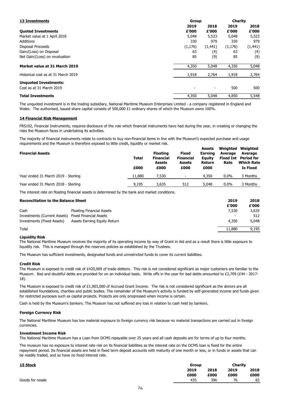### **14 Financial Risk Management**

| <b>Financial Assets</b>             | <b>Total</b> | <b>Floating</b><br><b>Financial</b><br><b>Assets</b> | <b>Fixed</b><br><b>Financial</b><br><b>Assets</b> | <b>Assets</b><br><b>Earning</b><br><b>Equity</b><br><b>Return</b> | Weighted<br><b>Average</b><br>Rate | Weighted<br><b>Average</b><br><b>Fixed Int</b> Period for<br><b>Which Rate</b> |
|-------------------------------------|--------------|------------------------------------------------------|---------------------------------------------------|-------------------------------------------------------------------|------------------------------------|--------------------------------------------------------------------------------|
|                                     | £000         | £000<br>£000                                         |                                                   | £000                                                              |                                    | <b>Is Fixed</b>                                                                |
| Year ended 31 March 2019 - Sterling | 11,880       | 7,530                                                | ۰                                                 | 4,350                                                             | 0.0%                               | 3 Months                                                                       |
| Year ended 31 March 2018 - Sterling | 9,195        | 3,635                                                | 512                                               | 5,048                                                             | $0.0\%$                            | 3 Months                                                                       |

The interest rate on floating financial assets is determined by the bank and market conditions.

| <b>Reconciliation to the Balance Sheet</b>          |                                     | 2019<br>£'000 | 2018<br>£'000 |
|-----------------------------------------------------|-------------------------------------|---------------|---------------|
| Cash                                                | <b>Floating Financial Assets</b>    | 7,530         | 3,635         |
| Investments (Current Assets) Fixed Financial Assets |                                     |               | 512           |
| Investments (Fixed Assets)                          | <b>Assets Earning Equity Return</b> | 4,350         | 5,048         |
| Total                                               |                                     | 11,880        | 9,195         |

The unquoted investment is in the trading subsidiary, National Maritime Museum Enterprises Limited - a company registered in England and Wales. The authorised, issued share capital consists of 500,000 £1 ordinary shares of which the Museum owns 100%.

### **Liquidity Risk**

The Museum has sufficient investments, designated funds and unrestricted funds to cover its current liabilities.

### **Credit Risk**

Cash is held by the Museum's bankers. The Museum has not suffered any loss in relation to cash held by bankers.

### **Foreign Currency Risk**

#### **Investment Income Risk**

The National Maritime Museum has low material exposure to foreign currency risk because no material transactions are carried out in foreign currencies.

The National Maritime Museum has a Loan from DCMS repayable over 25 years and all cash deposits are for terms of up to four months.

| <b>Group</b> |      | <b>Charity</b> |      |
|--------------|------|----------------|------|
| 2019         | 2018 | 2019           | 2018 |
| £000         | £000 | £000           | £000 |
| 435          | 396  | 76             | 82   |
|              |      |                |      |

| <b>13 Investments</b>               | <b>Group</b>             |          | <b>Charity</b> |          |
|-------------------------------------|--------------------------|----------|----------------|----------|
|                                     | 2019                     | 2018     | 2019           | 2018     |
| <b>Quoted Investments</b>           | £'000                    | £'000    | £'000          | £'000    |
| Market value at 1 April 2018        | 5,048                    | 5,523    | 5,048          | 5,523    |
| <b>Additions</b>                    | 330                      | 979      | 330            | 979      |
| <b>Disposal Proceeds</b>            | (1, 176)                 | (1, 441) | (1, 176)       | (1, 441) |
| Gain/(Loss) on Disposal             | 63                       | (4)      | 63             | (4)      |
| Net Gain/(Loss) on revaluation      | 85                       | (9)      | 85             | (9)      |
| Market value at 31 March 2019       | 4,350                    | 5,048    | 4,350          | 5,048    |
| Historical cost as at 31 March 2019 | 1,918                    | 2,764    | 1,918          | 2,764    |
| <b>Unquoted Investments:</b>        |                          |          |                |          |
| Cost as at 31 March 2019            | $\overline{\phantom{a}}$ |          | 500            | 500      |
| <b>Total Investments</b>            | 4,350                    | 5,048    | 4,850          | 5,548    |

The museum has no exposure to interest rate risk on its financial liabilities as the interest rate on the DCMS loan is fixed for the entire repayment period. Its financial assets are held in fixed term deposit accounts with maturity of one month or less, or in funds or assets that can be readily traded, and so have no fixed interest rate.

FRS102, Financial Instruments, requires disclosure of the role which financial instruments have had during the year, in creating or changing the risks the Museum faces in undertaking its activities.

The majority of financial instruments relate to contracts to buy non-financial items in line with the Museum's expected purchase and usage requirements and the Museum is therefore exposed to little credit, liquidity or market risk.

The National Maritime Museum receives the majority of its operating income by way of Grant in Aid and as a result there is little exposure to liquidity risk. This is managed through the reserves policies as established by the Trustees.

The Museum is exposed to credit risk of £420,909 of trade debtors. This risk is not considered significant as major customers are familiar to the Museum. Bad and doubtful debts are provided for on an individual basis. Write offs in the year for bad debts amounted to £2,709 (£44 - 2017-18).

The Museum is exposed to credit risk of £1,903,000 of Accrued Grant Income. The risk is not considered significant as the donors are all established foundations, charities and public bodies. The remainder of the Museum's activity is funded by self-generated income and funds given for restricted purposes such as capital projects. Projects are only progressed when income is certain.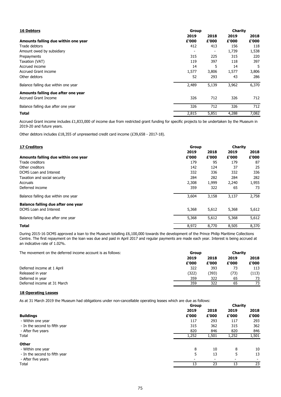Other debtors includes £18,355 of unpresented credit card income (£39,658 - 2017-18).

| <b>16 Debtors</b>                   |       | Group |       |       |
|-------------------------------------|-------|-------|-------|-------|
|                                     | 2019  | 2018  | 2019  | 2018  |
| Amounts falling due within one year | £'000 | £'000 | £'000 | £'000 |
| Trade debtors                       | 412   | 413   | 156   | 118   |
| Amount owed by subsidiary           |       |       | 1,739 | 1,538 |
| Prepayments                         | 315   | 225   | 315   | 220   |
| Taxation (VAT)                      | 119   | 397   | 118   | 397   |
| Accrued income                      | 14    | 5     | 14    | 5     |
| <b>Accrued Grant income</b>         | 1,577 | 3,806 | 1,577 | 3,806 |
| Other debtors                       | 52    | 293   | 43    | 286   |
| Balance falling due within one year | 2,489 | 5,139 | 3,962 | 6,370 |
| Amounts falling due after one year  |       |       |       |       |
| <b>Accrued Grant Income</b>         | 326   | 712   | 326   | 712   |
| Balance falling due after one year  | 326   | 712   | 326   | 712   |
| <b>Total</b>                        | 2,815 | 5,851 | 4,288 | 7,082 |

### **18 Operating Leases**

As at 31 March 2019 the Museum had obligations under non-cancellable operating leases which are due as follows:

**Charity** 

| <b>17 Creditors</b>                 | <b>Group</b> |       | <b>Charity</b> |       |  |
|-------------------------------------|--------------|-------|----------------|-------|--|
|                                     | 2019         | 2018  | 2019           | 2018  |  |
| Amounts falling due within one year | £'000        | £'000 | £'000          | £'000 |  |
| Trade creditors                     | 179          | 95    | 179            | 87    |  |
| Other creditors                     | 142          | 124   | 37             | 25    |  |
| DCMS Loan and Interest              | 332          | 336   | 332            | 336   |  |
| Taxation and social security        | 284          | 282   | 284            | 282   |  |
| <b>Accruals</b>                     | 2,308        | 1,999 | 2,240          | 1,955 |  |
| Deferred income                     | 359          | 322   | 65             | 73    |  |
| Balance falling due within one year | 3,604        | 3,158 | 3,137          | 2,758 |  |
| Balance falling due after one year  |              |       |                |       |  |
| <b>DCMS</b> Loan and Interest       | 5,368        | 5,612 | 5,368          | 5,612 |  |
| Balance falling due after one year  | 5,368        | 5,612 | 5,368          | 5,612 |  |
| <b>Total</b>                        | 8,972        | 8,770 | 8,505          | 8,370 |  |

| The movement on the deferred income account is as follows: |       | <b>Group</b> |       |       |
|------------------------------------------------------------|-------|--------------|-------|-------|
|                                                            | 2019  | 2018         | 2019  | 2018  |
|                                                            | £'000 | £'000        | £'000 | £'000 |
| Deferred income at 1 April                                 | 322   | 393          |       | 113   |
| Released in year                                           | (322) | (393)        | (73)  | (113) |
| Deferred in year                                           | 359   | 322          | 65    | 73    |
| Deferred income at 31 March                                | 359   | 322          | 65    | 73    |

|                               |       | Group |       |       |
|-------------------------------|-------|-------|-------|-------|
|                               | 2019  | 2018  | 2019  | 2018  |
| <b>Buildings</b>              | £'000 | £'000 | £'000 | £'000 |
| - Within one year             | 117   | 293   | 117   | 293   |
| - In the second to fifth year | 315   | 362   | 315   | 362   |
| - After five years            | 820   | 846   | 820   | 846   |
| Total                         | 1,252 | 1,501 | 1,252 | 1,501 |
| <b>Other</b>                  |       |       |       |       |
| - Within one year             | 8     | 10    | 8     | 10    |
| - In the second to fifth year | 5     | 13    | 5     | 13    |
| - After five years            | -     |       |       |       |
| <b>Total</b>                  | 13    | 23    | 13    | 23    |

# **Other**

- 
- 
- 

During 2015-16 DCMS approved a loan to the Museum totalling £6,100,000 towards the development of the Prince Philip Maritime Collections Centre. The first repayment on the loan was due and paid in April 2017 and regular payments are made each year. Interest is being accrued at an indicative rate of 1.02%.

Accrued Grant income includes £1,833,000 of income due from restricted grant funding for specific projects to be undertaken by the Museum in 2019-20 and future years.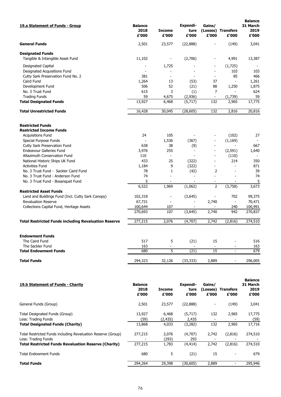| 19.a Statement of Funds - Group                             | <b>Balance</b><br>2018<br>£'000 | <b>Income</b><br>£'000 | <b>Expendi-</b><br>ture<br>£'000 | Gains/<br>£'000          | (Losses) Transfers<br>£'000 | <b>Balance</b><br>31 March<br>2019<br>£'000 |
|-------------------------------------------------------------|---------------------------------|------------------------|----------------------------------|--------------------------|-----------------------------|---------------------------------------------|
| <b>General Funds</b>                                        | 2,501                           | 23,577                 | (22, 888)                        |                          | (149)                       | 3,041                                       |
| <b>Designated Funds</b>                                     |                                 |                        |                                  |                          |                             |                                             |
| Tangible & Intangible Asset Fund                            | 11,102                          |                        | (2,706)                          | $\overline{\phantom{0}}$ | 4,991                       | 13,387                                      |
| <b>Designated Capital</b>                                   |                                 | 1,725                  |                                  |                          | (1,725)                     |                                             |
| <b>Designated Acquisitions Fund</b>                         |                                 |                        |                                  |                          | 103                         | 103                                         |
| Cutty Sark Preservation Fund No. 2                          | 381                             |                        |                                  |                          | 85                          | 466                                         |
| Caird Fund                                                  | 1,264                           | 13                     | (53)                             | 37                       | ۰                           | 1,261                                       |
| Development Fund                                            | 506                             | 52                     | (21)                             | 88                       | 1,250                       | 1,875                                       |
| No. 3 Trust Fund                                            | 615                             | 3                      | (1)                              | 7                        |                             | 624                                         |
| <b>Trading Funds</b>                                        | 59                              | 4,675                  | (2,936)                          |                          | (1,739)                     | 59                                          |
| <b>Total Designated Funds</b>                               | 13,927                          | 6,468                  | (5,717)                          | 132                      | 2,965                       | 17,775                                      |
| <b>Total Unrestricted Funds</b>                             | 16,428                          | 30,045                 | (28, 605)                        | 132                      | 2,816                       | 20,816                                      |
| <b>Restricted Funds</b><br><b>Restricted Income Funds</b>   |                                 |                        |                                  |                          |                             |                                             |
| <b>Acquisitions Fund</b>                                    | 24                              | 105                    |                                  |                          | (102)                       | 27                                          |
| Special Purpose Funds                                       |                                 | 1,536                  | (367)                            | $\overline{a}$           | (1, 169)                    |                                             |
| <b>Cutty Sark Preservation Fund</b>                         | 638                             | 38                     | (9)                              |                          |                             | 667                                         |
| <b>Endeavour Galleries Fund</b>                             | 3,976                           | 255                    | $\blacksquare$                   | $\overline{\phantom{a}}$ | (2, 591)                    | 1,640                                       |
| Altazimuth Conservation Fund                                | 110                             |                        |                                  |                          | (110)                       |                                             |
| National Historic Ships UK Fund                             | 433                             | 25                     | (322)                            |                          | 214                         | 350                                         |
| <b>Activities Fund</b>                                      | 1,184                           | 9                      | (322)                            |                          |                             | 871                                         |
| No. 3 Trust Fund - Sackler Caird Fund                       | 78                              | 1                      | (42)                             | $\mathcal{P}$            |                             | 39                                          |
| No. 3 Trust Fund - Anderson Fund                            | 74                              |                        |                                  |                          |                             | 74                                          |
| No. 3 Trust Fund - Bosanquet Fund                           | 5                               |                        |                                  |                          |                             | 5                                           |
|                                                             | 6,522                           | 1,969                  | (1,062)                          | $\overline{2}$           | (3,758)                     | 3,673                                       |
| <b>Restricted Asset Funds</b>                               |                                 |                        |                                  |                          |                             |                                             |
| Land and Buildings Fund (Incl. Cutty Sark Canopy)           | 102,318                         |                        | (3,645)                          |                          | 702                         | 99,375                                      |
| <b>Revaluation Reserve</b>                                  | 67,731                          |                        |                                  | 2,740                    |                             | 70,471                                      |
| Collections Capital Fund, Heritage Assets                   | 100,644                         | 107                    |                                  |                          | 240                         | 100,991                                     |
|                                                             | 270,693                         | 107                    | (3,645)                          | 2,740                    | 942                         | 270,837                                     |
| <b>Total Restricted Funds including Revaluation Reserve</b> | 277,215                         | 2,076                  | (4,707)                          | 2,742                    | (2,816)                     | 274,510                                     |
| <b>Endowment Funds</b>                                      |                                 |                        |                                  |                          |                             |                                             |
| The Caird Fund                                              | 517                             | 5                      | (21)                             | 15                       |                             | 516                                         |
| The Sackler Fund                                            | 163                             |                        |                                  |                          |                             | 163                                         |
| <b>Total Endowment Funds</b>                                | 680                             | 5                      | (21)                             | 15                       | $\overline{a}$              | 679                                         |
| <b>Total Funds</b>                                          | 294,323                         | 32,126                 | (33, 333)                        | 2,889                    |                             | 296,005                                     |
|                                                             |                                 |                        |                                  |                          |                             |                                             |

| <b>19.b Statement of Funds - Charity</b>                                                                                                           | <b>Balance</b><br>2018<br>£'000 | <b>Income</b><br>£'000     | Expendi-<br>ture<br>£'000   | Gains/<br>£'000 | (Losses) Transfers<br>£'000 | <b>Balance</b><br>31 March<br>2019<br>£'000 |
|----------------------------------------------------------------------------------------------------------------------------------------------------|---------------------------------|----------------------------|-----------------------------|-----------------|-----------------------------|---------------------------------------------|
| General Funds (Group)                                                                                                                              | 2,501                           | 23,577                     | (22, 888)                   |                 | (149)                       | 3,041                                       |
| Total Designated Funds (Group)<br>Less: Trading Funds<br><b>Total Designated Funds (Charity)</b>                                                   | 13,927<br>(59)<br>13,868        | 6,468<br>(2, 435)<br>4,033 | (5,717)<br>2,435<br>(3,282) | 132<br>132      | 2,965<br>2,965              | 17,775<br>(59)<br>17,716                    |
| Total Restricted Funds including Revaluation Reserve (Group)<br>Less: Trading Funds<br><b>Total Restricted Funds Revaluation Reserve (Charity)</b> | 277,215<br>277,215              | 2,076<br>(293)<br>1,783    | (4,707)<br>293<br>(4, 414)  | 2,742<br>2,742  | (2,816)<br>(2,816)          | 274,510<br>274,510                          |
| <b>Total Endowment Funds</b>                                                                                                                       | 680                             | 5                          | (21)                        | 15              |                             | 679                                         |
| <b>Total Funds</b>                                                                                                                                 | 294,264                         | 29,398                     | (30, 605)                   | 2,889           |                             | 295,946                                     |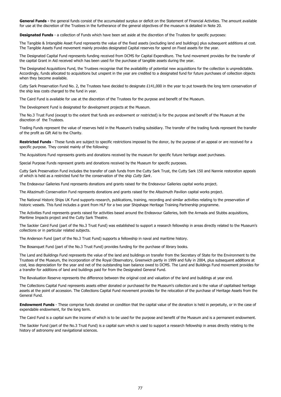**Designated Funds** - a collection of Funds which have been set aside at the discretion of the Trustees for specific purposes:

The Caird Fund is available for use at the discretion of the Trustees for the purpose and benefit of the Museum.

The Development Fund is designated for development projects at the Museum.

The Acquisitions Fund represents grants and donations received by the museum for specific future heritage asset purchases.

Special Purpose Funds represent grants and donations received by the Museum for specific purposes.

The Endeavour Galleries Fund represents donations and grants raised for the Endeavour Galleries capital works project.

The Altazimuth Conservation Fund represents donations and grants raised for the Altazimuth Pavilion capital works project.

The Anderson Fund (part of the No.3 Trust Fund) supports a fellowship in naval and maritime history.

Cutty Sark Preservation Fund includes the transfer of cash funds from the Cutty Sark Trust, the Cutty Sark 150 and Nannie restoration appeals of which is held as a restricted fund for the conservation of the ship Cutty Sark.

The Bosanquet Fund (part of the No.3 Trust Fund) provides funding for the purchase of library books.

The Caird Fund is a capital sum the income of which is to be used for the purpose and benefit of the Museum and is a permanent endowment.

The Collections Capital Fund represents assets either donated or purchased for the Museum's collection and is the value of capitalised heritage assets at the point of accession. The Collections Capital Fund movement provides for the relocation of the purchase of Heritage Assets from the General Fund.

**Endowment Funds** - These comprise funds donated on condition that the capital value of the donation is held in perpetuity, or in the case of

expendable endowment, for the long term.

The Sackler Fund (part of the No.3 Trust Fund) is a capital sum which is used to support a research fellowship in areas directly relating to the history of astronomy and navigational sciences.

The National Historic Ships UK Fund supports research, publications, training, recording and similar activities relating to the preservation of historic vessels. This fund includes a grant from HLF for a two year Shipshape Heritage Training Partnership programme.

The Activities Fund represents grants raised for activities based around the Endeavour Galleries, both the Armada and Stubbs acquisitions, Maritime Impacts project and the Cutty Sark Theatre.

The Sackler Caird Fund (part of the No.3 Trust Fund) was established to support a research fellowship in areas directly related to the Museum's collections or in particular related subjects.

The Land and Buildings Fund represents the value of the land and buildings on transfer from the Secretary of State for the Environment to the Trustees of the Museum, the incorporation of the Royal Observatory, Greenwich partly in 1999 and fully in 2004, plus subsequent additions at cost, less depreciation for the year and net of the outstanding loan balance owed to DCMS. The Land and Buildings Fund movement provides for a transfer for additions of land and buildings paid for from the Designated General Fund.

The Revaluation Reserve represents the difference between the original cost and valuation of the land and buildings at year end.

The Designated Capital Fund represents funding received from DCMS for Capital Expenditure. The fund movement provides for the transfer of the capital Grant in Aid received which has been used for the purchase of tangible assets during the year.

The Designated Acquisitions Fund, the Trustees recognise that the availability of potential new acquisitions for the collection is unpredictable. Accordingly, funds allocated to acquisitions but unspent in the year are credited to a designated fund for future purchases of collection objects when they become available.

Cutty Sark Preservation Fund No. 2, the Trustees have decided to designate £141,000 in the year to put towards the long term conservation of the ship less costs charged to the fund in year.

The No.3 Trust Fund (except to the extent that funds are endowment or restricted) is for the purpose and benefit of the Museum at the discretion of the Trustees.

Trading Funds represent the value of reserves held in the Museum's trading subsidiary. The transfer of the trading funds represent the transfer of the profit as Gift Aid to the Charity.

**Restricted Funds** - These funds are subject to specific restrictions imposed by the donor, by the purpose of an appeal or are received for a specific purpose. They consist mainly of the following:

**General Funds -** the general funds consist of the accumulated surplus or deficit on the Statement of Financial Activities. The amount available for use at the discretion of the Trustees in the furtherance of the general objectives of the museum is detailed in Note 20.

The Tangible & Intangible Asset Fund represents the value of the fixed assets (excluding land and buildings) plus subsequent additions at cost. The Tangible Assets Fund movement mainly provides designated Capital reserves for spend on Fixed assets for the year.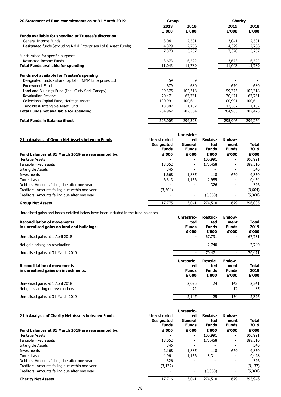| 20 Statement of fund commitments as at 31 March 2019           | <b>Group</b> |         | <b>Charity</b> |         |
|----------------------------------------------------------------|--------------|---------|----------------|---------|
|                                                                | 2019         | 2018    | 2019           | 2018    |
|                                                                | £'000        | £'000   | £'000          | £'000   |
| <b>Funds available for spending at Trustee's discretion:</b>   |              |         |                |         |
| General Income Funds                                           | 3,041        | 2,501   | 3,041          | 2,501   |
| Designated funds (excluding NMM Enterprises Ltd & Asset Funds) | 4,329        | 2,766   | 4,329          | 2,766   |
|                                                                | 7,370        | 5,267   | 7,370          | 5,267   |
| Funds raised for specific purposes:                            |              |         |                |         |
| <b>Restricted Income Funds</b>                                 | 3,673        | 6,522   | 3,673          | 6,522   |
| <b>Total Funds available for spending</b>                      | 11,043       | 11,789  | 11,043         | 11,789  |
| <b>Funds not available for Trustee's spendng</b>               |              |         |                |         |
| Designated funds - share capital of NMM Enterprises Ltd        | 59           | 59      |                |         |
| <b>Endowment Funds</b>                                         | 679          | 680     | 679            | 680     |
| Land and Buildings Fund (Incl. Cutty Sark Canopy)              | 99,375       | 102,318 | 99,375         | 102,318 |
| <b>Revaluation Reserve</b>                                     | 70,471       | 67,731  | 70,471         | 67,731  |
| <b>Collections Capital Fund, Heritage Assets</b>               | 100,991      | 100,644 | 100,991        | 100,644 |
| Tangible & Intangible Asset Fund                               | 13,387       | 11,102  | 13,387         | 11,102  |
| <b>Total Funds not available for spending</b>                  | 284,962      | 282,534 | 284,903        | 282,475 |
| <b>Total Funds in Balance Sheet</b>                            | 296,005      | 294,323 | 295,946        | 294,264 |
|                                                                |              |         |                |         |

Unrealised gains and losses detailed below have been included in the fund balances.

|                                                    |                     | <b>Unrestric-</b>        |                 | <b>Endow-</b>            |              |
|----------------------------------------------------|---------------------|--------------------------|-----------------|--------------------------|--------------|
| 21.a Analysis of Group Net Assets between Funds    | <b>Unrestricted</b> | ted                      | <b>Restric-</b> |                          |              |
|                                                    | <b>Designated</b>   | General                  | ted             | ment                     | <b>Total</b> |
|                                                    | <b>Funds</b>        | <b>Funds</b>             | <b>Funds</b>    | <b>Funds</b>             | 2019         |
| Fund balances at 31 March 2019 are represented by: | £'000               | £'000                    | £'000           | £'000                    | £'000        |
| Heritage Assets                                    |                     | $\blacksquare$           | 100,991         | ۰.                       | 100,991      |
| Tangible Fixed assets                              | 13,052              | $\blacksquare$           | 175,458         | ۰.                       | 188,510      |
| Intangible Assets                                  | 346                 | $\overline{\phantom{a}}$ |                 |                          | 346          |
| Investments                                        | 1,668               | 1,885                    | 118             | 679                      | 4,350        |
| Current assets                                     | 6,313               | 1,156                    | 2,985           | $\overline{\phantom{a}}$ | 10,454       |
| Debtors: Amounts falling due after one year        |                     | $\blacksquare$           | 326             | ۰                        | 326          |
| Creditors: Amounts falling due within one year     | (3,604)             | $\blacksquare$           |                 | ۰.                       | (3,604)      |
| Creditors: Amounts falling due after one year      |                     | $\blacksquare$           | (5,368)         | ۰.                       | (5,368)      |
| <b>Group Net Assets</b>                            | 17,775              | 3,041                    | 274,510         | 679                      | 296,005      |

| <b>Reconciliation of movements</b><br>in unrealised gains on land and buildings:<br>Unrealised gains at 1 April 2018 | Unrestric-<br>ted<br><b>Funds</b><br>£'000<br>۰.  | <b>Restric-</b><br>ted<br><b>Funds</b><br>£'000<br>67,731 | Endow-<br>ment<br><b>Funds</b><br>£'000<br>$\blacksquare$ | <b>Total</b><br>2019<br>£'000<br>67,731 |
|----------------------------------------------------------------------------------------------------------------------|---------------------------------------------------|-----------------------------------------------------------|-----------------------------------------------------------|-----------------------------------------|
| Net gain arising on revaluation                                                                                      | ۰.                                                | 2,740                                                     | $\blacksquare$                                            | 2,740                                   |
| Unrealised gains at 31 March 2019                                                                                    |                                                   | 70,471                                                    | -                                                         | 70,471                                  |
| <b>Reconciliation of movements</b><br>in unrealised gains on investments:                                            | <b>Unrestric-</b><br>ted<br><b>Funds</b><br>£'000 | <b>Restric-</b><br>ted<br><b>Funds</b><br>£'000           | <b>Endow-</b><br>ment<br><b>Funds</b><br>£'000            | <b>Total</b><br>2019<br>£'000           |
| Unrealised gains at 1 April 2018<br>Net gains arising on revaluations                                                | 2,075<br>72                                       | 24                                                        | 142<br>12                                                 | 2,241<br>85                             |
| Unrealised gains at 31 March 2019                                                                                    | 2,147                                             | 25                                                        | 154                                                       | 2,326                                   |

### **21.b Analysis of Charity Net Assets between Funds**

# **fund balances at 31 March 2019 are represented by:** Heritage Assets Tangible Fixed assets Intangible Assets Debtors: Amounts falling due after one year Creditors: Amounts falling due within one year Creditors: Amounts falling due after one year

### **Charity Net Assets**

| 21.b Analysis of Charity Net Assets between Funds  |                     | <b>Unrestric-</b>        |                 |                          |              |
|----------------------------------------------------|---------------------|--------------------------|-----------------|--------------------------|--------------|
|                                                    | <b>Unrestricted</b> | ted                      | <b>Restric-</b> | <b>Endow-</b>            |              |
|                                                    | <b>Designated</b>   | <b>General</b>           | ted             | ment                     | <b>Total</b> |
|                                                    | <b>Funds</b>        | <b>Funds</b>             | <b>Funds</b>    | <b>Funds</b>             | 2019         |
| Fund balances at 31 March 2019 are represented by: | £'000               | £'000                    | £'000           | £'000                    | £'000        |
| Heritage Assets                                    |                     | $\sim$                   | 100,991         | $\blacksquare$           | 100,991      |
| Tangible Fixed assets                              | 13,052              | $\blacksquare$           | 175,458         | $\overline{\phantom{a}}$ | 188,510      |
| Intangible Assets                                  | 346                 | $\overline{\phantom{a}}$ |                 |                          | 346          |
| Investments                                        | 2,168               | 1,885                    | 118             | 679                      | 4,850        |
| Current assets                                     | 4,961               | 1,156                    | 3,311           |                          | 9,428        |
| Debtors: Amounts falling due after one year        | 326                 |                          |                 |                          | 326          |
| Creditors: Amounts falling due within one year     | (3, 137)            | $\overline{\phantom{a}}$ |                 | ۰.                       | (3, 137)     |
| Creditors: Amounts falling due after one year      |                     | $\blacksquare$           | (5,368)         | $\blacksquare$           | (5,368)      |
| <b>Charity Net Assets</b>                          | 17,716              | 3,041                    | 274,510         | 679                      | 295,946      |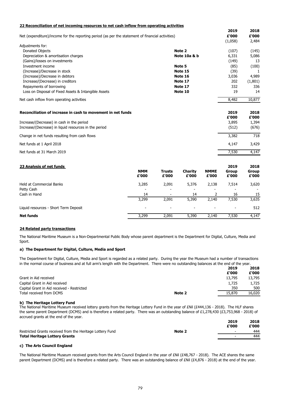| 22 Reconciliation of net incoming resources to net cash inflow from operating activities         |                         |         |         |
|--------------------------------------------------------------------------------------------------|-------------------------|---------|---------|
|                                                                                                  |                         | 2019    | 2018    |
| Net (expenditure)/income for the reporting period (as per the statement of financial activities) |                         | £'000   | £'000   |
|                                                                                                  |                         | (1,058) | 2,484   |
| Adjustments for:                                                                                 |                         |         |         |
| Donated Objects                                                                                  | Note 2                  | (107)   | (145)   |
| Depreciation & amortisation charges                                                              | <b>Note 10a &amp; b</b> | 6,331   | 5,086   |
| (Gains)/losses on investments                                                                    |                         | (149)   | 13      |
| Investment income                                                                                | Note 5                  | (85)    | (100)   |
| (Increase)/Decrease in stock                                                                     | Note 15                 | (39)    |         |
| (Increase)/Decrease in debtors                                                                   | Note 16                 | 3,036   | 4,989   |
| Increase/(Decrease) in creditors                                                                 | Note 17                 | 202     | (1,801) |
| Repayments of borrowing                                                                          | Note 17                 | 332     | 336     |
| Loss on Disposal of Fixed Assets & Intangible Assets                                             | Note 10                 | 19      | 14      |
| Net cash inflow from operating activities                                                        |                         | 8,482   | 10,877  |
| Reconciliation of increase in cash to movement in net funds                                      |                         | 2019    | 2018    |
|                                                                                                  |                         | £'000   | £'000   |
| Increase/(Decrease) in cash in the period                                                        |                         | 3,895   | 1,394   |
| Increase/(Decrease) in liquid resources in the period                                            |                         | (512)   | (676)   |
| Change in net funds resulting from cash flows                                                    |                         | 3,382   | 718     |
| Net funds at 1 April 2018                                                                        |                         | 4,147   | 3,429   |
| Net funds at 31 March 2019                                                                       |                         | 7,530   | 4,147   |

### **23 Analysis of net funds 2019 2018**

|                                       | <b>NMM</b><br>£'000      | <b>Trusts</b><br>£'000   | <b>Charity</b><br>£'000  | <b>NMME</b><br>£'000     | <b>Group</b><br>£'000    | <b>Group</b><br>£'000 |
|---------------------------------------|--------------------------|--------------------------|--------------------------|--------------------------|--------------------------|-----------------------|
| Held at Commercial Banks              | 3,285                    | 2,091                    | 5,376                    | 2,138                    | 7,514                    | 3,620                 |
| Petty Cash                            | -                        | $\overline{\phantom{a}}$ | $\sim$                   | $\sim$                   | $\overline{\phantom{a}}$ |                       |
| Cash in Hand                          | 14                       | $\sim$                   | 14                       |                          | 16                       | 15                    |
|                                       | 3,299                    | 2,091                    | 5,390                    | 2,140                    | 7,530                    | 3,635                 |
| Liquid resources - Short Term Deposit | $\overline{\phantom{0}}$ | $\overline{\phantom{a}}$ | $\overline{\phantom{a}}$ | $\overline{\phantom{a}}$ | $\sim$                   | 512                   |
| <b>Net funds</b>                      | 3,299                    | 2,091                    | 5,390                    | 2,140                    | 7,530                    | 4,147                 |

The National Maritime Museum received lottery grants from the Heritage Lottery Fund in the year of £Nil (£444,136 - 2018). The HLF shares the same parent Department (DCMS) and is therefore a related party. There was an outstanding balance of £1,278,430 (£3,753,968 - 2018) of accrued grants at the end of the year.

The National Maritime Museum received grants from the Arts Council England in the year of £Nil (£48,767 - 2018). The ACE shares the same parent Department (DCMS) and is therefore a related party. There was an outstanding balance of £Nil (£4,876 - 2018) at the end of the year.

### **24 Related party transactions**

### **a) The Department for Digital, Culture, Media and Sport**

|                                            |        | 2019<br>£'000 | 2018<br>£'000 |
|--------------------------------------------|--------|---------------|---------------|
| Grant in Aid received                      |        | 13,795        | 13,795        |
| Capital Grant in Aid received              |        | 1,725         | 1,725         |
| Capital Grant in Aid received - Restricted |        | 350           | 500           |
| Total received from DCMS                   | Note 2 | 15,870        | 16,020        |

### **b) The Heritage Lottery Fund**

|                                                           |        | 2019  | 2018  |
|-----------------------------------------------------------|--------|-------|-------|
|                                                           |        | £'000 | £'000 |
| Restricted Grants received from the Heritage Lottery Fund | Note 2 |       | 444   |
| <b>Total Heritage Lottery Grants</b>                      |        |       | 444   |

### **c) The Arts Council England**

The National Maritime Museum is a Non-Departmental Public Body whose parent department is the Department for Digital, Culture, Media and Sport.

The Department for Digital, Culture, Media and Sport is regarded as a related party. During the year the Museum had a number of transactions in the normal course of business and at full arm's length with the Department. There were no outstanding balances at the end of the year.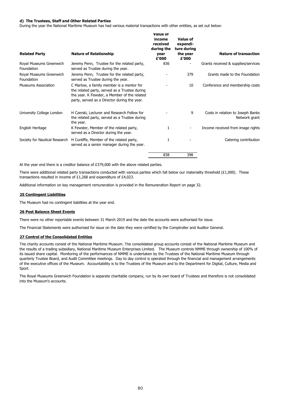### 80

### **d) The Trustees, Staff and Other Related Parties**

During the year the National Maritime Museum has had various material transactions with other entities, as set out below:

At the year end there is a creditor balance of £379,000 with the above related parties.

Additional information on key management remuneration is provided in the Remuneration Report on page 32.

### **25 Contingent Liabilities**

The Museum had no contingent liabilities at the year end.

### **26 Post Balance Sheet Events**

There were additional related party transactions conducted with various parties which fall below our materiality threshold  $(E1,000)$ . These transactions resulted in income of £1,268 and expenditure of £4,023.

There were no other reportable events between 31 March 2019 and the date the accounts were authorised for issue.

The Financial Statements were authorised for issue on the date they were certified by the Comptroller and Auditor General.

### **27 Control of the Consolidated Entities**

The Royal Museums Greenwich Foundation is separate charitable company, run by its own board of Trustees and therefore is not consolidated into the Museum's accounts.

| <b>Related Party</b>                  | <b>Nature of Relationship</b>                                                                                                                                                              | <b>Value of</b><br>income<br>received<br>during the<br>year<br>£'000 | <b>Value of</b><br>expendi-<br>ture during<br>the year<br>£'000 | <b>Nature of transaction</b>                       |
|---------------------------------------|--------------------------------------------------------------------------------------------------------------------------------------------------------------------------------------------|----------------------------------------------------------------------|-----------------------------------------------------------------|----------------------------------------------------|
| Royal Museums Greenwich<br>Foundation | Jeremy Penn, Trustee for the related party,<br>served as Trustee during the year.                                                                                                          | 836                                                                  |                                                                 | Grants received & supplies/services                |
| Royal Museums Greenwich<br>Foundation | Jeremy Penn, Trustee for the related party,<br>served as Trustee during the year.                                                                                                          |                                                                      | 379                                                             | Grants made to the Foundation                      |
| <b>Museums Association</b>            | C Marlow, a family member is a mentor for<br>the related party, served as a Trustee during<br>the year. K Fewster, a Member of the related<br>party, served as a Director during the year. |                                                                      | 10                                                              | Conference and membership costs                    |
| University College London             | H Czerski, Lecturer and Research Fellow for<br>the related party, served as a Trustee during<br>the year.                                                                                  |                                                                      | 9                                                               | Costs in relation to Joseph Banks<br>Network grant |
| English Heritage                      | K Fewster, Member of the related party,<br>served as a Director during the year.                                                                                                           |                                                                      |                                                                 | Income received from image rights                  |
|                                       | Society for Nautical Research H Cunliffe, Member of the related party,<br>served as a senior manager during the year.                                                                      | 1                                                                    |                                                                 | Catering contribution                              |
|                                       |                                                                                                                                                                                            | 838                                                                  | 398                                                             |                                                    |

The charity accounts consist of the National Maritime Museum. The consolidated group accounts consist of the National Maritime Museum and the results of a trading subsidiary, National Maritime Museum Enterprises Limited. The Museum controls NMME through ownership of 100% of its issued share capital. Monitoring of the performances of NMME is undertaken by the Trustees of the National Maritime Museum through quarterly Trustee Board, and Audit Committee meetings. Day to day control is operated through the financial and management arrangements of the executive offices of the Museum. Accountability is to the Trustees of the Museum and to the Department for Digital, Culture, Media and Sport.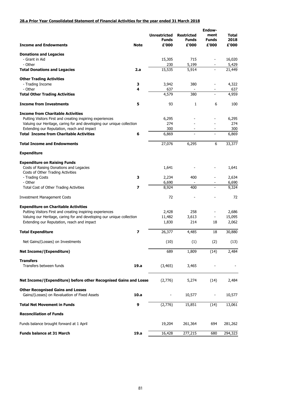### **28.a Prior Year Consolidated Statement of Financial Activities for the year ended 31 March 2018**

|                                                                       |                         |                                     | <b>Endow-</b>                     |                          |                      |
|-----------------------------------------------------------------------|-------------------------|-------------------------------------|-----------------------------------|--------------------------|----------------------|
|                                                                       |                         | <b>Unrestricted</b><br><b>Funds</b> | <b>Restricted</b><br><b>Funds</b> | ment<br><b>Funds</b>     | <b>Total</b><br>2018 |
| <b>Income and Endowments</b>                                          | <b>Note</b>             | £'000                               | £'000                             | £'000                    | £'000                |
| <b>Donations and Legacies</b>                                         |                         |                                     |                                   |                          |                      |
| - Grant in Aid                                                        |                         | 15,305                              | 715                               |                          | 16,020               |
| - Other                                                               |                         | 230                                 | 5,199                             |                          | 5,429                |
| <b>Total Donations and Legacies</b>                                   | 2.a                     | 15,535                              | 5,914                             |                          | 21,449               |
|                                                                       |                         |                                     |                                   |                          |                      |
| <b>Other Trading Activities</b>                                       |                         |                                     |                                   |                          |                      |
| - Trading Income                                                      | 3                       | 3,942                               | 380                               |                          | 4,322                |
| - Other                                                               | 4                       | 637                                 |                                   |                          | 637                  |
| <b>Total Other Trading Activities</b>                                 |                         | 4,579                               | 380                               | $\overline{\phantom{0}}$ | 4,959                |
| <b>Income from Investments</b>                                        | 5                       | 93                                  | $\mathbf{1}$                      | 6                        | 100                  |
| <b>Income from Charitable Activities</b>                              |                         |                                     |                                   |                          |                      |
| Putting Visitors First and creating inspiring experiences             |                         | 6,295                               |                                   |                          | 6,295                |
| Valuing our Heritage, caring for and developing our unique collection |                         | 274                                 |                                   |                          | 274                  |
| Extending our Reputation, reach and impact                            |                         | 300                                 |                                   |                          | 300                  |
| <b>Total Income from Charitable Activities</b>                        | 6                       | 6,869                               |                                   | $\overline{\phantom{a}}$ | 6,869                |
|                                                                       |                         |                                     |                                   |                          |                      |
| <b>Total Income and Endowments</b>                                    |                         | 27,076                              | 6,295                             | 6                        | 33,377               |
| <b>Expenditure</b>                                                    |                         |                                     |                                   |                          |                      |
| <b>Expenditure on Raising Funds</b>                                   |                         |                                     |                                   |                          |                      |
| Costs of Raising Donations and Legacies                               |                         | 1,641                               |                                   |                          | 1,641                |
| Costs of Other Trading Activities                                     |                         |                                     |                                   |                          |                      |
| - Trading Costs                                                       | 3                       | 2,234                               | 400                               |                          | 2,634                |
| - Other                                                               |                         | 6,690                               |                                   |                          | 6,690                |
| <b>Total Cost of Other Trading Activities</b>                         | 7                       | 8,924                               | 400                               |                          | 9,324                |
| <b>Investment Management Costs</b>                                    |                         | 72                                  |                                   |                          | 72                   |
| <b>Expenditure on Charitable Activities</b>                           |                         |                                     |                                   |                          |                      |
| Putting Visitors First and creating inspiring experiences             |                         | 2,428                               | 258                               |                          | 2,686                |
| Valuing our Heritage, caring for and developing our unique collection |                         | 11,482                              | 3,613                             |                          | 15,095               |
| Extending our Reputation, reach and impact                            |                         | 1,830                               | 214                               | 18                       | 2,062                |
|                                                                       |                         |                                     |                                   |                          |                      |
| <b>Total Expenditure</b>                                              | $\overline{\mathbf{z}}$ | 26,377                              | 4,485                             | 18                       | 30,880               |
| Net Gains/(Losses) on Investments                                     |                         | (10)                                | (1)                               | (2)                      | (13)                 |
| <b>Net Income/(Expenditure)</b>                                       |                         | 689                                 | 1,809                             | (14)                     | 2,484                |
| <b>Transfers</b>                                                      |                         |                                     |                                   |                          |                      |
| Transfers between funds                                               | 19.a                    | (3, 465)                            | 3,465                             |                          |                      |
| Net Income/(Expenditure) before other Recognised Gains and Losse      |                         | (2,776)                             | 5,274                             | (14)                     | 2,484                |
| <b>Other Recognised Gains and Losses</b>                              |                         |                                     |                                   |                          |                      |
| Gains/(Losses) on Revaluation of Fixed Assets                         | 10.a                    |                                     | 10,577                            |                          | 10,577               |
|                                                                       |                         |                                     |                                   |                          |                      |

| <b>Total Net Movement in Funds</b>       | g | (2,776) | 15,851  | (14) | 13,061  |
|------------------------------------------|---|---------|---------|------|---------|
| <b>Reconciliation of Funds</b>           |   |         |         |      |         |
| Funds balance brought forward at 1 April |   | 19,204  | 261,364 | 694  | 281,262 |

**Funds balance at 31 March 19.a** 19.a 16,428 277,215 680 294,323